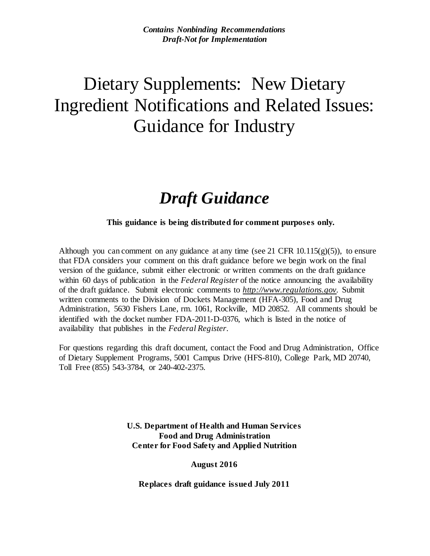# Dietary Supplements: New Dietary Ingredient Notifications and Related Issues: Guidance for Industry

# *Draft Guidance*

**This guidance is being distributed for comment purposes only.**

Although you can comment on any guidance at any time (see 21 CFR 10.115(g)(5)), to ensure that FDA considers your comment on this draft guidance before we begin work on the final version of the guidance, submit either electronic or written comments on the draft guidance within 60 days of publication in the *Federal Register* of the notice announcing the availability of the draft guidance. Submit electronic comments to *[http://www.regulations.gov](http://www.regulations.gov/).* Submit written comments to the Division of Dockets Management (HFA-305), Food and Drug Administration, 5630 Fishers Lane, rm. 1061, Rockville, MD 20852. All comments should be identified with the docket number FDA-2011-D-0376, which is listed in the notice of availability that publishes in the *Federal Register*.

For questions regarding this draft document, contact the Food and Drug Administration, Office of Dietary Supplement Programs, 5001 Campus Drive (HFS-810), College Park, MD 20740, Toll Free (855) 543-3784, or 240-402-2375.

> **U.S. Department of Health and Human Services Food and Drug Administration Center for Food Safety and Applied Nutrition**

> > **August 2016**

**Replaces draft guidance issued July 2011**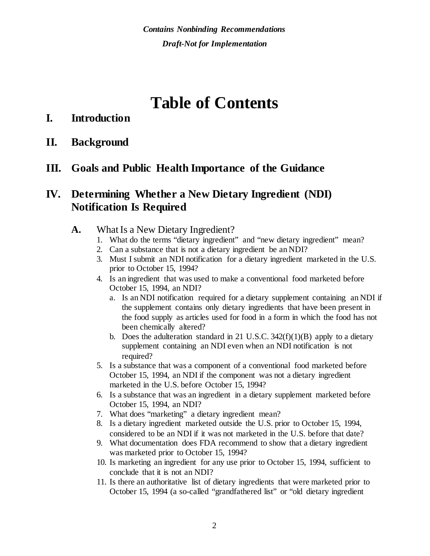# **Table of Contents**

# **I. Introduction**

**II. Background**

# **III. Goals and Public Health Importance of the Guidance**

# **IV. Determining Whether a New Dietary Ingredient (NDI) Notification Is Required**

- **A.** What Is a New Dietary Ingredient?
	- 1. What do the terms "dietary ingredient" and "new dietary ingredient" mean?
	- 2. Can a substance that is not a dietary ingredient be an NDI?
	- 3. Must I submit an NDI notification for a dietary ingredient marketed in the U.S. prior to October 15, 1994?
	- 4. Is an ingredient that was used to make a conventional food marketed before October 15, 1994, an NDI?
		- a. Is an NDI notification required for a dietary supplement containing an NDI if the supplement contains only dietary ingredients that have been present in the food supply as articles used for food in a form in which the food has not been chemically altered?
		- b. Does the adulteration standard in 21 U.S.C.  $342(f)(1)(B)$  apply to a dietary supplement containing an NDI even when an NDI notification is not required?
	- 5. Is a substance that was a component of a conventional food marketed before October 15, 1994, an NDI if the component was not a dietary ingredient marketed in the U.S. before October 15, 1994?
	- 6. Is a substance that was an ingredient in a dietary supplement marketed before October 15, 1994, an NDI?
	- 7. What does "marketing" a dietary ingredient mean?
	- 8. Is a dietary ingredient marketed outside the U.S. prior to October 15, 1994, considered to be an NDI if it was not marketed in the U.S. before that date?
	- 9. What documentation does FDA recommend to show that a dietary ingredient was marketed prior to October 15, 1994?
	- 10. Is marketing an ingredient for any use prior to October 15, 1994, sufficient to conclude that it is not an NDI?
	- 11. Is there an authoritative list of dietary ingredients that were marketed prior to October 15, 1994 (a so-called "grandfathered list" or "old dietary ingredient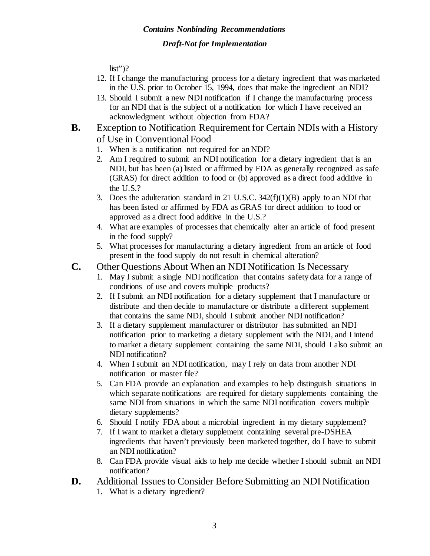#### *Draft-Not for Implementation*

 $list")?$ 

- 12. If I change the manufacturing process for a dietary ingredient that was marketed in the U.S. prior to October 15, 1994, does that make the ingredient an NDI?
- 13. Should I submit a new NDI notification if I change the manufacturing process for an NDI that is the subject of a notification for which I have received an acknowledgment without objection from FDA?

#### <span id="page-2-0"></span>**B.** Exception to Notification Requirement for Certain NDIs with a History of Use in Conventional Food

- 1. When is a notification not required for an NDI?
- 2. Am I required to submit an NDI notification for a dietary ingredient that is an NDI, but has been (a) listed or affirmed by FDA as generally recognized as safe (GRAS) for direct addition to food or (b) approved as a direct food additive in the U.S.?
- 3. Does the adulteration standard in 21 U.S.C. 342(f)(1)(B) apply to an NDI that has been listed or affirmed by FDA as GRAS for direct addition to food or approved as a direct food additive in the U.S.?
- 4. What are examples of processes that chemically alter an article of food present in the food supply?
- 5. What processes for manufacturing a dietary ingredient from an article of food present in the food supply do not result in chemical alteration?

#### <span id="page-2-1"></span>**C.** Other Questions About When an NDI Notification Is Necessary

- 1. May I submit a single NDI notification that contains safety data for a range of conditions of use and covers multiple products?
- 2. If I submit an NDI notification for a dietary supplement that I manufacture or distribute and then decide to manufacture or distribute a different supplement that contains the same NDI, should I submit another NDI notification?
- 3. If a dietary supplement manufacturer or distributor has submitted an NDI notification prior to marketing a dietary supplement with the NDI, and I intend to market a dietary supplement containing the same NDI, should I also submit an NDI notification?
- <span id="page-2-2"></span>4. When I submit an NDI notification, may I rely on data from another NDI notification or master file?
- 5. Can FDA provide an explanation and examples to help distinguish situations in which separate notifications are required for dietary supplements containing the same NDI from situations in which the same NDI notification covers multiple dietary supplements?
- 6. Should I notify FDA about a microbial ingredient in my dietary supplement?
- 7. If I want to market a dietary supplement containing several pre-DSHEA ingredients that haven't previously been marketed together, do I have to submit an NDI notification?
- 8. Can FDA provide visual aids to help me decide whether I should submit an NDI notification?

#### **D.** Additional Issues to Consider Before Submitting an NDI Notification 1. What is a dietary ingredient?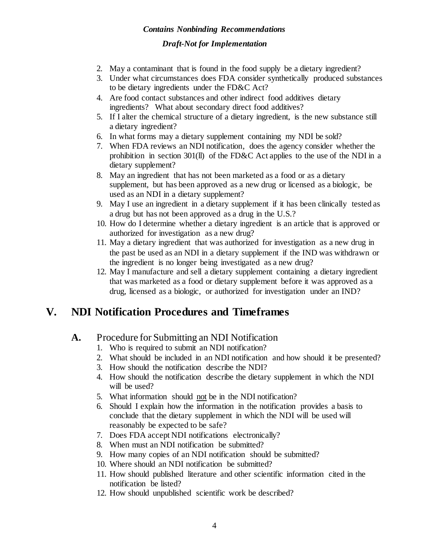#### *Draft-Not for Implementation*

- 2. May a contaminant that is found in the food supply be a dietary ingredient?
- 3. Under what circumstances does FDA consider synthetically produced substances to be dietary ingredients under the FD&C Act?
- 4. Are food contact substances and other indirect food additives dietary ingredients? What about secondary direct food additives?
- 5. If I alter the chemical structure of a dietary ingredient, is the new substance still a dietary ingredient?
- 6. In what forms may a dietary supplement containing my NDI be sold?
- 7. When FDA reviews an NDI notification, does the agency consider whether the prohibition in section 301(ll) of the FD&C Act applies to the use of the NDI in a dietary supplement?
- 8. May an ingredient that has not been marketed as a food or as a dietary supplement, but has been approved as a new drug or licensed as a biologic, be used as an NDI in a dietary supplement?
- 9. May I use an ingredient in a dietary supplement if it has been clinically tested as a drug but has not been approved as a drug in the U.S.?
- 10. How do I determine whether a dietary ingredient is an article that is approved or authorized for investigation as a new drug?
- 11. May a dietary ingredient that was authorized for investigation as a new drug in the past be used as an NDI in a dietary supplement if the IND was withdrawn or the ingredient is no longer being investigated as a new drug?
- 12. May I manufacture and sell a dietary supplement containing a dietary ingredient that was marketed as a food or dietary supplement before it was approved as a drug, licensed as a biologic, or authorized for investigation under an IND?

# **V. NDI Notification Procedures and Timeframes**

#### **A.** Procedure for Submitting an NDI Notification

- 1. Who is required to submit an NDI notification?
- 2. What should be included in an NDI notification and how should it be presented?
- 3. How should the notification describe the NDI?
- 4. How should the notification describe the dietary supplement in which the NDI will be used?
- 5. What information should not be in the NDI notification?
- 6. Should I explain how the information in the notification provides a basis to conclude that the dietary supplement in which the NDI will be used will reasonably be expected to be safe?
- 7. Does FDA accept NDI notifications electronically?
- 8. When must an NDI notification be submitted?
- 9. How many copies of an NDI notification should be submitted?
- 10. Where should an NDI notification be submitted?
- 11. How should published literature and other scientific information cited in the notification be listed?
- 12. How should unpublished scientific work be described?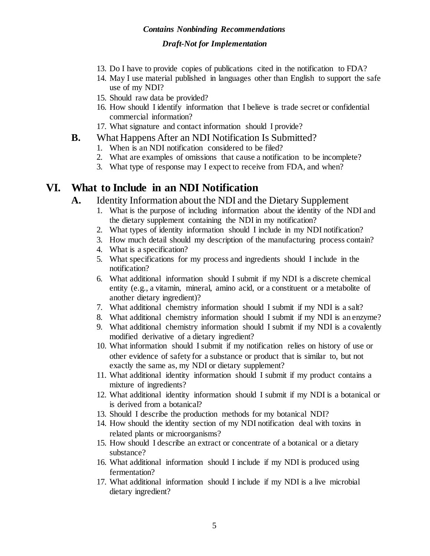#### *Draft-Not for Implementation*

- 13. Do I have to provide copies of publications cited in the notification to FDA?
- 14. May I use material published in languages other than English to support the safe use of my NDI?
- 15. Should raw data be provided?
- 16. How should I identify information that I believe is trade secret or confidential commercial information?
- 17. What signature and contact information should I provide?
- **B.** What Happens After an NDI Notification Is Submitted?
	- 1. When is an NDI notification considered to be filed?
	- 2. What are examples of omissions that cause a notification to be incomplete?
	- 3. What type of response may I expect to receive from FDA, and when?

### **VI. What to Include in an NDI Notification**

**A.** Identity Information about the NDI and the Dietary Supplement

- 1. What is the purpose of including information about the identity of the NDI and the dietary supplement containing the NDI in my notification?
- 2. What types of identity information should I include in my NDI notification?
- 3. How much detail should my description of the manufacturing process contain?
- 4. What is a specification?
- 5. What specifications for my process and ingredients should I include in the notification?
- 6. What additional information should I submit if my NDI is a discrete chemical entity (e.g., a vitamin, mineral, amino acid, or a constituent or a metabolite of another dietary ingredient)?
- 7. What additional chemistry information should I submit if my NDI is a salt?
- 8. What additional chemistry information should I submit if my NDI is an enzyme?
- 9. What additional chemistry information should I submit if my NDI is a covalently modified derivative of a dietary ingredient?
- 10. What information should I submit if my notification relies on history of use or other evidence of safety for a substance or product that is similar to, but not exactly the same as, my NDI or dietary supplement?
- 11. What additional identity information should I submit if my product contains a mixture of ingredients?
- 12. What additional identity information should I submit if my NDI is a botanical or is derived from a botanical?
- 13. Should I describe the production methods for my botanical NDI?
- 14. How should the identity section of my NDI notification deal with toxins in related plants or microorganisms?
- 15. How should I describe an extract or concentrate of a botanical or a dietary substance?
- 16. What additional information should I include if my NDI is produced using fermentation?
- 17. What additional information should I include if my NDI is a live microbial dietary ingredient?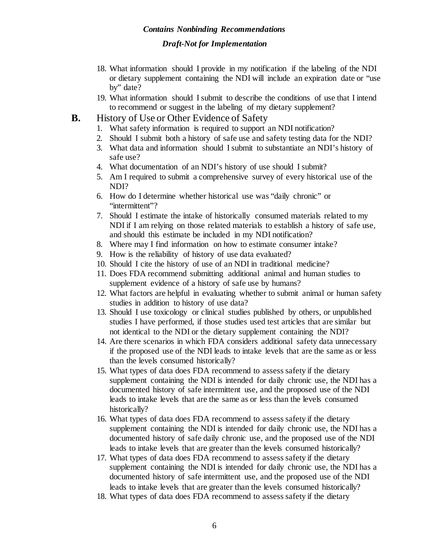#### *Draft-Not for Implementation*

- 18. What information should I provide in my notification if the labeling of the NDI or dietary supplement containing the NDI will include an expiration date or "use by" date?
- 19. What information should I submit to describe the conditions of use that I intend to recommend or suggest in the labeling of my dietary supplement?
- **B.** History of Use or Other Evidence of Safety
	- 1. What safety information is required to support an NDI notification?
	- 2. Should I submit both a history of safe use and safety testing data for the NDI?
	- 3. What data and information should I submit to substantiate an NDI's history of safe use?
	- 4. What documentation of an NDI's history of use should I submit?
	- 5. Am I required to submit a comprehensive survey of every historical use of the NDI?
	- 6. How do I determine whether historical use was "daily chronic" or "intermittent"?
	- 7. Should I estimate the intake of historically consumed materials related to my NDI if I am relying on those related materials to establish a history of safe use, and should this estimate be included in my NDI notification?
	- 8. Where may I find information on how to estimate consumer intake?
	- 9. How is the reliability of history of use data evaluated?
	- 10. Should I cite the history of use of an NDI in traditional medicine?
	- 11. Does FDA recommend submitting additional animal and human studies to supplement evidence of a history of safe use by humans?
	- 12. What factors are helpful in evaluating whether to submit animal or human safety studies in addition to history of use data?
	- 13. Should I use toxicology or clinical studies published by others, or unpublished studies I have performed, if those studies used test articles that are similar but not identical to the NDI or the dietary supplement containing the NDI?
	- 14. Are there scenarios in which FDA considers additional safety data unnecessary if the proposed use of the NDI leads to intake levels that are the same as or less than the levels consumed historically?
	- 15. What types of data does FDA recommend to assess safety if the dietary supplement containing the NDI is intended for daily chronic use, the NDI has a documented history of safe intermittent use, and the proposed use of the NDI leads to intake levels that are the same as or less than the levels consumed historically?
	- 16. What types of data does FDA recommend to assess safety if the dietary supplement containing the NDI is intended for daily chronic use, the NDI has a documented history of safe daily chronic use, and the proposed use of the NDI leads to intake levels that are greater than the levels consumed historically?
	- 17. What types of data does FDA recommend to assess safety if the dietary supplement containing the NDI is intended for daily chronic use, the NDI has a documented history of safe intermittent use, and the proposed use of the NDI leads to intake levels that are greater than the levels consumed historically?
	- 18. What types of data does FDA recommend to assess safety if the dietary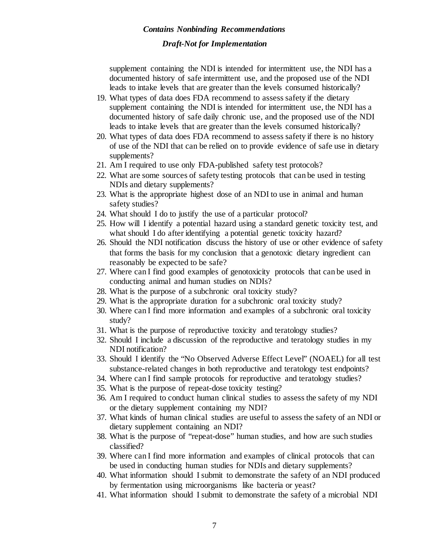#### *Draft-Not for Implementation*

supplement containing the NDI is intended for intermittent use, the NDI has a documented history of safe intermittent use, and the proposed use of the NDI leads to intake levels that are greater than the levels consumed historically?

- 19. What types of data does FDA recommend to assess safety if the dietary supplement containing the NDI is intended for intermittent use, the NDI has a documented history of safe daily chronic use, and the proposed use of the NDI leads to intake levels that are greater than the levels consumed historically?
- 20. What types of data does FDA recommend to assess safety if there is no history of use of the NDI that can be relied on to provide evidence of safe use in dietary supplements?
- 21. Am I required to use only FDA-published safety test protocols?
- 22. What are some sources of safety testing protocols that can be used in testing NDIs and dietary supplements?
- 23. What is the appropriate highest dose of an NDI to use in animal and human safety studies?
- 24. What should I do to justify the use of a particular protocol?
- 25. How will I identify a potential hazard using a standard genetic toxicity test, and what should I do after identifying a potential genetic toxicity hazard?
- 26. Should the NDI notification discuss the history of use or other evidence of safety that forms the basis for my conclusion that a genotoxic dietary ingredient can reasonably be expected to be safe?
- 27. Where can I find good examples of genotoxicity protocols that can be used in conducting animal and human studies on NDIs?
- 28. What is the purpose of a subchronic oral toxicity study?
- 29. What is the appropriate duration for a subchronic oral toxicity study?
- 30. Where can I find more information and examples of a subchronic oral toxicity study?
- 31. What is the purpose of reproductive toxicity and teratology studies?
- 32. Should I include a discussion of the reproductive and teratology studies in my NDI notification?
- 33. Should I identify the "No Observed Adverse Effect Level" (NOAEL) for all test substance-related changes in both reproductive and teratology test endpoints?
- 34. Where can I find sample protocols for reproductive and teratology studies?
- 35. What is the purpose of repeat-dose toxicity testing?
- 36. Am I required to conduct human clinical studies to assess the safety of my NDI or the dietary supplement containing my NDI?
- 37. What kinds of human clinical studies are useful to assess the safety of an NDI or dietary supplement containing an NDI?
- 38. What is the purpose of "repeat-dose" human studies, and how are such studies classified?
- 39. Where can I find more information and examples of clinical protocols that can be used in conducting human studies for NDIs and dietary supplements?
- 40. What information should I submit to demonstrate the safety of an NDI produced by fermentation using microorganisms like bacteria or yeast?
- 41. What information should I submit to demonstrate the safety of a microbial NDI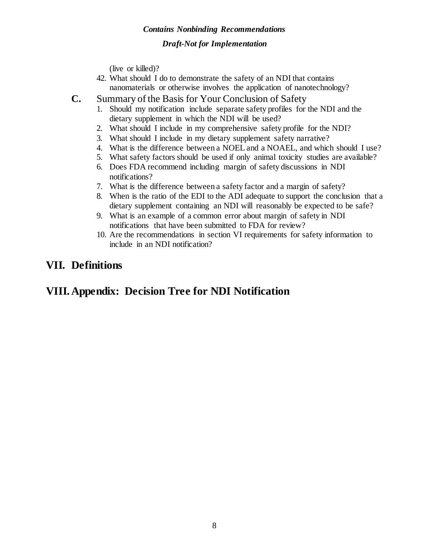#### *Draft-Not for Implementation*

(live or killed)?

- 42. What should I do to demonstrate the safety of an NDI that contains nanomaterials or otherwise involves the application of nanotechnology?
- **C.** Summary of the Basis for Your Conclusion of Safety
	- 1. Should my notification include separate safety profiles for the NDI and the dietary supplement in which the NDI will be used?
	- 2. What should I include in my comprehensive safety profile for the NDI?
	- 3. What should I include in my dietary supplement safety narrative?
	- 4. What is the difference between a NOEL and a NOAEL, and which should I use?
	- 5. What safety factors should be used if only animal toxicity studies are available?
	- 6. Does FDA recommend including margin of safety discussions in NDI notifications?
	- 7. What is the difference between a safety factor and a margin of safety?
	- 8. When is the ratio of the EDI to the ADI adequate to support the conclusion that a dietary supplement containing an NDI will reasonably be expected to be safe?
	- 9. What is an example of a common error about margin of safety in NDI notifications that have been submitted to FDA for review?
	- 10. Are the recommendations in section VI requirements for safety information to include in an NDI notification?

# **VII. Definitions**

# **VIII. Appendix: Decision Tree for NDI Notification**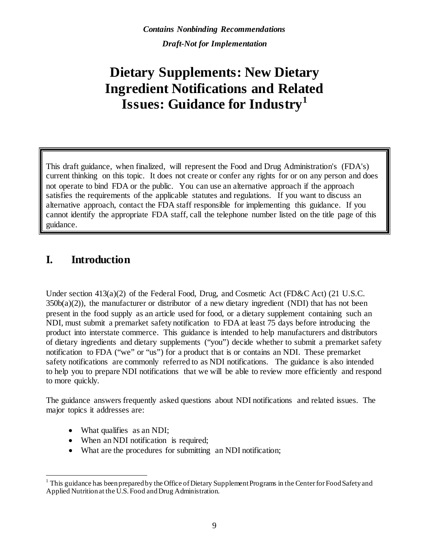# **Dietary Supplements: New Dietary Ingredient Notifications and Related Issues: Guidance for Industry[1](#page-8-0)**

This draft guidance, when finalized, will represent the Food and Drug Administration's (FDA's) current thinking on this topic. It does not create or confer any rights for or on any person and does not operate to bind FDA or the public. You can use an alternative approach if the approach satisfies the requirements of the applicable statutes and regulations. If you want to discuss an alternative approach, contact the FDA staff responsible for implementing this guidance. If you cannot identify the appropriate FDA staff, call the telephone number listed on the title page of this guidance.

# **I. Introduction**

Under section  $413(a)(2)$  of the Federal Food, Drug, and Cosmetic Act (FD&C Act) (21 U.S.C.  $350b(a)(2)$ , the manufacturer or distributor of a new dietary ingredient (NDI) that has not been present in the food supply as an article used for food, or a dietary supplement containing such an NDI, must submit a premarket safety notification to FDA at least 75 days before introducing the product into interstate commerce. This guidance is intended to help manufacturers and distributors of dietary ingredients and dietary supplements ("you") decide whether to submit a premarket safety notification to FDA ("we" or "us") for a product that is or contains an NDI. These premarket safety notifications are commonly referred to as NDI notifications. The guidance is also intended to help you to prepare NDI notifications that we will be able to review more efficiently and respond to more quickly.

The guidance answers frequently asked questions about NDI notifications and related issues. The major topics it addresses are:

- What qualifies as an NDI;
- When an NDI notification is required;
- What are the procedures for submitting an NDI notification;

<span id="page-8-0"></span> $1$  This guidance has been prepared by the Office of Dietary Supplement Programs in the Center for Food Safety and Applied Nutrition at the U.S. Food and Drug Administration.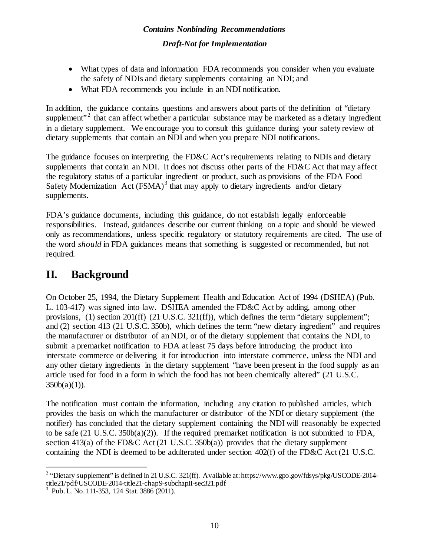- What types of data and information FDA recommends you consider when you evaluate the safety of NDIs and dietary supplements containing an NDI; and
- What FDA recommends you include in an NDI notification.

In addition, the guidance contains questions and answers about parts of the definition of "dietary supplement<sup> $2$ </sup> that can affect whether a particular substance may be marketed as a dietary ingredient in a dietary supplement. We encourage you to consult this guidance during your safety review of dietary supplements that contain an NDI and when you prepare NDI notifications.

The guidance focuses on interpreting the FD&C Act's requirements relating to NDIs and dietary supplements that contain an NDI. It does not discuss other parts of the FD&C Act that may affect the regulatory status of a particular ingredient or product, such as provisions of the FDA Food Safety Modernization  $\text{Act}$  (FSMA)<sup>[3](#page-9-1)</sup> that may apply to dietary ingredients and/or dietary supplements.

FDA's guidance documents, including this guidance, do not establish legally enforceable responsibilities. Instead, guidances describe our current thinking on a topic and should be viewed only as recommendations, unless specific regulatory or statutory requirements are cited. The use of the word *should* in FDA guidances means that something is suggested or recommended, but not required.

# **II. Background**

On October 25, 1994, the Dietary Supplement Health and Education Act of 1994 (DSHEA) (Pub. L. 103-417) was signed into law. DSHEA amended the FD&C Act by adding, among other provisions, (1) section 201(ff) (21 U.S.C. 321(ff)), which defines the term "dietary supplement"; and (2) section 413 (21 U.S.C. 350b), which defines the term "new dietary ingredient" and requires the manufacturer or distributor of an NDI, or of the dietary supplement that contains the NDI, to submit a premarket notification to FDA at least 75 days before introducing the product into interstate commerce or delivering it for introduction into interstate commerce, unless the NDI and any other dietary ingredients in the dietary supplement "have been present in the food supply as an article used for food in a form in which the food has not been chemically altered" (21 U.S.C.  $350b(a)(1)$ ).

The notification must contain the information, including any citation to published articles, which provides the basis on which the manufacturer or distributor of the NDI or dietary supplement (the notifier) has concluded that the dietary supplement containing the NDI will reasonably be expected to be safe (21 U.S.C. 350b(a)(2)). If the required premarket notification is not submitted to FDA, section 413(a) of the FD&C Act  $(21 \text{ U.S.C. } 350b(a))$  provides that the dietary supplement containing the NDI is deemed to be adulterated under section 402(f) of the FD&C Act (21 U.S.C.

<span id="page-9-0"></span><sup>&</sup>lt;sup>2</sup> "Dietary supplement" is defined in 21 U.S.C. 321(ff). Available at: https://www.gpo.gov/fdsys/pkg/USCODE-2014title21/pdf/USCODE-2014-title21-chap9-subchapII-sec321.pdf <sup>3</sup>

<span id="page-9-1"></span>Pub. L. No. 111-353, 124 Stat. 3886 (2011).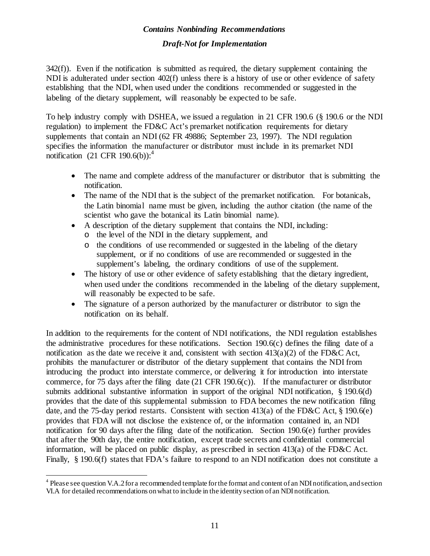#### *Draft-Not for Implementation*

 $342(f)$ ). Even if the notification is submitted as required, the dietary supplement containing the NDI is adulterated under section 402(f) unless there is a history of use or other evidence of safety establishing that the NDI, when used under the conditions recommended or suggested in the labeling of the dietary supplement, will reasonably be expected to be safe.

To help industry comply with DSHEA, we issued a regulation in 21 CFR 190.6 (§ 190.6 or the NDI regulation) to implement the FD&C Act's premarket notification requirements for dietary supplements that contain an NDI (62 FR 49886; September 23, 1997). The NDI regulation specifies the information the manufacturer or distributor must include in its premarket NDI notification (21 CFR 190.6(b)):<sup>4</sup>

- The name and complete address of the manufacturer or distributor that is submitting the notification.
- The name of the NDI that is the subject of the premarket notification. For botanicals, the Latin binomial name must be given, including the author citation (the name of the scientist who gave the botanical its Latin binomial name).
- A description of the dietary supplement that contains the NDI, including:
	- o the level of the NDI in the dietary supplement, and
	- o the conditions of use recommended or suggested in the labeling of the dietary supplement, or if no conditions of use are recommended or suggested in the supplement's labeling, the ordinary conditions of use of the supplement.
- The history of use or other evidence of safety establishing that the dietary ingredient, when used under the conditions recommended in the labeling of the dietary supplement, will reasonably be expected to be safe.
- The signature of a person authorized by the manufacturer or distributor to sign the notification on its behalf.

In addition to the requirements for the content of NDI notifications, the NDI regulation establishes the administrative procedures for these notifications. Section  $190.6(c)$  defines the filing date of a notification as the date we receive it and, consistent with section  $413(a)(2)$  of the FD&C Act, prohibits the manufacturer or distributor of the dietary supplement that contains the NDI from introducing the product into interstate commerce, or delivering it for introduction into interstate commerce, for 75 days after the filing date (21 CFR 190.6(c)). If the manufacturer or distributor submits additional substantive information in support of the original NDI notification, § 190.6(d) provides that the date of this supplemental submission to FDA becomes the new notification filing date, and the 75-day period restarts. Consistent with section 413(a) of the FD&C Act, § 190.6(e) provides that FDA will not disclose the existence of, or the information contained in, an NDI notification for 90 days after the filing date of the notification. Section 190.6(e) further provides that after the 90th day, the entire notification, except trade secrets and confidential commercial information, will be placed on public display, as prescribed in section 413(a) of the FD&C Act. Finally, § 190.6(f) states that FDA's failure to respond to an NDI notification does not constitute a

<span id="page-10-0"></span><sup>&</sup>lt;sup>4</sup> Please see question V.A.2 for a recommended template for the format and content of an NDI notification, and section VI.A for detailed recommendations on what to include in the identity section of an NDI notification.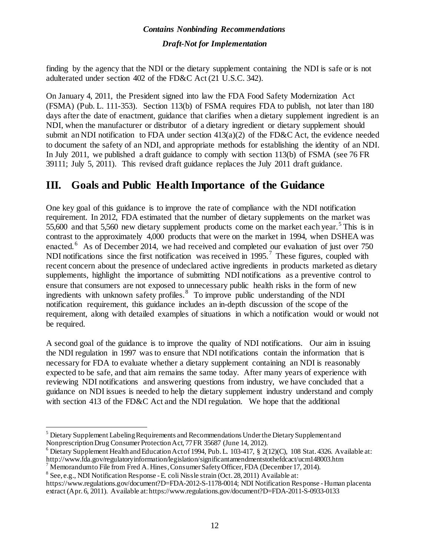#### *Draft-Not for Implementation*

finding by the agency that the NDI or the dietary supplement containing the NDI is safe or is not adulterated under section 402 of the FD&C Act (21 U.S.C. 342).

On January 4, 2011, the President signed into law the FDA Food Safety Modernization Act (FSMA) (Pub. L. 111-353). Section 113(b) of FSMA requires FDA to publish, not later than 180 days after the date of enactment, guidance that clarifies when a dietary supplement ingredient is an NDI, when the manufacturer or distributor of a dietary ingredient or dietary supplement should submit an NDI notification to FDA under section  $413(a)(2)$  of the FD&C Act, the evidence needed to document the safety of an NDI, and appropriate methods for establishing the identity of an NDI. In July 2011, we published a draft guidance to comply with section 113(b) of FSMA (see 76 FR 39111; July 5, 2011). This revised draft guidance replaces the July 2011 draft guidance.

# **III. Goals and Public Health Importance of the Guidance**

One key goal of this guidance is to improve the rate of compliance with the NDI notification requirement. In 2012, FDA estimated that the number of dietary supplements on the market was [5](#page-11-0)5,600 and that 5,560 new dietary supplement products come on the market each year.<sup>5</sup> This is in contrast to the approximately 4,000 products that were on the market in 1994, when DSHEA was enacted.<sup>[6](#page-11-1)</sup> As of December 2014, we had received and completed our evaluation of just over 750 NDI notifications since the first notification was received in 1995.<sup>[7](#page-11-2)</sup> These figures, coupled with recent concern about the presence of undeclared active ingredients in products marketed as dietary supplements, highlight the importance of submitting NDI notifications as a preventive control to ensure that consumers are not exposed to unnecessary public health risks in the form of new ingredients with unknown safety profiles.<sup>[8](#page-11-3)</sup> To improve public understanding of the NDI notification requirement, this guidance includes an in-depth discussion of the scope of the requirement, along with detailed examples of situations in which a notification would or would not be required.

A second goal of the guidance is to improve the quality of NDI notifications. Our aim in issuing the NDI regulation in 1997 was to ensure that NDI notifications contain the information that is necessary for FDA to evaluate whether a dietary supplement containing an NDI is reasonably expected to be safe, and that aim remains the same today. After many years of experience with reviewing NDI notifications and answering questions from industry, we have concluded that a guidance on NDI issues is needed to help the dietary supplement industry understand and comply with section 413 of the FD&C Act and the NDI regulation. We hope that the additional

<span id="page-11-0"></span> $<sup>5</sup>$  Dietary Supplement Labeling Requirements and Recommendations Under the Dietary Supplement and</sup>

<span id="page-11-1"></span>Nonprescription Drug Consumer Protection Act, 77 FR 35687 (June 14, 2012).<br><sup>6</sup> Dietary Supplement Health and Education Act of 1994, Pub. L. 103-417, § 2(12)(C), 108 Stat. 4326. Available at:<br>http://www.fda.gov/regulatoryin

<span id="page-11-2"></span>Memorandum to File from Fred A. Hines, Consumer Safety Officer, FDA (December 17, 2014).

<span id="page-11-3"></span><sup>8</sup> See, e.g., NDI Notification Response -E. coli Nissle strain (Oct. 28, 2011) Available at:

https://www.regulations.gov/document?D=FDA-2012-S-1178-0014; NDI Notification Response -Human placenta extract (Apr. 6, 2011). Available at: https://www.regulations.gov/document?D=FDA-2011-S-0933-0133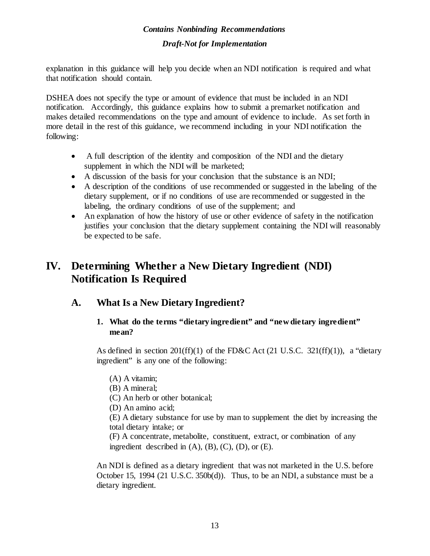explanation in this guidance will help you decide when an NDI notification is required and what that notification should contain.

DSHEA does not specify the type or amount of evidence that must be included in an NDI notification. Accordingly, this guidance explains how to submit a premarket notification and makes detailed recommendations on the type and amount of evidence to include. As set forth in more detail in the rest of this guidance, we recommend including in your NDI notification the following:

- A full description of the identity and composition of the NDI and the dietary supplement in which the NDI will be marketed;
- A discussion of the basis for your conclusion that the substance is an NDI;
- A description of the conditions of use recommended or suggested in the labeling of the dietary supplement, or if no conditions of use are recommended or suggested in the labeling, the ordinary conditions of use of the supplement; and
- An explanation of how the history of use or other evidence of safety in the notification justifies your conclusion that the dietary supplement containing the NDI will reasonably be expected to be safe.

# **IV. Determining Whether a New Dietary Ingredient (NDI) Notification Is Required**

# **A. What Is a New Dietary Ingredient?**

#### **1. What do the terms "dietary ingredient" and "new dietary ingredient" mean?**

As defined in section  $201(ff)(1)$  of the FD&C Act (21 U.S.C. 321(ff)(1)), a "dietary ingredient" is any one of the following:

(A) A vitamin;

- (B) A mineral;
- (C) An herb or other botanical;

(D) An amino acid;

(E) A dietary substance for use by man to supplement the diet by increasing the total dietary intake; or

(F) A concentrate, metabolite, constituent, extract, or combination of any ingredient described in  $(A)$ ,  $(B)$ ,  $(C)$ ,  $(D)$ , or  $(E)$ .

An NDI is defined as a dietary ingredient that was not marketed in the U.S. before October 15, 1994 (21 U.S.C. 350b(d)). Thus, to be an NDI, a substance must be a dietary ingredient.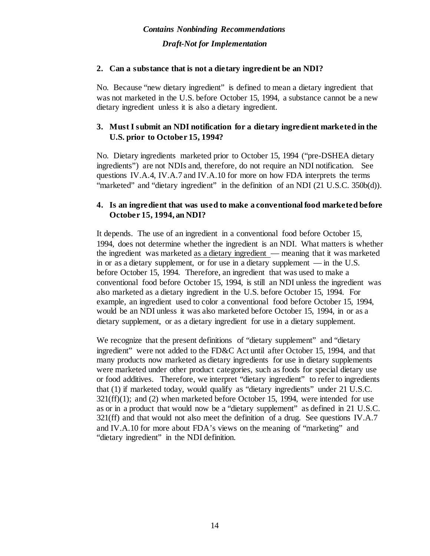#### **2. Can a substance that is not a dietary ingredient be an NDI?**

No. Because "new dietary ingredient" is defined to mean a dietary ingredient that was not marketed in the U.S. before October 15, 1994, a substance cannot be a new dietary ingredient unless it is also a dietary ingredient.

#### **3. Must I submit an NDI notification for a dietary ingredient marketed in the U.S. prior to October 15, 1994?**

No. Dietary ingredients marketed prior to October 15, 1994 ("pre-DSHEA dietary ingredients") are not NDIs and, therefore, do not require an NDI notification. See questions [IV.A.4,](#page-13-0) [IV.A.7](#page-16-0) and [IV.A.10](#page-18-0) for more on how FDA interprets the terms "marketed" and "dietary ingredient" in the definition of an NDI (21 U.S.C. 350b(d)).

#### <span id="page-13-0"></span>**4. Is an ingredient that was used to make a conventional food marketed before October 15, 1994, an NDI?**

It depends. The use of an ingredient in a conventional food before October 15, 1994, does not determine whether the ingredient is an NDI. What matters is whether the ingredient was marketed as a dietary ingredient — meaning that it was marketed in or as a dietary supplement, or for use in a dietary supplement — in the U.S. before October 15, 1994. Therefore, an ingredient that was used to make a conventional food before October 15, 1994, is still an NDI unless the ingredient was also marketed as a dietary ingredient in the U.S. before October 15, 1994. For example, an ingredient used to color a conventional food before October 15, 1994, would be an NDI unless it was also marketed before October 15, 1994, in or as a dietary supplement, or as a dietary ingredient for use in a dietary supplement.

We recognize that the present definitions of "dietary supplement" and "dietary ingredient" were not added to the FD&C Act until after October 15, 1994, and that many products now marketed as dietary ingredients for use in dietary supplements were marketed under other product categories, such as foods for special dietary use or food additives. Therefore, we interpret "dietary ingredient" to refer to ingredients that (1) if marketed today, would qualify as "dietary ingredients" under 21 U.S.C.  $321(ff)(1)$ ; and (2) when marketed before October 15, 1994, were intended for use as or in a product that would now be a "dietary supplement" as defined in 21 U.S.C. 321(ff) and that would not also meet the definition of a drug. See questions [IV.A.7](#page-16-0) and [IV.A.10](#page-18-0) for more about FDA's views on the meaning of "marketing" and "dietary ingredient" in the NDI definition.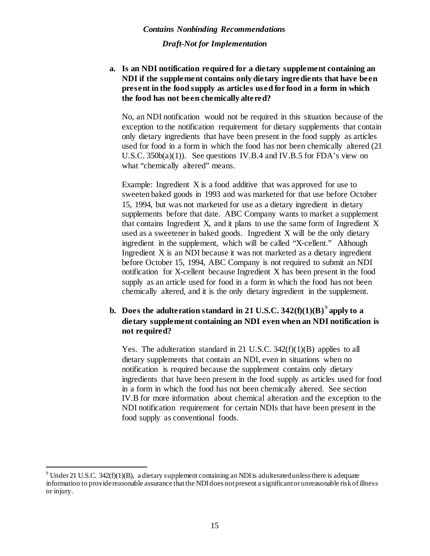**a. Is an NDI notification required for a dietary supplement containing an NDI if the supplement contains only dietary ingredients that have been present in the food supply as articles used for food in a form in which the food has not been chemically altered?**

No, an NDI notification would not be required in this situation because of the exception to the notification requirement for dietary supplements that contain only dietary ingredients that have been present in the food supply as articles used for food in a form in which the food has not been chemically altered (21 U.S.C.  $350b(a)(1)$ . See questions [IV.B.4](#page-24-0) and [IV.B.5](#page-25-0) for FDA's view on what "chemically altered" means.

Example: Ingredient X is a food additive that was approved for use to sweeten baked goods in 1993 and was marketed for that use before October 15, 1994, but was not marketed for use as a dietary ingredient in dietary supplements before that date. ABC Company wants to market a supplement that contains Ingredient X, and it plans to use the same form of Ingredient X used as a sweetener in baked goods. Ingredient X will be the only dietary ingredient in the supplement, which will be called "X-cellent." Although Ingredient X is an NDI because it was not marketed as a dietary ingredient before October 15, 1994, ABC Company is not required to submit an NDI notification for X-cellent because Ingredient X has been present in the food supply as an article used for food in a form in which the food has not been chemically altered, and it is the only dietary ingredient in the supplement.

#### **b. Does the adulteration standard in 21 U.S.C. 342(f)(1)(B)<sup>[9](#page-14-0)</sup> apply to a dietary supplement containing an NDI even when an NDI notification is not required?**

Yes. The adulteration standard in 21 U.S.C. 342(f)(1)(B) applies to all dietary supplements that contain an NDI, even in situations when no notification is required because the supplement contains only dietary ingredients that have been present in the food supply as articles used for food in a form in which the food has not been chemically altered. See section [IV.B](#page-2-0) for more information about chemical alteration and the exception to the NDI notification requirement for certain NDIs that have been present in the food supply as conventional foods.

<span id="page-14-0"></span> $9$  Under 21 U.S.C. 342(f)(1)(B), a dietary supplement containing an NDI is adulterated unless there is adequate information to provide reasonable assurance that the NDI does not present a significant or unreasonable risk of illness or injury.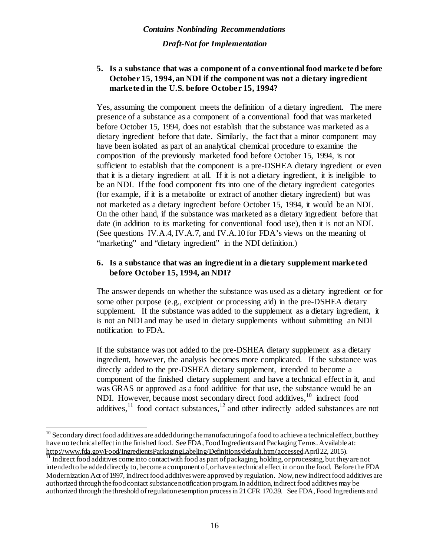#### **5. Is a substance that was a component of a conventional food marketed before October 15, 1994, an NDI if the component was not a dietary ingredient marketed in the U.S. before October 15, 1994?**

Yes, assuming the component meets the definition of a dietary ingredient. The mere presence of a substance as a component of a conventional food that was marketed before October 15, 1994, does not establish that the substance was marketed as a dietary ingredient before that date. Similarly, the fact that a minor component may have been isolated as part of an analytical chemical procedure to examine the composition of the previously marketed food before October 15, 1994, is not sufficient to establish that the component is a pre-DSHEA dietary ingredient or even that it is a dietary ingredient at all. If it is not a dietary ingredient, it is ineligible to be an NDI. If the food component fits into one of the dietary ingredient categories (for example, if it is a metabolite or extract of another dietary ingredient) but was not marketed as a dietary ingredient before October 15, 1994, it would be an NDI. On the other hand, if the substance was marketed as a dietary ingredient before that date (in addition to its marketing for conventional food use), then it is not an NDI. (See questions [IV.A.4,](#page-13-0) [IV.A.7,](#page-16-0) and [IV.A.10](#page-18-0) for FDA's views on the meaning of "marketing" and "dietary ingredient" in the NDI definition.)

#### **6. Is a substance that was an ingredient in a dietary supplement marketed before October 15, 1994, an NDI?**

The answer depends on whether the substance was used as a dietary ingredient or for some other purpose (e.g., excipient or processing aid) in the pre-DSHEA dietary supplement. If the substance was added to the supplement as a dietary ingredient, it is not an NDI and may be used in dietary supplements without submitting an NDI notification to FDA.

If the substance was not added to the pre-DSHEA dietary supplement as a dietary ingredient, however, the analysis becomes more complicated. If the substance was directly added to the pre-DSHEA dietary supplement, intended to become a component of the finished dietary supplement and have a technical effect in it, and was GRAS or approved as a food additive for that use, the substance would be an NDI. However, because most secondary direct food additives,<sup>[10](#page-15-0)</sup> indirect food additives,<sup>[11](#page-15-1)</sup> food contact substances,<sup>[12](#page-15-1)</sup> and other indirectly added substances are not

<span id="page-15-0"></span> $10$  Secondary direct food additives are added during the manufacturing of a food to achieve a technical effect, but they have no technical effect in the finished food. See FDA, Food Ingredients and Packaging Terms. A vailable at:<br>http://www.fda.gov/Food/IngredientsPackagingLabeling/Definitions/default.htm (accessed April 22, 2015).

<span id="page-15-1"></span>Indirect food additives come into contact with food as part of packaging, holding, or processing, but they are not intended to be added directly to, become a component of, or have a technical effect in or on the food. Before the FDA Modernization Act of 1997, indirect food additives were approved by regulation. Now, new indirect food additives are authorized through the food contact substance notification program. In addition, indirect food additives may be authorized through the threshold of regulation exemption process in 21 CFR 170.39. See FDA, Food Ingredients and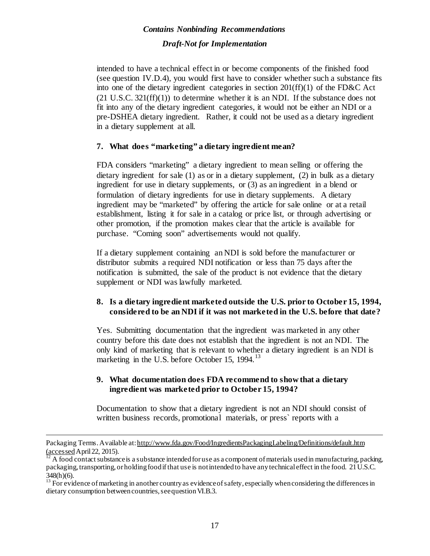intended to have a technical effect in or become components of the finished food (see question [IV.D.4\)](#page-39-0), you would first have to consider whether such a substance fits into one of the dietary ingredient categories in section 201(ff)(1) of the FD&C Act (21 U.S.C. 321(ff)(1)) to determine whether it is an NDI. If the substance does not fit into any of the dietary ingredient categories, it would not be either an NDI or a pre-DSHEA dietary ingredient. Rather, it could not be used as a dietary ingredient in a dietary supplement at all.

#### <span id="page-16-0"></span>**7. What does "marketing" a dietary ingredient mean?**

FDA considers "marketing" a dietary ingredient to mean selling or offering the dietary ingredient for sale (1) as or in a dietary supplement, (2) in bulk as a dietary ingredient for use in dietary supplements, or (3) as an ingredient in a blend or formulation of dietary ingredients for use in dietary supplements. A dietary ingredient may be "marketed" by offering the article for sale online or at a retail establishment, listing it for sale in a catalog or price list, or through advertising or other promotion, if the promotion makes clear that the article is available for purchase. "Coming soon" advertisements would not qualify.

If a dietary supplement containing an NDI is sold before the manufacturer or distributor submits a required NDI notification or less than 75 days after the notification is submitted, the sale of the product is not evidence that the dietary supplement or NDI was lawfully marketed.

#### **8. Is a dietary ingredient marketed outside the U.S. prior to October 15, 1994, considered to be an NDI if it was not marketed in the U.S. before that date?**

Yes. Submitting documentation that the ingredient was marketed in any other country before this date does not establish that the ingredient is not an NDI. The only kind of marketing that is relevant to whether a dietary ingredient is an NDI is marketing in the U.S. before October 15, 1994.<sup>[13](#page-16-1)</sup>

#### <span id="page-16-2"></span>**9. What documentation does FDA recommend to show that a dietary ingredient was marketed prior to October 15, 1994?**

Documentation to show that a dietary ingredient is not an NDI should consist of written business records, promotional materials, or press` reports with a

-

Packaging Terms. Available at[: http://www.fda.gov/Food/IngredientsPackagingLabeling/Definitions/default.htm](http://www.fda.gov/Food/IngredientsPackagingLabeling/Definitions/default.htm%20(accessed)<br>(accessed April 22, 2015).

A food contact substance is a substance intended for use as a component of materials used in manufacturing, packing, packaging, transporting, or holding food if that use is not intended to have any technical effect in the food. 21 U.S.C. 348(h)(6).

<span id="page-16-1"></span>For evidence of marketing in another country as evidence of safety, especially when considering the differences in dietary consumption between countries, see questio[n VI.B.3.](#page-67-0)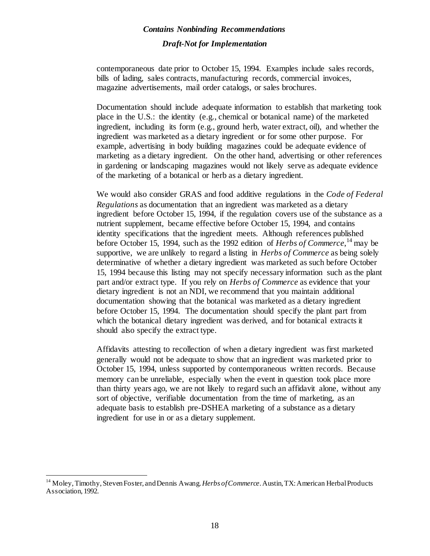contemporaneous date prior to October 15, 1994. Examples include sales records, bills of lading, sales contracts, manufacturing records, commercial invoices, magazine advertisements, mail order catalogs, or sales brochures.

Documentation should include adequate information to establish that marketing took place in the U.S.: the identity (e.g., chemical or botanical name) of the marketed ingredient, including its form (e.g., ground herb, water extract, oil), and whether the ingredient was marketed as a dietary ingredient or for some other purpose. For example, advertising in body building magazines could be adequate evidence of marketing as a dietary ingredient. On the other hand, advertising or other references in gardening or landscaping magazines would not likely serve as adequate evidence of the marketing of a botanical or herb as a dietary ingredient.

We would also consider GRAS and food additive regulations in the *Code of Federal Regulations* as documentation that an ingredient was marketed as a dietary ingredient before October 15, 1994, if the regulation covers use of the substance as a nutrient supplement, became effective before October 15, 1994, and contains identity specifications that the ingredient meets*.* Although references published before October 15, 1994, such as the 1992 edition of *Herbs of Commerce*, [14](#page-17-0) may be supportive, we are unlikely to regard a listing in *Herbs of Commerce* as being solely determinative of whether a dietary ingredient was marketed as such before October 15, 1994 because this listing may not specify necessary information such as the plant part and/or extract type. If you rely on *Herbs of Commerce* as evidence that your dietary ingredient is not an NDI, we recommend that you maintain additional documentation showing that the botanical was marketed as a dietary ingredient before October 15, 1994. The documentation should specify the plant part from which the botanical dietary ingredient was derived, and for botanical extracts it should also specify the extract type.

Affidavits attesting to recollection of when a dietary ingredient was first marketed generally would not be adequate to show that an ingredient was marketed prior to October 15, 1994, unless supported by contemporaneous written records. Because memory can be unreliable, especially when the event in question took place more than thirty years ago, we are not likely to regard such an affidavit alone, without any sort of objective, verifiable documentation from the time of marketing, as an adequate basis to establish pre-DSHEA marketing of a substance as a dietary ingredient for use in or as a dietary supplement.

<span id="page-17-0"></span><sup>&</sup>lt;sup>14</sup> Moley, Timothy, Steven Foster, and Dennis Awang. *Herbs of Commerce*. Austin, TX: American Herbal Products Association, 1992.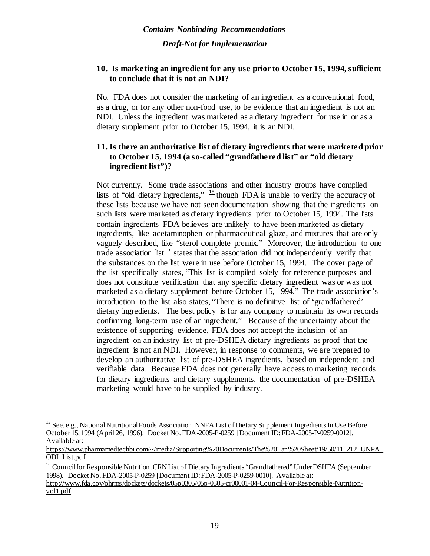#### <span id="page-18-0"></span>**10. Is marketing an ingredient for any use prior to October 15, 1994, sufficient to conclude that it is not an NDI?**

No. FDA does not consider the marketing of an ingredient as a conventional food, as a drug, or for any other non-food use, to be evidence that an ingredient is not an NDI. Unless the ingredient was marketed as a dietary ingredient for use in or as a dietary supplement prior to October 15, 1994, it is an NDI.

#### **11. Is there an authoritative list of dietary ingredients that were marketed prior to October 15, 1994 (a so-called "grandfathered list" or "old dietary ingredient list")?**

Not currently. Some trade associations and other industry groups have compiled lists of "old dietary ingredients,"  $\frac{15}{2}$  $\frac{15}{2}$  $\frac{15}{2}$  though FDA is unable to verify the accuracy of these lists because we have not seen documentation showing that the ingredients on such lists were marketed as dietary ingredients prior to October 15, 1994. The lists contain ingredients FDA believes are unlikely to have been marketed as dietary ingredients, like acetaminophen or pharmaceutical glaze, and mixtures that are only vaguely described, like "sterol complete premix." Moreover, the introduction to one trade association list<sup>[16](#page-18-2)</sup> states that the association did not independently verify that the substances on the list were in use before October 15, 1994. The cover page of the list specifically states, "This list is compiled solely for reference purposes and does not constitute verification that any specific dietary ingredient was or was not marketed as a dietary supplement before October 15, 1994." The trade association's introduction to the list also states, "There is no definitive list of 'grandfathered' dietary ingredients. The best policy is for any company to maintain its own records confirming long-term use of an ingredient." Because of the uncertainty about the existence of supporting evidence, FDA does not accept the inclusion of an ingredient on an industry list of pre-DSHEA dietary ingredients as proof that the ingredient is not an NDI. However, in response to comments, we are prepared to develop an authoritative list of pre-DSHEA ingredients, based on independent and verifiable data. Because FDA does not generally have access to marketing records for dietary ingredients and dietary supplements, the documentation of pre-DSHEA marketing would have to be supplied by industry.

-

<span id="page-18-1"></span>**<sup>15</sup>** See, e.g., National Nutritional Foods Association, NNFA List of Dietary Supplement Ingredients In Use Before October 15, 1994 (April 26, 1996). Docket No.FDA-2005-P-0259 [Document ID: FDA-2005-P-0259-0012]. Available at:

https://www.pharmamedtechbi.com/~/media/Supporting%20Documents/The%20Tan%20Sheet/19/50/111212\_UNPA ODI List.pdf

<span id="page-18-2"></span><sup>&</sup>lt;sup>16</sup> Council for Responsible Nutrition, CRN List of Dietary Ingredients "Grandfathered" Under DSHEA (September 1998). Docket No. FDA-2005-P-0259 [Document ID: FDA-2005-P-0259-0010]. Available at: http://www.fda.gov/ohrms/dockets/dockets/05p0305/05p-0305-cr00001-04-Council-For-Responsible-Nutritionvol1.pdf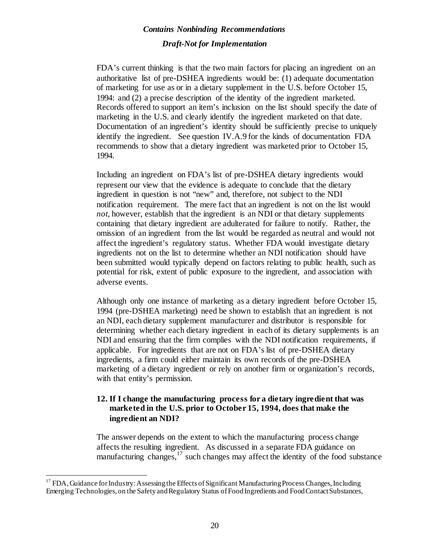FDA's current thinking is that the two main factors for placing an ingredient on an authoritative list of pre-DSHEA ingredients would be: (1) adequate documentation of marketing for use as or in a dietary supplement in the U.S. before October 15, 1994: and (2) a precise description of the identity of the ingredient marketed. Records offered to support an item's inclusion on the list should specify the date of marketing in the U.S. and clearly identify the ingredient marketed on that date. Documentation of an ingredient's identity should be sufficiently precise to uniquely identify the ingredient. See question [IV.A.9](#page-16-2) for the kinds of documentation FDA recommends to show that a dietary ingredient was marketed prior to October 15, 1994.

Including an ingredient on FDA's list of pre-DSHEA dietary ingredients would represent our view that the evidence is adequate to conclude that the dietary ingredient in question is not "new" and, therefore, not subject to the NDI notification requirement. The mere fact that an ingredient is not on the list would *not*, however, establish that the ingredient is an NDI or that dietary supplements containing that dietary ingredient are adulterated for failure to notify. Rather, the omission of an ingredient from the list would be regarded as neutral and would not affect the ingredient's regulatory status. Whether FDA would investigate dietary ingredients not on the list to determine whether an NDI notification should have been submitted would typically depend on factors relating to public health, such as potential for risk, extent of public exposure to the ingredient, and association with adverse events.

Although only one instance of marketing as a dietary ingredient before October 15, 1994 (pre-DSHEA marketing) need be shown to establish that an ingredient is not an NDI, each dietary supplement manufacturer and distributor is responsible for determining whether each dietary ingredient in each of its dietary supplements is an NDI and ensuring that the firm complies with the NDI notification requirements, if applicable. For ingredients that are not on FDA's list of pre-DSHEA dietary ingredients, a firm could either maintain its own records of the pre-DSHEA marketing of a dietary ingredient or rely on another firm or organization's records, with that entity's permission.

#### <span id="page-19-1"></span>**12. If I change the manufacturing process for a dietary ingredient that was marketed in the U.S. prior to October 15, 1994, does that make the ingredient an NDI?**

The answer depends on the extent to which the manufacturing process change affects the resulting ingredient. As discussed in a separate FDA guidance on manufacturing changes,<sup>[17](#page-19-0)</sup> such changes may affect the identity of the food substance

<span id="page-19-0"></span><sup>&</sup>lt;sup>17</sup> FDA, Guidance for Industry: Assessing the Effects of Significant Manufacturing Process Changes, Including [Emerging Technologies, on the Safety and Regulatory Status of Food Ingredients and Food Contact Substances,](http://www.fda.gov/food/guidanceregulation/guidancedocumentsregulatoryinformation/ucm300661.htm)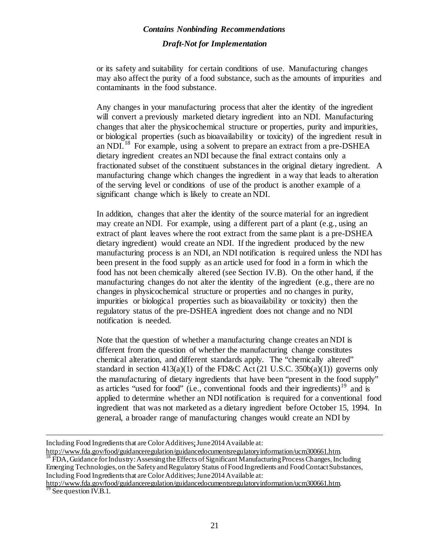or its safety and suitability for certain conditions of use. Manufacturing changes may also affect the purity of a food substance, such as the amounts of impurities and contaminants in the food substance.

Any changes in your manufacturing process that alter the identity of the ingredient will convert a previously marketed dietary ingredient into an NDI. Manufacturing changes that alter the physicochemical structure or properties, purity and impurities, or biological properties (such as bioavailability or toxicity) of the ingredient result in an NDI.<sup>18</sup> For example, using a solvent to prepare an extract from a pre-DSHEA dietary ingredient creates an NDI because the final extract contains only a fractionated subset of the constituent substances in the original dietary ingredient. A manufacturing change which changes the ingredient in a way that leads to alteration of the serving level or conditions of use of the product is another example of a significant change which is likely to create an NDI.

In addition, changes that alter the identity of the source material for an ingredient may create an NDI. For example, using a different part of a plant (e.g., using an extract of plant leaves where the root extract from the same plant is a pre-DSHEA dietary ingredient) would create an NDI. If the ingredient produced by the new manufacturing process is an NDI, an NDI notification is required unless the NDI has been present in the food supply as an article used for food in a form in which the food has not been chemically altered (see Section [IV.B\)](#page-22-0). On the other hand, if the manufacturing changes do not alter the identity of the ingredient (e.g., there are no changes in physicochemical structure or properties and no changes in purity, impurities or biological properties such as bioavailability or toxicity) then the regulatory status of the pre-DSHEA ingredient does not change and no NDI notification is needed.

Note that the question of whether a manufacturing change creates an NDI is different from the question of whether the manufacturing change constitutes chemical alteration, and different standards apply. The "chemically altered" standard in section  $413(a)(1)$  of the FD&C Act (21 U.S.C. 350b(a)(1)) governs only the manufacturing of dietary ingredients that have been "present in the food supply" as articles "used for food" (i.e., conventional foods and their ingredients)<sup>[19](#page-20-1)</sup> and is applied to determine whether an NDI notification is required for a conventional food ingredient that was not marketed as a dietary ingredient before October 15, 1994. In general, a broader range of manufacturing changes would create an NDI by

-

<span id="page-20-0"></span>

[Including Food Ingredients that are Color Additives](http://www.fda.gov/food/guidanceregulation/guidancedocumentsregulatoryinformation/ucm300661.htm); June 2014 Available at:<br>http://www.fda.gov/food/guidanceregulation/guidancedocumentsregulatoryinformation/ucm300661.htm. fDA, Guidance for Industry: Assessing the Effects of Significant Manufacturing Process Changes, Including [Emerging Technologies, on the Safety and Regulatory Status of Food Ingredients and Food Contact Substances,](http://www.fda.gov/food/guidanceregulation/guidancedocumentsregulatoryinformation/ucm300661.htm)  [Including Food Ingredients that are Color Additives](http://www.fda.gov/food/guidanceregulation/guidancedocumentsregulatoryinformation/ucm300661.htm); June 2014 Available at:

<span id="page-20-1"></span>[http://www.fda.gov/food/guidanceregulation/guidancedocumentsregulatoryinformation/ucm300661.htm.](http://www.fda.gov/food/guidanceregulation/guidancedocumentsregulatoryinformation/ucm300661.htm)<br><sup>[19](http://www.fda.gov/food/guidanceregulation/guidancedocumentsregulatoryinformation/ucm300661.htm)</sup> See questio[n IV.B.1.](#page-22-1)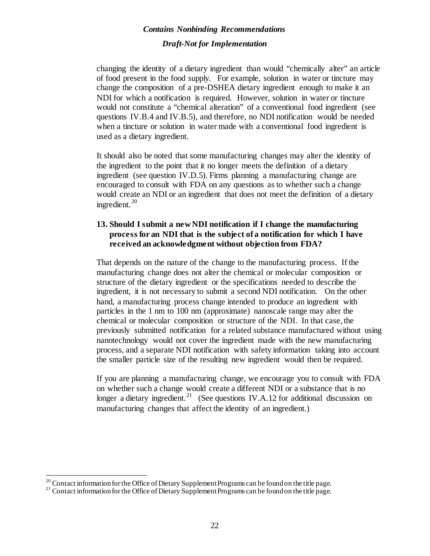#### *Draft-Not for Implementation*

changing the identity of a dietary ingredient than would "chemically alter" an article of food present in the food supply. For example, solution in water or tincture may change the composition of a pre-DSHEA dietary ingredient enough to make it an NDI for which a notification is required. However, solution in water or tincture would not constitute a "chemical alteration" of a conventional food ingredient (see questions [IV.B.4](#page-24-0) and [IV.B.5\)](#page-25-0), and therefore, no NDI notification would be needed when a tincture or solution in water made with a conventional food ingredient is used as a dietary ingredient.

It should also be noted that some manufacturing changes may alter the identity of the ingredient to the point that it no longer meets the definition of a dietary ingredient (see question [IV.D.5\)](#page-40-0). Firms planning a manufacturing change are encouraged to consult with FDA on any questions as to whether such a change would create an NDI or an ingredient that does not meet the definition of a dietary ingredient. [20](#page-21-0)

#### **13. Should I submit a new NDI notification if I change the manufacturing process for an NDI that is the subject of a notification for which I have received an acknowledgment without objection from FDA?**

That depends on the nature of the change to the manufacturing process. If the manufacturing change does not alter the chemical or molecular composition or structure of the dietary ingredient or the specifications needed to describe the ingredient, it is not necessary to submit a second NDI notification. On the other hand, a manufacturing process change intended to produce an ingredient with particles in the 1 nm to 100 nm (approximate) nanoscale range may alter the chemical or molecular composition or structure of the NDI. In that case, the previously submitted notification for a related substance manufactured without using nanotechnology would not cover the ingredient made with the new manufacturing process, and a separate NDI notification with safety information taking into account the smaller particle size of the resulting new ingredient would then be required.

If you are planning a manufacturing change, we encourage you to consult with FDA on whether such a change would create a different NDI or a substance that is no longer a dietary ingredient.<sup>21</sup> (See questions [IV.A.12](#page-19-1) for additional discussion on manufacturing changes that affect the identity of an ingredient.)

<span id="page-21-0"></span><sup>&</sup>lt;sup>20</sup> Contact information for the Office of Dietary Supplement Programs can be found on the title page.<br><sup>21</sup> Contact information for the Office of Dietary Supplement Programs can be found on the title page.

<span id="page-21-1"></span>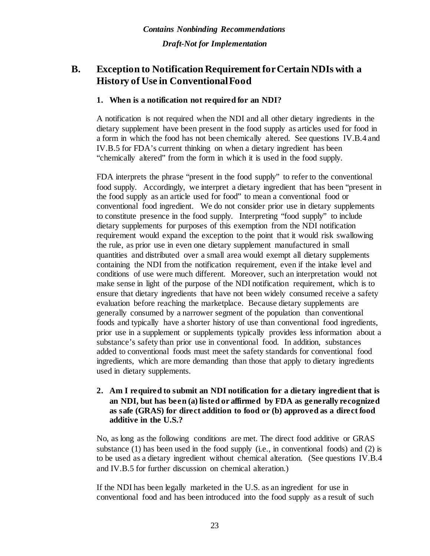## <span id="page-22-1"></span><span id="page-22-0"></span>**B. Exception to Notification Requirement for Certain NDIs with a History of Use in Conventional Food**

#### **1. When is a notification not required for an NDI?**

A notification is not required when the NDI and all other dietary ingredients in the dietary supplement have been present in the food supply as articles used for food in a form in which the food has not been chemically altered. See questions [IV.B.4](#page-24-0) and [IV.B.5](#page-25-0) for FDA's current thinking on when a dietary ingredient has been "chemically altered" from the form in which it is used in the food supply.

FDA interprets the phrase "present in the food supply" to refer to the conventional food supply. Accordingly, we interpret a dietary ingredient that has been "present in the food supply as an article used for food" to mean a conventional food or conventional food ingredient. We do not consider prior use in dietary supplements to constitute presence in the food supply. Interpreting "food supply" to include dietary supplements for purposes of this exemption from the NDI notification requirement would expand the exception to the point that it would risk swallowing the rule, as prior use in even one dietary supplement manufactured in small quantities and distributed over a small area would exempt all dietary supplements containing the NDI from the notification requirement, even if the intake level and conditions of use were much different. Moreover, such an interpretation would not make sense in light of the purpose of the NDI notification requirement, which is to ensure that dietary ingredients that have not been widely consumed receive a safety evaluation before reaching the marketplace. Because dietary supplements are generally consumed by a narrower segment of the population than conventional foods and typically have a shorter history of use than conventional food ingredients, prior use in a supplement or supplements typically provides less information about a substance's safety than prior use in conventional food. In addition, substances added to conventional foods must meet the safety standards for conventional food ingredients, which are more demanding than those that apply to dietary ingredients used in dietary supplements.

#### **2. Am I required to submit an NDI notification for a dietary ingredient that is an NDI, but has been (a) listed or affirmed by FDA as generally recognized as safe (GRAS) for direct addition to food or (b) approved as a direct food additive in the U.S.?**

No, as long as the following conditions are met. The direct food additive or GRAS substance  $(1)$  has been used in the food supply (i.e., in conventional foods) and  $(2)$  is to be used as a dietary ingredient without chemical alteration. (See questions [IV.B.4](#page-24-0) and [IV.B.5](#page-25-0) for further discussion on chemical alteration.)

If the NDI has been legally marketed in the U.S. as an ingredient for use in conventional food and has been introduced into the food supply as a result of such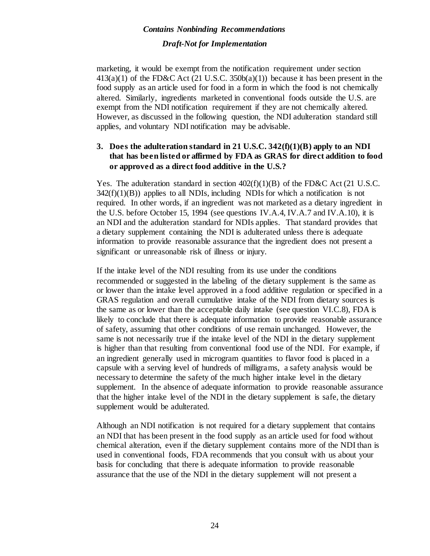#### *Draft-Not for Implementation*

marketing, it would be exempt from the notification requirement under section  $413(a)(1)$  of the FD&C Act (21 U.S.C. 350b(a)(1)) because it has been present in the food supply as an article used for food in a form in which the food is not chemically altered. Similarly, ingredients marketed in conventional foods outside the U.S. are exempt from the NDI notification requirement if they are not chemically altered. However, as discussed in the following question, the NDI adulteration standard still applies, and voluntary NDI notification may be advisable.

#### **3. Does the adulteration standard in 21 U.S.C. 342(f)(1)(B) apply to an NDI that has been listed or affirmed by FDA as GRAS for direct addition to food or approved as a direct food additive in the U.S.?**

Yes. The adulteration standard in section  $402(f)(1)(B)$  of the FD&C Act (21 U.S.C.  $342(f)(1)(B)$  applies to all NDIs, including NDIs for which a notification is not required. In other words, if an ingredient was not marketed as a dietary ingredient in the U.S. before October 15, 1994 (see questions [IV.A.4,](#page-13-0) [IV.A.7](#page-16-0) and [IV.A.10\)](#page-18-0), it is an NDI and the adulteration standard for NDIs applies. That standard provides that a dietary supplement containing the NDI is adulterated unless there is adequate information to provide reasonable assurance that the ingredient does not present a significant or unreasonable risk of illness or injury.

If the intake level of the NDI resulting from its use under the conditions recommended or suggested in the labeling of the dietary supplement is the same as or lower than the intake level approved in a food additive regulation or specified in a GRAS regulation and overall cumulative intake of the NDI from dietary sources is the same as or lower than the acceptable daily intake (see question [VI.C.8\)](#page-93-0), FDA is likely to conclude that there is adequate information to provide reasonable assurance of safety, assuming that other conditions of use remain unchanged. However, the same is not necessarily true if the intake level of the NDI in the dietary supplement is higher than that resulting from conventional food use of the NDI. For example, if an ingredient generally used in microgram quantities to flavor food is placed in a capsule with a serving level of hundreds of milligrams, a safety analysis would be necessary to determine the safety of the much higher intake level in the dietary supplement. In the absence of adequate information to provide reasonable assurance that the higher intake level of the NDI in the dietary supplement is safe, the dietary supplement would be adulterated.

Although an NDI notification is not required for a dietary supplement that contains an NDI that has been present in the food supply as an article used for food without chemical alteration, even if the dietary supplement contains more of the NDI than is used in conventional foods, FDA recommends that you consult with us about your basis for concluding that there is adequate information to provide reasonable assurance that the use of the NDI in the dietary supplement will not present a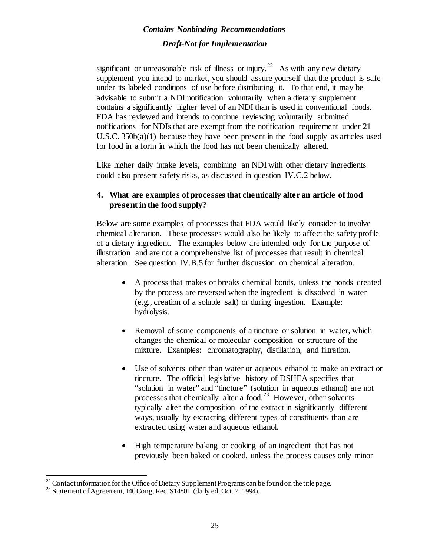significant or unreasonable risk of illness or injury.<sup>22</sup> As with any new dietary supplement you intend to market, you should assure yourself that the product is safe under its labeled conditions of use before distributing it. To that end, it may be advisable to submit a NDI notification voluntarily when a dietary supplement contains a significantly higher level of an NDI than is used in conventional foods. FDA has reviewed and intends to continue reviewing voluntarily submitted notifications for NDIs that are exempt from the notification requirement under 21 U.S.C.  $350b(a)(1)$  because they have been present in the food supply as articles used for food in a form in which the food has not been chemically altered.

Like higher daily intake levels, combining an NDI with other dietary ingredients could also present safety risks, as discussed in question [IV.C.2](#page-28-0) below.

#### <span id="page-24-0"></span>**4. What are examples of processes that chemically alter an article of food present in the food supply?**

Below are some examples of processes that FDA would likely consider to involve chemical alteration. These processes would also be likely to affect the safety profile of a dietary ingredient. The examples below are intended only for the purpose of illustration and are not a comprehensive list of processes that result in chemical alteration. See question [IV.B.5](#page-25-0) for further discussion on chemical alteration.

- A process that makes or breaks chemical bonds, unless the bonds created by the process are reversed when the ingredient is dissolved in water (e.g., creation of a soluble salt) or during ingestion. Example: hydrolysis.
- Removal of some components of a tincture or solution in water, which changes the chemical or molecular composition or structure of the mixture. Examples: chromatography, distillation, and filtration.
- Use of solvents other than water or aqueous ethanol to make an extract or tincture. The official legislative history of DSHEA specifies that "solution in water" and "tincture" (solution in aqueous ethanol) are not processes that chemically alter a food.<sup>[23](#page-24-2)</sup> However, other solvents typically alter the composition of the extract in significantly different ways, usually by extracting different types of constituents than are extracted using water and aqueous ethanol.
- High temperature baking or cooking of an ingredient that has not previously been baked or cooked, unless the process causes only minor

<span id="page-24-1"></span><sup>&</sup>lt;sup>22</sup> Contact information for the Office of Dietary Supplement Programs can be found on the title page.<br><sup>23</sup> Statement of Agreement, 140 Cong. Rec. S14801 (daily ed. Oct. 7, 1994).

<span id="page-24-2"></span>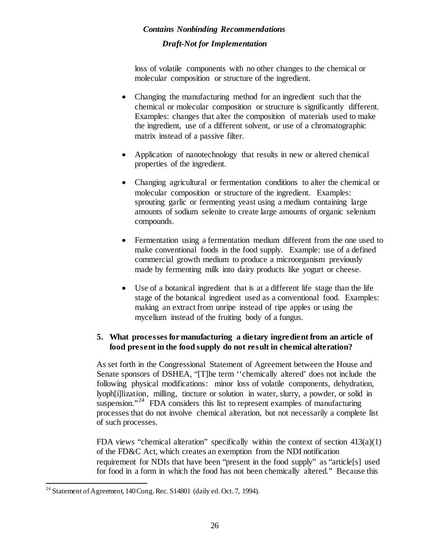#### *Draft-Not for Implementation*

loss of volatile components with no other changes to the chemical or molecular composition or structure of the ingredient.

- Changing the manufacturing method for an ingredient such that the chemical or molecular composition or structure is significantly different. Examples: changes that alter the composition of materials used to make the ingredient, use of a different solvent, or use of a chromatographic matrix instead of a passive filter.
- Application of nanotechnology that results in new or altered chemical properties of the ingredient.
- Changing agricultural or fermentation conditions to alter the chemical or molecular composition or structure of the ingredient. Examples: sprouting garlic or fermenting yeast using a medium containing large amounts of sodium selenite to create large amounts of organic selenium compounds.
- Fermentation using a fermentation medium different from the one used to make conventional foods in the food supply. Example: use of a defined commercial growth medium to produce a microorganism previously made by fermenting milk into dairy products like yogurt or cheese.
- Use of a botanical ingredient that is at a different life stage than the life stage of the botanical ingredient used as a conventional food. Examples: making an extract from unripe instead of ripe apples or using the mycelium instead of the fruiting body of a fungus.

#### <span id="page-25-0"></span>**5. What processes for manufacturing a dietary ingredient from an article of food present in the food supply do not result in chemical alteration?**

As set forth in the Congressional Statement of Agreement between the House and Senate sponsors of DSHEA, "[T]he term ''chemically altered' does not include the following physical modifications: minor loss of volatile components, dehydration, lyoph[i]lization, milling, tincture or solution in water, slurry, a powder, or solid in suspension."<sup>[24](#page-25-1)</sup> FDA considers this list to represent examples of manufacturing processes that do not involve chemical alteration, but not necessarily a complete list of such processes.

FDA views "chemical alteration" specifically within the context of section  $413(a)(1)$ of the FD&C Act, which creates an exemption from the NDI notification requirement for NDIs that have been "present in the food supply" as "article[s] used for food in a form in which the food has not been chemically altered." Because this

<span id="page-25-1"></span><sup>&</sup>lt;sup>24</sup> Statement of Agreement, 140 Cong. Rec. S14801 (daily ed. Oct. 7, 1994).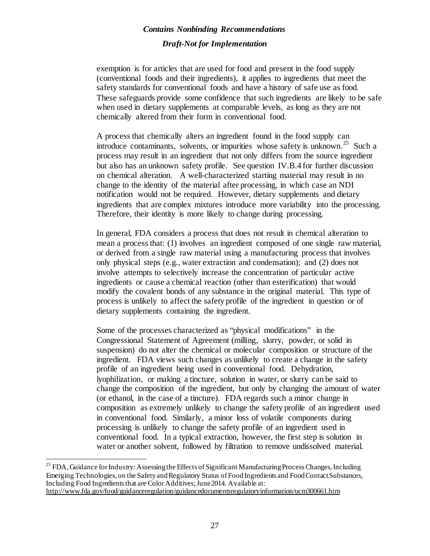exemption is for articles that are used for food and present in the food supply (conventional foods and their ingredients), it applies to ingredients that meet the safety standards for conventional foods and have a history of safe use as food. These safeguards provide some confidence that such ingredients are likely to be safe when used in dietary supplements at comparable levels, as long as they are not chemically altered from their form in conventional food.

A process that chemically alters an ingredient found in the food supply can introduce contaminants, solvents, or impurities whose safety is unknown.<sup>25</sup> Such a process may result in an ingredient that not only differs from the source ingredient but also has an unknown safety profile. See question [IV.B.4](#page-2-1) for further discussion on chemical alteration. A well-characterized starting material may result in no change to the identity of the material after processing, in which case an NDI notification would not be required. However, dietary supplements and dietary ingredients that are complex mixtures introduce more variability into the processing. Therefore, their identity is more likely to change during processing.

In general, FDA considers a process that does not result in chemical alteration to mean a process that: (1) involves an ingredient composed of one single raw material, or derived from a single raw material using a manufacturing process that involves only physical steps (e.g., water extraction and condensation); and (2) does not involve attempts to selectively increase the concentration of particular active ingredients or cause a chemical reaction (other than esterification) that would modify the covalent bonds of any substance in the original material. This type of process is unlikely to affect the safety profile of the ingredient in question or of dietary supplements containing the ingredient.

Some of the processes characterized as "physical modifications" in the Congressional Statement of Agreement (milling, slurry, powder, or solid in suspension) do not alter the chemical or molecular composition or structure of the ingredient. FDA views such changes as unlikely to create a change in the safety profile of an ingredient being used in conventional food. Dehydration, lyophilization, or making a tincture, solution in water, or slurry can be said to change the composition of the ingredient, but only by changing the amount of water (or ethanol, in the case of a tincture). FDA regards such a minor change in composition as extremely unlikely to change the safety profile of an ingredient used in conventional food. Similarly, a minor loss of volatile components during processing is unlikely to change the safety profile of an ingredient used in conventional food. In a typical extraction, however, the first step is solution in water or another solvent, followed by filtration to remove undissolved material.

<span id="page-26-0"></span><sup>&</sup>lt;sup>25</sup> FDA, Guidance for Industry: Assessing the Effects of Significant Manufacturing Process Changes, Including [Emerging Technologies, on the Safety and Regulatory Status of Food Ingredients and Food Contact Substances,](http://www.fda.gov/food/guidanceregulation/guidancedocumentsregulatoryinformation/ucm300661.htm) [Including Food Ingredients that are Color Additives](http://www.fda.gov/food/guidanceregulation/guidancedocumentsregulatoryinformation/ucm300661.htm);June 2014. Available at: <http://www.fda.gov/food/guidanceregulation/guidancedocumentsregulatoryinformation/ucm300661.htm>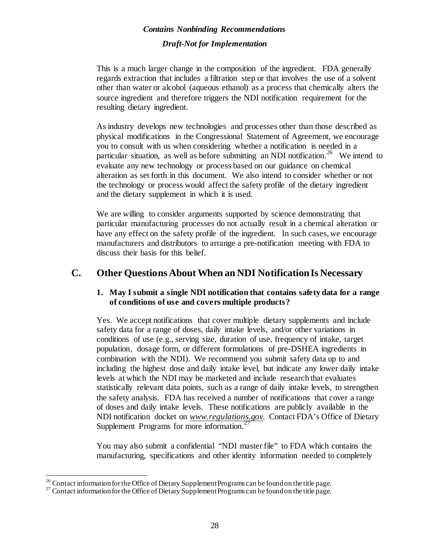This is a much larger change in the composition of the ingredient. FDA generally regards extraction that includes a filtration step or that involves the use of a solvent other than water or alcohol (aqueous ethanol) as a process that chemically alters the source ingredient and therefore triggers the NDI notification requirement for the resulting dietary ingredient.

As industry develops new technologies and processes other than those described as physical modifications in the Congressional Statement of Agreement, we encourage you to consult with us when considering whether a notification is needed in a particular situation, as well as before submitting an NDI notification.<sup>[26](#page-27-0)</sup> We intend to evaluate any new technology or process based on our guidance on chemical alteration as set forth in this document. We also intend to consider whether or not the technology or process would affect the safety profile of the dietary ingredient and the dietary supplement in which it is used.

We are willing to consider arguments supported by science demonstrating that particular manufacturing processes do not actually result in a chemical alteration or have any effect on the safety profile of the ingredient. In such cases, we encourage manufacturers and distributors to arrange a pre-notification meeting with FDA to discuss their basis for this belief.

### <span id="page-27-2"></span>**C. Other Questions About When an NDI Notification Is Necessary**

#### **1. May I submit a single NDI notification that contains safety data for a range of conditions of use and covers multiple products?**

Yes. We accept notifications that cover multiple dietary supplements and include safety data for a range of doses, daily intake levels, and/or other variations in conditions of use (e.g., serving size, duration of use, frequency of intake, target population, dosage form, or different formulations of pre-DSHEA ingredients in combination with the NDI). We recommend you submit safety data up to and including the highest dose and daily intake level, but indicate any lower daily intake levels at which the NDI may be marketed and include research that evaluates statistically relevant data points, such as a range of daily intake levels, to strengthen the safety analysis. FDA has received a number of notifications that cover a range of doses and daily intake levels. These notifications are publicly available in the NDI notification docket on *[www.regulations.gov](http://www.regulations.gov/)*. Contact FDA's Office of Dietary Supplement Programs for more information.<sup>[27](#page-27-1)</sup>

You may also submit a confidential "NDI master file" to FDA which contains the manufacturing, specifications and other identity information needed to completely

<span id="page-27-0"></span><sup>&</sup>lt;sup>26</sup> Contact information for the Office of Dietary Supplement Programs can be found on the title page.<br><sup>27</sup> Contact information for the Office of Dietary Supplement Programs can be found on the title page.

<span id="page-27-1"></span>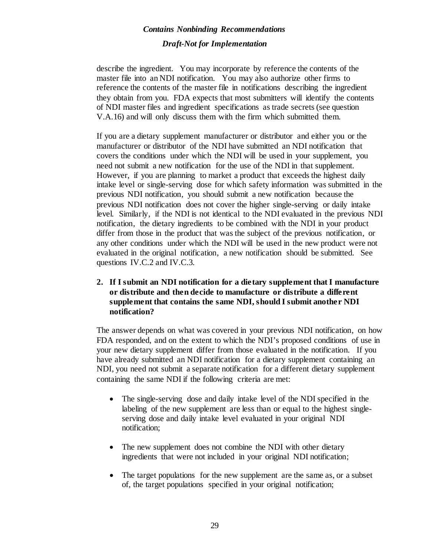describe the ingredient. You may incorporate by reference the contents of the master file into an NDI notification. You may also authorize other firms to reference the contents of the master file in notifications describing the ingredient they obtain from you. FDA expects that most submitters will identify the contents of NDI master files and ingredient specifications as trade secrets (see question [V.A.16\)](#page-50-0) and will only discuss them with the firm which submitted them.

If you are a dietary supplement manufacturer or distributor and either you or the manufacturer or distributor of the NDI have submitted an NDI notification that covers the conditions under which the NDI will be used in your supplement, you need not submit a new notification for the use of the NDI in that supplement. However, if you are planning to market a product that exceeds the highest daily intake level or single-serving dose for which safety information was submitted in the previous NDI notification, you should submit a new notification because the previous NDI notification does not cover the higher single-serving or daily intake level. Similarly, if the NDI is not identical to the NDI evaluated in the previous NDI notification, the dietary ingredients to be combined with the NDI in your product differ from those in the product that was the subject of the previous notification, or any other conditions under which the NDI will be used in the new product were not evaluated in the original notification, a new notification should be submitted. See questions [IV.C.2](#page-28-0) and [IV.C.3.](#page-30-0)

<span id="page-28-0"></span>**2. If I submit an NDI notification for a dietary supplement that I manufacture or distribute and then decide to manufacture or distribute a different supplement that contains the same NDI, should I submit another NDI notification?**

The answer depends on what was covered in your previous NDI notification, on how FDA responded, and on the extent to which the NDI's proposed conditions of use in your new dietary supplement differ from those evaluated in the notification. If you have already submitted an NDI notification for a dietary supplement containing an NDI, you need not submit a separate notification for a different dietary supplement containing the same NDI if the following criteria are met:

- The single-serving dose and daily intake level of the NDI specified in the labeling of the new supplement are less than or equal to the highest singleserving dose and daily intake level evaluated in your original NDI notification;
- The new supplement does not combine the NDI with other dietary ingredients that were not included in your original NDI notification;
- The target populations for the new supplement are the same as, or a subset of, the target populations specified in your original notification;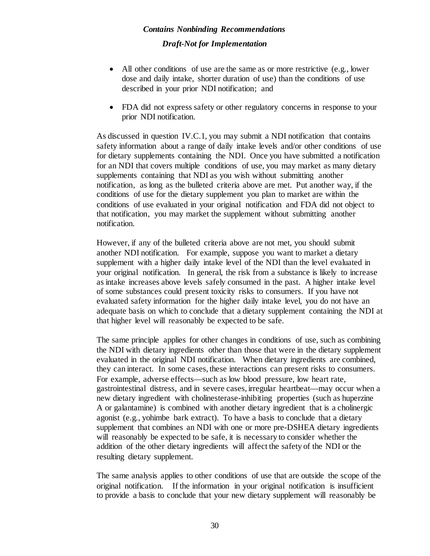- All other conditions of use are the same as or more restrictive (e.g., lower dose and daily intake, shorter duration of use) than the conditions of use described in your prior NDI notification; and
- FDA did not express safety or other regulatory concerns in response to your prior NDI notification.

As discussed in question [IV.C.1,](#page-27-2) you may submit a NDI notification that contains safety information about a range of daily intake levels and/or other conditions of use for dietary supplements containing the NDI. Once you have submitted a notification for an NDI that covers multiple conditions of use, you may market as many dietary supplements containing that NDI as you wish without submitting another notification, as long as the bulleted criteria above are met. Put another way, if the conditions of use for the dietary supplement you plan to market are within the conditions of use evaluated in your original notification and FDA did not object to that notification, you may market the supplement without submitting another notification.

However, if any of the bulleted criteria above are not met, you should submit another NDI notification. For example, suppose you want to market a dietary supplement with a higher daily intake level of the NDI than the level evaluated in your original notification. In general, the risk from a substance is likely to increase as intake increases above levels safely consumed in the past. A higher intake level of some substances could present toxicity risks to consumers. If you have not evaluated safety information for the higher daily intake level, you do not have an adequate basis on which to conclude that a dietary supplement containing the NDI at that higher level will reasonably be expected to be safe.

The same principle applies for other changes in conditions of use, such as combining the NDI with dietary ingredients other than those that were in the dietary supplement evaluated in the original NDI notification. When dietary ingredients are combined, they can interact. In some cases, these interactions can present risks to consumers. For example, adverse effects—such as low blood pressure, low heart rate, gastrointestinal distress, and in severe cases, irregular heartbeat—may occur when a new dietary ingredient with cholinesterase-inhibiting properties (such as huperzine A or galantamine) is combined with another dietary ingredient that is a cholinergic agonist (e.g., yohimbe bark extract). To have a basis to conclude that a dietary supplement that combines an NDI with one or more pre-DSHEA dietary ingredients will reasonably be expected to be safe, it is necessary to consider whether the addition of the other dietary ingredients will affect the safety of the NDI or the resulting dietary supplement.

The same analysis applies to other conditions of use that are outside the scope of the original notification. If the information in your original notification is insufficient to provide a basis to conclude that your new dietary supplement will reasonably be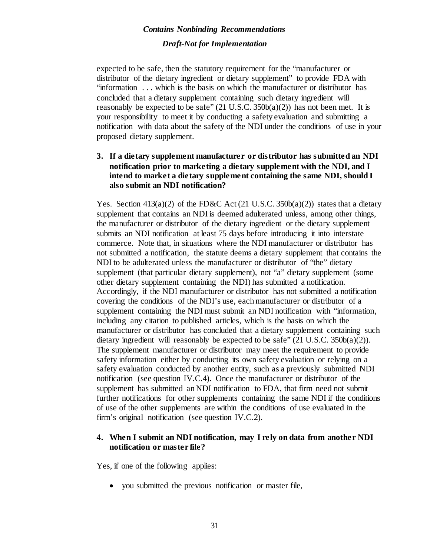expected to be safe, then the statutory requirement for the "manufacturer or distributor of the dietary ingredient or dietary supplement" to provide FDA with "information . . . which is the basis on which the manufacturer or distributor has concluded that a dietary supplement containing such dietary ingredient will reasonably be expected to be safe"  $(21 \text{ U.S.C. } 350b(a)(2))$  has not been met. It is your responsibility to meet it by conducting a safety evaluation and submitting a notification with data about the safety of the NDI under the conditions of use in your proposed dietary supplement.

#### <span id="page-30-0"></span>**3. If a dietary supplement manufacturer or distributor has submitted an NDI notification prior to marketing a dietary supplement with the NDI, and I intend to market a dietary supplement containing the same NDI, should I also submit an NDI notification?**

Yes. Section  $413(a)(2)$  of the FD&C Act (21 U.S.C. 350b(a)(2)) states that a dietary supplement that contains an NDI is deemed adulterated unless, among other things, the manufacturer or distributor of the dietary ingredient or the dietary supplement submits an NDI notification at least 75 days before introducing it into interstate commerce. Note that, in situations where the NDI manufacturer or distributor has not submitted a notification, the statute deems a dietary supplement that contains the NDI to be adulterated unless the manufacturer or distributor of "the" dietary supplement (that particular dietary supplement), not "a" dietary supplement (some other dietary supplement containing the NDI) has submitted a notification. Accordingly, if the NDI manufacturer or distributor has not submitted a notification covering the conditions of the NDI's use, each manufacturer or distributor of a supplement containing the NDI must submit an NDI notification with "information, including any citation to published articles, which is the basis on which the manufacturer or distributor has concluded that a dietary supplement containing such dietary ingredient will reasonably be expected to be safe" (21 U.S.C. 350b(a)(2)). The supplement manufacturer or distributor may meet the requirement to provide safety information either by conducting its own safety evaluation or relying on a safety evaluation conducted by another entity, such as a previously submitted NDI notification (see question [IV.C.4\)](#page-2-2). Once the manufacturer or distributor of the supplement has submitted an NDI notification to FDA, that firm need not submit further notifications for other supplements containing the same NDI if the conditions of use of the other supplements are within the conditions of use evaluated in the firm's original notification (see question [IV.C.2\)](#page-28-0).

#### **4. When I submit an NDI notification, may I rely on data from another NDI notification or master file?**

Yes, if one of the following applies:

• you submitted the previous notification or master file,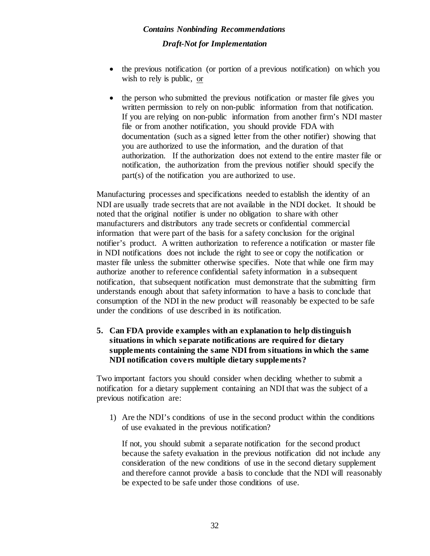- the previous notification (or portion of a previous notification) on which you wish to rely is public, or
- the person who submitted the previous notification or master file gives you written permission to rely on non-public information from that notification. If you are relying on non-public information from another firm's NDI master file or from another notification, you should provide FDA with documentation (such as a signed letter from the other notifier) showing that you are authorized to use the information, and the duration of that authorization. If the authorization does not extend to the entire master file or notification, the authorization from the previous notifier should specify the part(s) of the notification you are authorized to use.

Manufacturing processes and specifications needed to establish the identity of an NDI are usually trade secrets that are not available in the NDI docket. It should be noted that the original notifier is under no obligation to share with other manufacturers and distributors any trade secrets or confidential commercial information that were part of the basis for a safety conclusion for the original notifier's product. A written authorization to reference a notification or master file in NDI notifications does not include the right to see or copy the notification or master file unless the submitter otherwise specifies. Note that while one firm may authorize another to reference confidential safety information in a subsequent notification, that subsequent notification must demonstrate that the submitting firm understands enough about that safety information to have a basis to conclude that consumption of the NDI in the new product will reasonably be expected to be safe under the conditions of use described in its notification.

#### **5. Can FDA provide examples with an explanation to help distinguish situations in which separate notifications are required for dietary supplements containing the same NDI from situations in which the same NDI notification covers multiple dietary supplements?**

Two important factors you should consider when deciding whether to submit a notification for a dietary supplement containing an NDI that was the subject of a previous notification are:

1) Are the NDI's conditions of use in the second product within the conditions of use evaluated in the previous notification?

If not, you should submit a separate notification for the second product because the safety evaluation in the previous notification did not include any consideration of the new conditions of use in the second dietary supplement and therefore cannot provide a basis to conclude that the NDI will reasonably be expected to be safe under those conditions of use.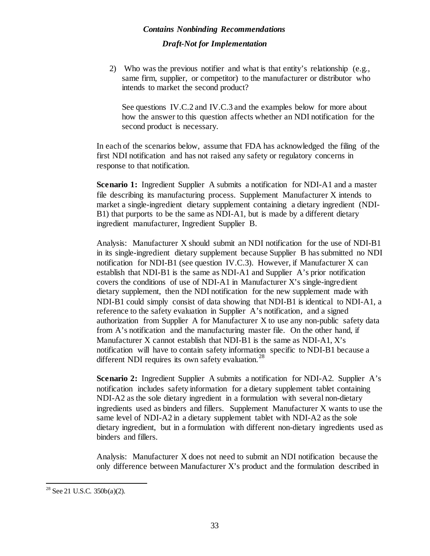2) Who was the previous notifier and what is that entity's relationship (e.g., same firm, supplier, or competitor) to the manufacturer or distributor who intends to market the second product?

See questions [IV.C.2](#page-28-0) and [IV.C.3](#page-30-0) and the examples below for more about how the answer to this question affects whether an NDI notification for the second product is necessary.

In each of the scenarios below, assume that FDA has acknowledged the filing of the first NDI notification and has not raised any safety or regulatory concerns in response to that notification.

**Scenario 1:** Ingredient Supplier A submits a notification for NDI-A1 and a master file describing its manufacturing process. Supplement Manufacturer X intends to market a single-ingredient dietary supplement containing a dietary ingredient (NDI-B1) that purports to be the same as NDI-A1, but is made by a different dietary ingredient manufacturer, Ingredient Supplier B.

Analysis: Manufacturer X should submit an NDI notification for the use of NDI-B1 in its single-ingredient dietary supplement because Supplier B has submitted no NDI notification for NDI-B1 (see question [IV.C.3\)](#page-30-0). However, if Manufacturer X can establish that NDI-B1 is the same as NDI-A1 and Supplier A's prior notification covers the conditions of use of NDI-A1 in Manufacturer X's single-ingredient dietary supplement, then the NDI notification for the new supplement made with NDI-B1 could simply consist of data showing that NDI-B1 is identical to NDI-A1, a reference to the safety evaluation in Supplier A's notification, and a signed authorization from Supplier A for Manufacturer X to use any non-public safety data from A's notification and the manufacturing master file. On the other hand, if Manufacturer X cannot establish that NDI-B1 is the same as NDI-A1,  $X$ 's notification will have to contain safety information specific to NDI-B1 because a different NDI requires its own safety evaluation.<sup>28</sup>

**Scenario 2:** Ingredient Supplier A submits a notification for NDI-A2. Supplier A's notification includes safety information for a dietary supplement tablet containing NDI-A2 as the sole dietary ingredient in a formulation with several non-dietary ingredients used as binders and fillers. Supplement Manufacturer X wants to use the same level of NDI-A2 in a dietary supplement tablet with NDI-A2 as the sole dietary ingredient, but in a formulation with different non-dietary ingredients used as binders and fillers.

Analysis: Manufacturer X does not need to submit an NDI notification because the only difference between Manufacturer X's product and the formulation described in

<span id="page-32-0"></span> $28$  See 21 U.S.C. 350b(a)(2).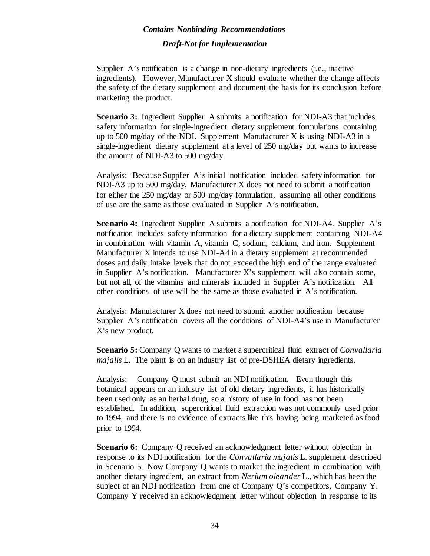Supplier A's notification is a change in non-dietary ingredients (i.e., inactive ingredients). However, Manufacturer X should evaluate whether the change affects the safety of the dietary supplement and document the basis for its conclusion before marketing the product.

**Scenario 3:** Ingredient Supplier A submits a notification for NDI-A3 that includes safety information for single-ingredient dietary supplement formulations containing up to 500 mg/day of the NDI. Supplement Manufacturer X is using NDI-A3 in a single-ingredient dietary supplement at a level of 250 mg/day but wants to increase the amount of NDI-A3 to 500 mg/day.

Analysis: Because Supplier A's initial notification included safety information for NDI-A3 up to 500 mg/day, Manufacturer X does not need to submit a notification for either the 250 mg/day or 500 mg/day formulation, assuming all other conditions of use are the same as those evaluated in Supplier A's notification.

**Scenario 4:** Ingredient Supplier A submits a notification for NDI-A4. Supplier A's notification includes safety information for a dietary supplement containing NDI-A4 in combination with vitamin A, vitamin C, sodium, calcium, and iron. Supplement Manufacturer X intends to use NDI-A4 in a dietary supplement at recommended doses and daily intake levels that do not exceed the high end of the range evaluated in Supplier A's notification. Manufacturer X's supplement will also contain some, but not all, of the vitamins and minerals included in Supplier A's notification. All other conditions of use will be the same as those evaluated in A's notification.

Analysis: Manufacturer X does not need to submit another notification because Supplier A's notification covers all the conditions of NDI-A4's use in Manufacturer X's new product.

**Scenario 5:** Company Q wants to market a supercritical fluid extract of *Convallaria majalis* L. The plant is on an industry list of pre-DSHEA dietary ingredients.

Analysis: Company Q must submit an NDI notification. Even though this botanical appears on an industry list of old dietary ingredients, it has historically been used only as an herbal drug, so a history of use in food has not been established. In addition, supercritical fluid extraction was not commonly used prior to 1994, and there is no evidence of extracts like this having being marketed as food prior to 1994.

**Scenario 6:** Company Q received an acknowledgment letter without objection in response to its NDI notification for the *Convallaria majalis* L. supplement described in Scenario 5. Now Company Q wants to market the ingredient in combination with another dietary ingredient, an extract from *Nerium oleander* L., which has been the subject of an NDI notification from one of Company Q's competitors, Company Y. Company Y received an acknowledgment letter without objection in response to its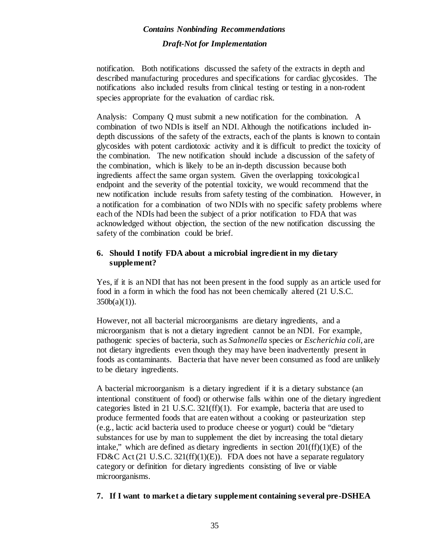notification. Both notifications discussed the safety of the extracts in depth and described manufacturing procedures and specifications for cardiac glycosides. The notifications also included results from clinical testing or testing in a non-rodent species appropriate for the evaluation of cardiac risk.

Analysis: Company Q must submit a new notification for the combination. A combination of two NDIs is itself an NDI. Although the notifications included indepth discussions of the safety of the extracts, each of the plants is known to contain glycosides with potent cardiotoxic activity and it is difficult to predict the toxicity of the combination. The new notification should include a discussion of the safety of the combination, which is likely to be an in-depth discussion because both ingredients affect the same organ system. Given the overlapping toxicological endpoint and the severity of the potential toxicity, we would recommend that the new notification include results from safety testing of the combination. However, in a notification for a combination of two NDIs with no specific safety problems where each of the NDIs had been the subject of a prior notification to FDA that was acknowledged without objection, the section of the new notification discussing the safety of the combination could be brief.

#### **6. Should I notify FDA about a microbial ingredient in my dietary supplement?**

Yes, if it is an NDI that has not been present in the food supply as an article used for food in a form in which the food has not been chemically altered (21 U.S.C.  $350b(a)(1)$ ).

However, not all bacterial microorganisms are dietary ingredients, and a microorganism that is not a dietary ingredient cannot be an NDI. For example, pathogenic species of bacteria, such as *Salmonella* species or *Escherichia coli*, are not dietary ingredients even though they may have been inadvertently present in foods as contaminants. Bacteria that have never been consumed as food are unlikely to be dietary ingredients.

A bacterial microorganism is a dietary ingredient if it is a dietary substance (an intentional constituent of food) or otherwise falls within one of the dietary ingredient categories listed in 21 U.S.C. 321(ff)(1). For example, bacteria that are used to produce fermented foods that are eaten without a cooking or pasteurization step (e.g., lactic acid bacteria used to produce cheese or yogurt) could be "dietary substances for use by man to supplement the diet by increasing the total dietary intake," which are defined as dietary ingredients in section  $201(ff)(1)(E)$  of the FD&C Act (21 U.S.C. 321(ff)(1)(E)). FDA does not have a separate regulatory category or definition for dietary ingredients consisting of live or viable microorganisms.

#### **7. If I want to market a dietary supplement containing several pre-DSHEA**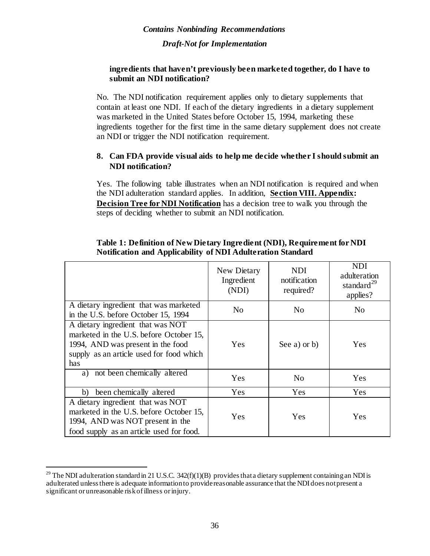*Draft-Not for Implementation*

#### **ingredients that haven't previously been marketed together, do I have to submit an NDI notification?**

No. The NDI notification requirement applies only to dietary supplements that contain at least one NDI. If each of the dietary ingredients in a dietary supplement was marketed in the United States before October 15, 1994, marketing these ingredients together for the first time in the same dietary supplement does not create an NDI or trigger the NDI notification requirement.

#### **8. Can FDA provide visual aids to help me decide whether I should submit an NDI notification?**

Yes. The following table illustrates when an NDI notification is required and when the NDI adulteration standard applies. In addition, **[Section VIII. Appendix:](#page-99-0) [Decision Tree for NDI Notification](#page-99-0)** has a decision tree to walk you through the steps of deciding whether to submit an NDI notification.

|                                                                                                                                                                      | New Dietary<br>Ingredient<br>(NDI) | <b>NDI</b><br>notification<br>required? | <b>NDI</b><br>adulteration<br>standard $^{29}$<br>applies? |
|----------------------------------------------------------------------------------------------------------------------------------------------------------------------|------------------------------------|-----------------------------------------|------------------------------------------------------------|
| A dietary ingredient that was marketed<br>in the U.S. before October 15, 1994                                                                                        | N <sub>0</sub>                     | N <sub>0</sub>                          | N <sub>0</sub>                                             |
| A dietary ingredient that was NOT<br>marketed in the U.S. before October 15,<br>1994, AND was present in the food<br>supply as an article used for food which<br>has | Yes                                | See a) or $b$ )                         | Yes                                                        |
| not been chemically altered<br>a)                                                                                                                                    | Yes                                | N <sub>0</sub>                          | Yes                                                        |
| been chemically altered<br>b)                                                                                                                                        | Yes                                | Yes                                     | Yes                                                        |
| A dietary ingredient that was NOT<br>marketed in the U.S. before October 15,<br>1994, AND was NOT present in the<br>food supply as an article used for food.         | Yes                                | Yes                                     | Yes                                                        |

#### **Table 1: Definition of New Dietary Ingredient (NDI), Requirement for NDI Notification and Applicability of NDI Adulteration Standard**

<span id="page-35-0"></span><sup>&</sup>lt;sup>29</sup> The NDI adulteration standard in 21 U.S.C. 342(f)(1)(B) provides that a dietary supplement containing an NDI is adulterated unless there is adequate information to provide reasonable assurance that the NDI does not present a significant or unreasonable risk of illness or injury.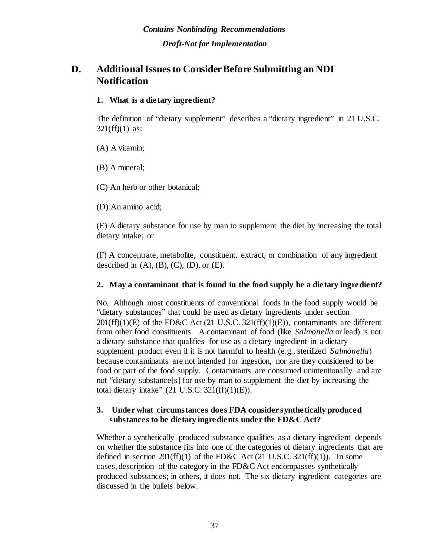# **D. Additional Issues to Consider Before Submitting an NDI Notification**

#### **1. What is a dietary ingredient?**

The definition of "dietary supplement" describes a "dietary ingredient" in 21 U.S.C.  $321(ff)(1)$  as:

(A) A vitamin;

(B) A mineral;

(C) An herb or other botanical;

(D) An amino acid;

(E) A dietary substance for use by man to supplement the diet by increasing the total dietary intake; or

(F) A concentrate, metabolite, constituent, extract, or combination of any ingredient described in  $(A)$ ,  $(B)$ ,  $(C)$ ,  $(D)$ , or  $(E)$ .

#### **2. May a contaminant that is found in the food supply be a dietary ingredient?**

No. Although most constituents of conventional foods in the food supply would be "dietary substances" that could be used as dietary ingredients under section  $201(ff)(1)(E)$  of the FD&C Act (21 U.S.C. 321(ff)(1)(E)), contaminants are different from other food constituents. A contaminant of food (like *Salmonella* or lead) is not a dietary substance that qualifies for use as a dietary ingredient in a dietary supplement product even if it is not harmful to health (e.g., sterilized *Salmonella*) because contaminants are not intended for ingestion, nor are they considered to be food or part of the food supply. Contaminants are consumed unintentionally and are not "dietary substance[s] for use by man to supplement the diet by increasing the total dietary intake" (21 U.S.C. 321(ff)(1)(E)).

#### **3. Under what circumstances does FDA consider synthetically produced substances to be dietary ingredients under the FD&C Act?**

Whether a synthetically produced substance qualifies as a dietary ingredient depends on whether the substance fits into one of the categories of dietary ingredients that are defined in section  $201(ff)(1)$  of the FD&C Act (21 U.S.C. 321(ff)(1)). In some cases, description of the category in the FD&C Act encompasses synthetically produced substances; in others, it does not. The six dietary ingredient categories are discussed in the bullets below.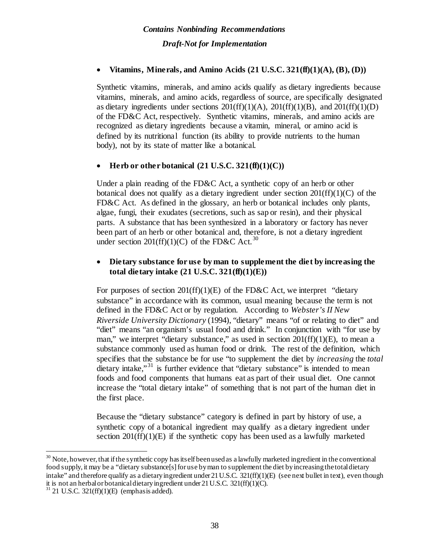#### • **Vitamins, Minerals, and Amino Acids (21 U.S.C. 321(ff)(1)(A), (B), (D))**

Synthetic vitamins, minerals, and amino acids qualify as dietary ingredients because vitamins, minerals, and amino acids, regardless of source, are specifically designated as dietary ingredients under sections  $201(ff)(1)(A)$ ,  $201(ff)(1)(B)$ , and  $201(ff)(1)(D)$ of the FD&C Act, respectively. Synthetic vitamins, minerals, and amino acids are recognized as dietary ingredients because a vitamin, mineral, or amino acid is defined by its nutritional function (its ability to provide nutrients to the human body), not by its state of matter like a botanical.

#### • **Herb or other botanical (21 U.S.C. 321(ff)(1)(C))**

Under a plain reading of the FD&C Act, a synthetic copy of an herb or other botanical does not qualify as a dietary ingredient under section  $201(ff)(1)(C)$  of the FD&C Act. As defined in the glossary, an herb or botanical includes only plants, algae, fungi, their exudates (secretions, such as sap or resin), and their physical parts. A substance that has been synthesized in a laboratory or factory has never been part of an herb or other botanical and, therefore, is not a dietary ingredient under section 201(ff)(1)(C) of the FD&C Act.<sup>[30](#page-37-0)</sup>

#### • **Dietary substance for use by man to supplement the diet by increasing the total dietary intake (21 U.S.C. 321(ff)(1)(E))**

For purposes of section  $201(ff)(1)(E)$  of the FD&C Act, we interpret "dietary" substance" in accordance with its common, usual meaning because the term is not defined in the FD&C Act or by regulation. According to *Webster's II New Riverside University Dictionary* (1994), "dietary" means "of or relating to diet" and "diet" means "an organism's usual food and drink." In conjunction with "for use by man," we interpret "dietary substance," as used in section  $201(ff)(1)(E)$ , to mean a substance commonly used as human food or drink. The rest of the definition, which specifies that the substance be for use "to supplement the diet by *increasing* the *total* dietary intake,  $\frac{31}{1}$  $\frac{31}{1}$  $\frac{31}{1}$  is further evidence that "dietary substance" is intended to mean foods and food components that humans eat as part of their usual diet. One cannot increase the "total dietary intake" of something that is not part of the human diet in the first place.

Because the "dietary substance" category is defined in part by history of use, a synthetic copy of a botanical ingredient may qualify as a dietary ingredient under section  $201(ff)(1)(E)$  if the synthetic copy has been used as a lawfully marketed

<span id="page-37-0"></span> $30$  Note, however, that if the synthetic copy has itself been used as a lawfully marketed ingredient in the conventional food supply, it may be a "dietary substance[s] for use by man to supplement the diet by increasing the total dietary intake" and therefore qualify as a dietary ingredient under 21 U.S.C. 321(ff)(1)(E) (see next bullet in text), even though it is not an herbal or botanical dietary ingredient under 21 U.S.C. 321(ff)(1)(C).  $31$  21 U.S.C. 321(ff)(1)(E) (emphasis added).

<span id="page-37-1"></span>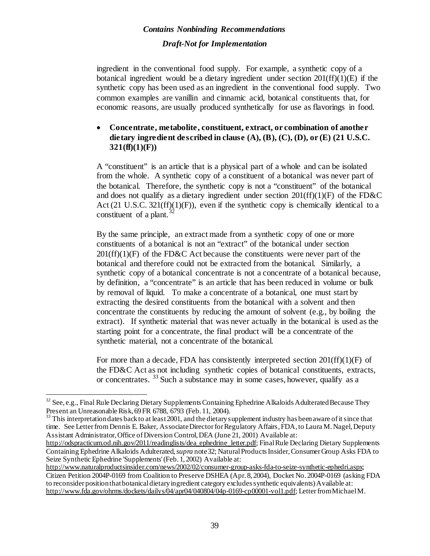ingredient in the conventional food supply. For example, a synthetic copy of a botanical ingredient would be a dietary ingredient under section  $201\text{(ff)}(1)\text{(E)}$  if the synthetic copy has been used as an ingredient in the conventional food supply. Two common examples are vanillin and cinnamic acid, botanical constituents that, for economic reasons, are usually produced synthetically for use as flavorings in food.

#### • **Concentrate, metabolite, constituent, extract, or combination of another dietary ingredient described in clause (A), (B), (C), (D), or (E) (21 U.S.C. 321(ff)(1)(F))**

A "constituent" is an article that is a physical part of a whole and can be isolated from the whole. A synthetic copy of a constituent of a botanical was never part of the botanical. Therefore, the synthetic copy is not a "constituent" of the botanical and does not qualify as a dietary ingredient under section  $201(ff)(1)(F)$  of the FD&C Act  $(21 \text{ U.S.C. } 321(\text{ff})(1)(\text{F}))$ , even if the synthetic copy is chemically identical to a constituent of a plant. $32$ 

<span id="page-38-0"></span>By the same principle, an extract made from a synthetic copy of one or more constituents of a botanical is not an "extract" of the botanical under section  $201(ff)(1)(F)$  of the FD&C Act because the constituents were never part of the botanical and therefore could not be extracted from the botanical. Similarly, a synthetic copy of a botanical concentrate is not a concentrate of a botanical because, by definition, a "concentrate" is an article that has been reduced in volume or bulk by removal of liquid. To make a concentrate of a botanical, one must start by extracting the desired constituents from the botanical with a solvent and then concentrate the constituents by reducing the amount of solvent (e.g., by boiling the extract). If synthetic material that was never actually in the botanical is used as the starting point for a concentrate, the final product will be a concentrate of the synthetic material, not a concentrate of the botanical.

For more than a decade, FDA has consistently interpreted section  $201(ff)(1)(F)$  of the FD&C Act as not including synthetic copies of botanical constituents, extracts, or concentrates. [33](#page-38-2) Such a substance may in some cases, however, qualify as a

<span id="page-38-1"></span> $32$  See, e.g., Final Rule Declaring Dietary Supplements Containing Ephedrine Alkaloids Adulterated Because They<br>Present an Unreasonable Risk. 69 FR 6788. 6793 (Feb. 11. 2004).

<span id="page-38-2"></span> $33$  This interpretation dates back to at least 2001, and the dietary supplement industry has been aware of it since that time. See Letter from Dennis E. Baker, Associate Director for Regulatory Affairs, FDA, to Laura M. Nagel, Deputy Assistant Administrator, Office of Diversion Control, DEA (June 21, 2001) Available at:

[http://odspracticum.od.nih.gov/2011/readinglists/dea\\_ephedrine\\_letter.pdf;](http://odspracticum.od.nih.gov/2011/readinglists/dea_ephedrine_letter.pdf) Final Rule Declaring Dietary Supplements Containing Ephedrine Alkaloids Adulterated, *supra* not[e 32;](#page-38-0) Natural Products Insider, Consumer Group Asks FDA to Seize Synthetic Ephedrine 'Supplements'(Feb. 1, 2002) Available at:

[http://www.naturalproductsinsider.com/news/2002/02/consumer-group-asks-fda-to-seize-synthetic-ephedri.aspx;](http://www.naturalproductsinsider.com/news/2002/02/consumer-group-asks-fda-to-seize-synthetic-ephedri.aspx) Citizen Petition 2004P-0169 from Coalition to Preserve DSHEA (Apr. 8, 2004), Docket No. 2004P-0169 (asking FDA to reconsider position that botanical dietary ingredient category excludes synthetic equivalents) Available at: [http://www.fda.gov/ohrms/dockets/dailys/04/apr04/040804/04p-0169-cp00001-vol1.pdf;](http://www.fda.gov/ohrms/dockets/dailys/04/apr04/040804/04p-0169-cp00001-vol1.pdf) Letter from Michael M.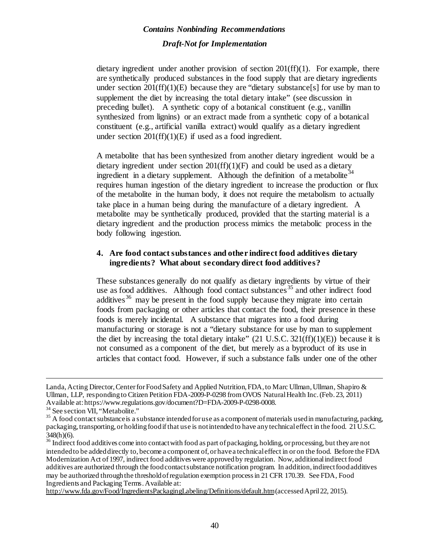dietary ingredient under another provision of section 201(ff)(1). For example, there are synthetically produced substances in the food supply that are dietary ingredients under section  $201(ff)(1)(E)$  because they are "dietary substance[s] for use by man to supplement the diet by increasing the total dietary intake" (see discussion in preceding bullet). A synthetic copy of a botanical constituent (e.g., vanillin synthesized from lignins) or an extract made from a synthetic copy of a botanical constituent (e.g., artificial vanilla extract) would qualify as a dietary ingredient under section  $201(ff)(1)(E)$  if used as a food ingredient.

A metabolite that has been synthesized from another dietary ingredient would be a dietary ingredient under section  $201(ff)(1)(F)$  and could be used as a dietary ingredient in a dietary supplement. Although the definition of a metabolite<sup>[34](#page-39-0)</sup> requires human ingestion of the dietary ingredient to increase the production or flux of the metabolite in the human body, it does not require the metabolism to actually take place in a human being during the manufacture of a dietary ingredient. A metabolite may be synthetically produced, provided that the starting material is a dietary ingredient and the production process mimics the metabolic process in the body following ingestion.

#### **4. Are food contact substances and other indirect food additives dietary ingredients? What about secondary direct food additives?**

These substances generally do not qualify as dietary ingredients by virtue of their use as food additives. Although food contact substances<sup>[35](#page-39-1)</sup> and other indirect food additives<sup>[36](#page-39-2)</sup> may be present in the food supply because they migrate into certain foods from packaging or other articles that contact the food, their presence in these foods is merely incidental. A substance that migrates into a food during manufacturing or storage is not a "dietary substance for use by man to supplement the diet by increasing the total dietary intake"  $(21 \text{ U.S.C.} 321(ff)(1)(E))$  because it is not consumed as a component of the diet, but merely as a byproduct of its use in articles that contact food. However, if such a substance falls under one of the other

-

http://www.f<u>da.gov/Food/IngredientsPackagingLabeling/Definitions/default.htm</u>(accessed April 22, 2015).

Landa, Acting Director, Center for Food Safety and Applied Nutrition, FDA, to Marc Ullman, Ullman, Shapiro & Ullman, LLP, responding to Citizen Petition FDA-2009-P-0298 from OVOS Natural Health Inc. (Feb. 23, 2011)<br>Available at: https://www.regulations.gov/document?D=FDA-2009-P-0298-0008.

<span id="page-39-1"></span><span id="page-39-0"></span> $34$  See section VII, ["Metabolite.](#page-96-0)"<br> $35$  A food contact substance is a substance intended for use as a component of materials used in manufacturing, packing, packaging, transporting, or holding food if that use is not intended to have any technical effect in the food. 21 U.S.C.

<span id="page-39-2"></span><sup>348(</sup>h)(6).<br><sup>36</sup> Indirect food additives come into contact with food as part of packaging, holding, or processing, but they are not intended to be added directly to, become a component of, or have a technical effect in or on the food. Before the FDA Modernization Act of 1997, indirect food additives were approved by regulation. Now, additional indirect food additives are authorized through the food contact substance notification program. In addition, indirect food additives may be authorized through the threshold ofregulation exemption process in 21 CFR 170.39. See FDA, Food Ingredients and Packaging Terms. Available at: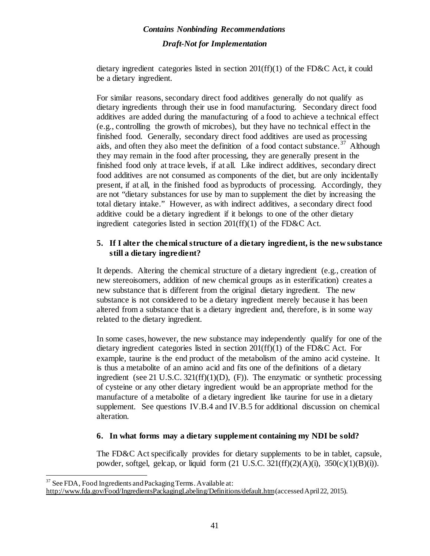dietary ingredient categories listed in section 201(ff)(1) of the FD&C Act, it could be a dietary ingredient.

For similar reasons, secondary direct food additives generally do not qualify as dietary ingredients through their use in food manufacturing. Secondary direct food additives are added during the manufacturing of a food to achieve a technical effect (e.g., controlling the growth of microbes), but they have no technical effect in the finished food. Generally, secondary direct food additives are used as processing aids, and often they also meet the definition of a food contact substance.<sup>37</sup> Although they may remain in the food after processing, they are generally present in the finished food only at trace levels, if at all. Like indirect additives, secondary direct food additives are not consumed as components of the diet, but are only incidentally present, if at all, in the finished food as byproducts of processing. Accordingly, they are not "dietary substances for use by man to supplement the diet by increasing the total dietary intake." However, as with indirect additives, a secondary direct food additive could be a dietary ingredient if it belongs to one of the other dietary ingredient categories listed in section 201(ff)(1) of the FD&C Act.

#### <span id="page-40-1"></span>**5. If I alter the chemical structure of a dietary ingredient, is the new substance still a dietary ingredient?**

It depends. Altering the chemical structure of a dietary ingredient (e.g., creation of new stereoisomers, addition of new chemical groups as in esterification) creates a new substance that is different from the original dietary ingredient. The new substance is not considered to be a dietary ingredient merely because it has been altered from a substance that is a dietary ingredient and, therefore, is in some way related to the dietary ingredient.

In some cases, however, the new substance may independently qualify for one of the dietary ingredient categories listed in section 201(ff)(1) of the FD&C Act. For example, taurine is the end product of the metabolism of the amino acid cysteine. It is thus a metabolite of an amino acid and fits one of the definitions of a dietary ingredient (see 21 U.S.C. 321(ff)(1)(D), (F)). The enzymatic or synthetic processing of cysteine or any other dietary ingredient would be an appropriate method for the manufacture of a metabolite of a dietary ingredient like taurine for use in a dietary supplement. See questions [IV.B.4](#page-24-0) and [IV.B.5](#page-25-0) for additional discussion on chemical alteration.

#### **6. In what forms may a dietary supplement containing my NDI be sold?**

The FD&C Act specifically provides for dietary supplements to be in tablet, capsule, powder, softgel, gelcap, or liquid form  $(21 \text{ U.S.C. } 321(\text{ff})(2)(\text{A})(i), 350(\text{c})(1)(\text{B})(i)).$ 

<span id="page-40-0"></span><sup>&</sup>lt;sup>37</sup> See FDA, Food Ingredients and Packaging Terms. Available at:

[http://www.fda.gov/Food/IngredientsPackagingLabeling/Definitions/default.htm\(accessed](http://www.fda.gov/Food/IngredientsPackagingLabeling/Definitions/default.htm%20(accessed)April 22, 2015).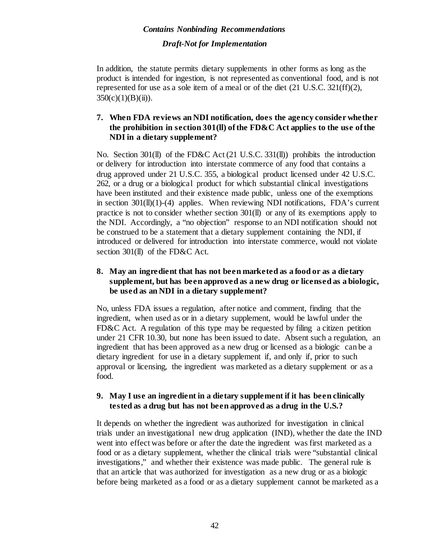In addition, the statute permits dietary supplements in other forms as long as the product is intended for ingestion, is not represented as conventional food, and is not represented for use as a sole item of a meal or of the diet (21 U.S.C. 321(ff)(2),  $350(c)(1)(B)(ii)$ .

#### **7. When FDA reviews an NDI notification, does the agency consider whether the prohibition in section 301(ll) of the FD&C Act applies to the use of the NDI in a dietary supplement?**

No. Section 301(ll) of the FD&C Act (21 U.S.C. 331(ll)) prohibits the introduction or delivery for introduction into interstate commerce of any food that contains a drug approved under 21 U.S.C. 355, a biological product licensed under 42 U.S.C. 262, or a drug or a biological product for which substantial clinical investigations have been instituted and their existence made public, unless one of the exemptions in section  $301(1)(1)-(4)$  applies. When reviewing NDI notifications, FDA's current practice is not to consider whether section 301(ll) or any of its exemptions apply to the NDI. Accordingly, a "no objection" response to an NDI notification should not be construed to be a statement that a dietary supplement containing the NDI, if introduced or delivered for introduction into interstate commerce, would not violate section 301(ll) of the FD&C Act.

#### **8. May an ingredient that has not been marketed as a food or as a dietary supplement, but has been approved as a new drug or licensed as a biologic, be used as an NDI in a dietary supplement?**

No, unless FDA issues a regulation, after notice and comment, finding that the ingredient, when used as or in a dietary supplement, would be lawful under the FD&C Act. A regulation of this type may be requested by filing a citizen petition under 21 CFR 10.30, but none has been issued to date. Absent such a regulation, an ingredient that has been approved as a new drug or licensed as a biologic can be a dietary ingredient for use in a dietary supplement if, and only if, prior to such approval or licensing, the ingredient was marketed as a dietary supplement or as a food.

#### <span id="page-41-0"></span>**9. May I use an ingredient in a dietary supplement if it has been clinically tested as a drug but has not been approved as a drug in the U.S.?**

It depends on whether the ingredient was authorized for investigation in clinical trials under an investigational new drug application (IND), whether the date the IND went into effect was before or after the date the ingredient was first marketed as a food or as a dietary supplement, whether the clinical trials were "substantial clinical investigations," and whether their existence was made public. The general rule is that an article that was authorized for investigation as a new drug or as a biologic before being marketed as a food or as a dietary supplement cannot be marketed as a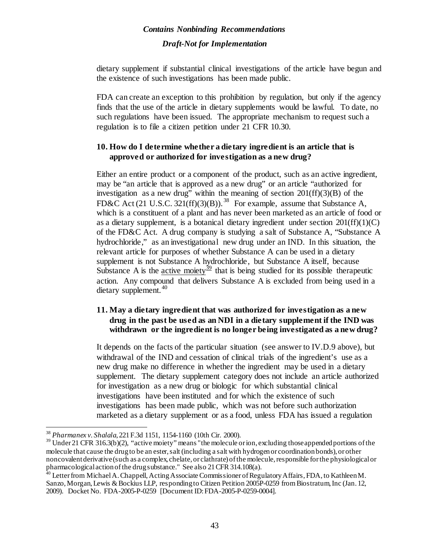dietary supplement if substantial clinical investigations of the article have begun and the existence of such investigations has been made public.

FDA can create an exception to this prohibition by regulation, but only if the agency finds that the use of the article in dietary supplements would be lawful. To date, no such regulations have been issued. The appropriate mechanism to request such a regulation is to file a citizen petition under 21 CFR 10.30.

#### **10. How do I determine whether a dietary ingredient is an article that is approved or authorized for investigation as a new drug?**

Either an entire product or a component of the product, such as an active ingredient, may be "an article that is approved as a new drug" or an article "authorized for investigation as a new drug" within the meaning of section  $201(ff)(3)(B)$  of the FD&C Act (21 U.S.C. 321(ff)(3)(B)).<sup>[38](#page-42-0)</sup> For example, assume that Substance A, which is a constituent of a plant and has never been marketed as an article of food or as a dietary supplement, is a botanical dietary ingredient under section  $201(ff)(1)(C)$ of the FD&C Act. A drug company is studying a salt of Substance A, "Substance A hydrochloride," as an investigational new drug under an IND. In this situation, the relevant article for purposes of whether Substance A can be used in a dietary supplement is not Substance A hydrochloride, but Substance A itself, because Substance A is the [active moiety](http://edocket.access.gpo.gov/cfr_2008/aprqtr/pdf/21cfr314.108.pdf) $\frac{39}{2}$  $\frac{39}{2}$  $\frac{39}{2}$  that is being studied for its possible therapeutic action. Any compound that delivers Substance A is excluded from being used in a dietary supplement. [40](#page-42-2)

#### **11. May a dietary ingredient that was authorized for investigation as a new drug in the past be used as an NDI in a dietary supplement if the IND was withdrawn or the ingredient is no longer being investigated as a new drug?**

It depends on the facts of the particular situation (see answer to [IV.D.9](#page-41-0) above), but withdrawal of the IND and cessation of clinical trials of the ingredient's use as a new drug make no difference in whether the ingredient may be used in a dietary supplement. The dietary supplement category does not include an article authorized for investigation as a new drug or biologic for which substantial clinical investigations have been instituted and for which the existence of such investigations has been made public, which was not before such authorization marketed as a dietary supplement or as a food, unless FDA has issued a regulation

<span id="page-42-1"></span><span id="page-42-0"></span><sup>&</sup>lt;sup>38</sup> *Pharmanex v. Shalala*, 221 F.3d 1151, 1154-1160 (10th Cir. 2000).<br><sup>39</sup> Under 21 CFR 316.3(b)(2), "active moiety" means "the molecule or ion, excluding those appended portions of the molecule that cause the drug to be an ester, salt (including a salt with hydrogen or coordination bonds), or other noncovalent derivative (such as a complex, chelate, or clathrate) of the molecule, responsible for the physiological or pharmacological action of the drug substance." See also 21 CFR 314.108(a).<br><sup>40</sup> Letter from Michael A. Chappell, Acting Associate Commissioner of Regulatory Affairs, FDA, to Kathleen M.

<span id="page-42-2"></span>Sanzo, Morgan, Lewis & Bockius LLP, responding to Citizen Petition 2005P-0259 from Biostratum, Inc (Jan. 12, 2009). Docket No. FDA-2005-P-0259 [Document ID: FDA-2005-P-0259-0004].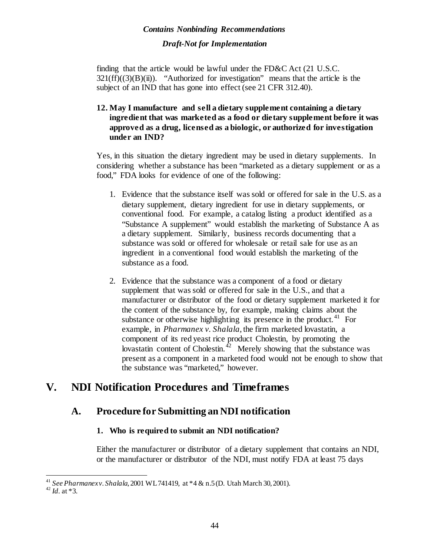#### *Contains Nonbinding Recommendations*

#### *Draft-Not for Implementation*

finding that the article would be lawful under the FD&C Act (21 U.S.C.  $321(ff)((3)(B)(ii))$ . "Authorized for investigation" means that the article is the subject of an IND that has gone into effect (see 21 CFR 312.40).

#### **12. May I manufacture and sell a dietary supplement containing a dietary ingredient that was marketed as a food or dietary supplement before it was approved as a drug, licensed as a biologic, or authorized for investigation under an IND?**

Yes, in this situation the dietary ingredient may be used in dietary supplements. In considering whether a substance has been "marketed as a dietary supplement or as a food," FDA looks for evidence of one of the following:

- 1. Evidence that the substance itself was sold or offered for sale in the U.S. as a dietary supplement, dietary ingredient for use in dietary supplements, or conventional food. For example, a catalog listing a product identified as a "Substance A supplement" would establish the marketing of Substance A as a dietary supplement. Similarly, business records documenting that a substance was sold or offered for wholesale or retail sale for use as an ingredient in a conventional food would establish the marketing of the substance as a food.
- 2. Evidence that the substance was a component of a food or dietary supplement that was sold or offered for sale in the U.S., and that a manufacturer or distributor of the food or dietary supplement marketed it for the content of the substance by, for example, making claims about the substance or otherwise highlighting its presence in the product.<sup>[41](#page-43-0)</sup> For example, in *Pharmanex v. Shalala*, the firm marketed lovastatin, a component of its red yeast rice product Cholestin, by promoting the lovastatin content of Cholestin.<sup> $42$ </sup> Merely showing that the substance was present as a component in a marketed food would not be enough to show that the substance was "marketed," however.

# **V. NDI Notification Procedures and Timeframes**

### **A. Procedure for Submitting an NDI notification**

#### **1. Who is required to submit an NDI notification?**

Either the manufacturer or distributor of a dietary supplement that contains an NDI, or the manufacturer or distributor of the NDI, must notify FDA at least 75 days

<span id="page-43-0"></span><sup>41</sup> *See Pharmanex v. Shalala*, 2001 WL 741419, at \*4 & n.5 (D. Utah March 30, 2001). <sup>42</sup> *Id.* at \*3.

<span id="page-43-1"></span>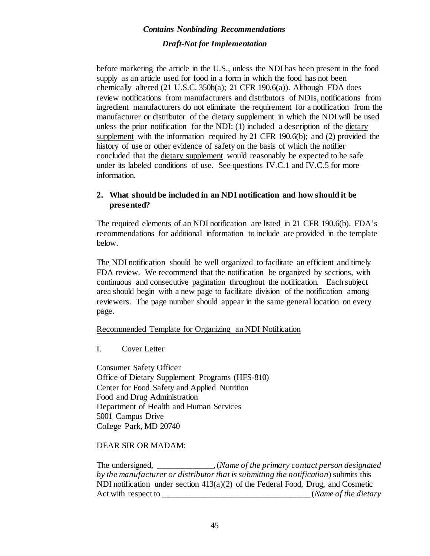# *Contains Nonbinding Recommendations*

#### *Draft-Not for Implementation*

before marketing the article in the U.S., unless the NDI has been present in the food supply as an article used for food in a form in which the food has not been chemically altered (21 U.S.C. 350b(a); 21 CFR 190.6(a)). Although FDA does review notifications from manufacturers and distributors of NDIs, notifications from ingredient manufacturers do not eliminate the requirement for a notification from the manufacturer or distributor of the dietary supplement in which the NDI will be used unless the prior notification for the NDI: (1) included a description of the dietary supplement with the information required by 21 CFR 190.6(b); and (2) provided the history of use or other evidence of safety on the basis of which the notifier concluded that the dietary supplement would reasonably be expected to be safe under its labeled conditions of use. See questions [IV.C.1](#page-27-0) and [IV.C.5](#page-31-0) for more information.

#### <span id="page-44-0"></span>**2. What should be included in an NDI notification and how should it be presented?**

The required elements of an NDI notification are listed in 21 CFR 190.6(b). FDA's recommendations for additional information to include are provided in the template below.

The NDI notification should be well organized to facilitate an efficient and timely FDA review. We recommend that the notification be organized by sections, with continuous and consecutive pagination throughout the notification. Each subject area should begin with a new page to facilitate division of the notification among reviewers. The page number should appear in the same general location on every page.

#### Recommended Template for Organizing an NDI Notification

I. Cover Letter

Consumer Safety Officer Office of Dietary Supplement Programs (HFS-810) Center for Food Safety and Applied Nutrition Food and Drug Administration Department of Health and Human Services 5001 Campus Drive College Park, MD 20740

#### DEAR SIR OR MADAM:

The undersigned, \_\_\_\_\_\_\_\_\_\_\_\_\_, (*Name of the primary contact person designated by the manufacturer or distributor that is submitting the notification*) submits this NDI notification under section 413(a)(2) of the Federal Food, Drug, and Cosmetic Act with respect to \_\_\_\_\_\_\_\_\_\_\_\_\_\_\_\_\_\_\_\_\_\_\_\_\_\_\_\_\_\_\_\_\_\_\_(*Name of the dietary*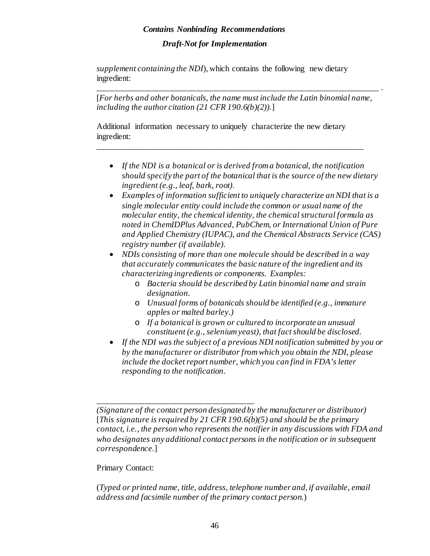*supplement containing the NDI*), which contains the following new dietary ingredient:

[*For herbs and other botanicals, the name must include the Latin binomial name, including the author citation (21 CFR 190.6(b)(2)).*]

\_\_\_\_\_\_\_\_\_\_\_\_\_\_\_\_\_\_\_\_\_\_\_\_\_\_\_\_\_\_\_\_\_\_\_\_\_\_\_\_\_\_\_\_\_\_\_\_\_\_\_\_\_\_\_\_\_\_\_\_\_\_\_\_\_\_\_ .

Additional information necessary to uniquely characterize the new dietary ingredient:

\_\_\_\_\_\_\_\_\_\_\_\_\_\_\_\_\_\_\_\_\_\_\_\_\_\_\_\_\_\_\_\_\_\_\_\_\_\_\_\_\_\_\_\_\_\_\_\_\_\_\_\_\_\_\_\_\_\_\_\_\_\_\_

- *If the NDI is a botanical or is derived from a botanical, the notification should specify the part of the botanical that is the source of the new dietary ingredient (e.g., leaf, bark, root).*
- *Examples of information sufficient to uniquely characterize an NDI that is a single molecular entity could include the common or usual name of the molecular entity, the chemical identity, the chemical structural formula as noted in ChemIDPlus Advanced, PubChem, or International Union of Pure and Applied Chemistry (IUPAC), and the Chemical Abstracts Service (CAS) registry number (if available).*
- *NDIs consisting of more than one molecule should be described in a way that accurately communicates the basic nature of the ingredient and its characterizing ingredients or components. Examples:*
	- o *Bacteria should be described by Latin binomial name and strain designation.*
	- o *Unusual forms of botanicals should be identified (e.g., immature apples or malted barley.)*
	- o *If a botanical is grown or cultured to incorporate an unusual constituent (e.g., selenium yeast), that fact should be disclosed.*
- *If the NDI was the subject of a previous NDI notification submitted by you or by the manufacturer or distributor from which you obtain the NDI, please include the docket report number, which you can find in FDA's letter responding to the notification*.

#### Primary Contact:

(*Typed or printed name, title, address, telephone number and, if available, email address and facsimile number of the primary contact person.*)

\_\_\_\_\_\_\_\_\_\_\_\_\_\_\_\_\_\_\_\_\_\_\_\_\_\_\_\_\_\_\_\_\_\_\_\_\_ *(Signature of the contact person designated by the manufacturer or distributor)* [*This signature is required by 21 CFR 190.6(b)(5) and should be the primary contact, i.e., the person who represents the notifier in any discussions with FDA and who designates any additional contact persons in the notification or in subsequent correspondence.*]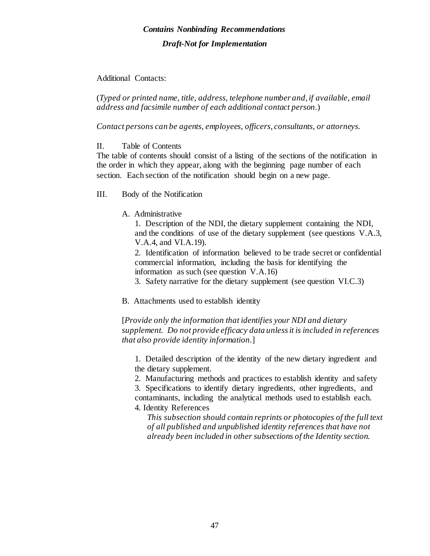Additional Contacts:

(*Typed or printed name, title, address, telephone number and, if available, email address and facsimile number of each additional contact person*.)

*Contact persons can be agents, employees, officers, consultants, or attorneys.*

#### II. Table of Contents

The table of contents should consist of a listing of the sections of the notification in the order in which they appear, along with the beginning page number of each section. Each section of the notification should begin on a new page.

III. Body of the Notification

A. Administrative

1. Description of the NDI, the dietary supplement containing the NDI, and the conditions of use of the dietary supplement (see questions [V.A.3,](#page-47-0) [V.A.4,](#page-47-1) and [VI.A.19\)](#page-65-0).

2. Identification of information believed to be trade secret or confidential commercial information, including the basis for identifying the information as such (see question [V.A.16\)](#page-50-0)

3. Safety narrative for the dietary supplement (see question [VI.C.3\)](#page-88-0)

B. Attachments used to establish identity

[*Provide only the information that identifies your NDI and dietary supplement. Do not provide efficacy data unless it is included in references that also provide identity information.*]

1. Detailed description of the identity of the new dietary ingredient and the dietary supplement.

2. Manufacturing methods and practices to establish identity and safety

3. Specifications to identify dietary ingredients, other ingredients, and contaminants, including the analytical methods used to establish each.

4. Identity References

*This subsection should contain reprints or photocopies of the full text of all published and unpublished identity references that have not already been included in other subsections of the Identity section.*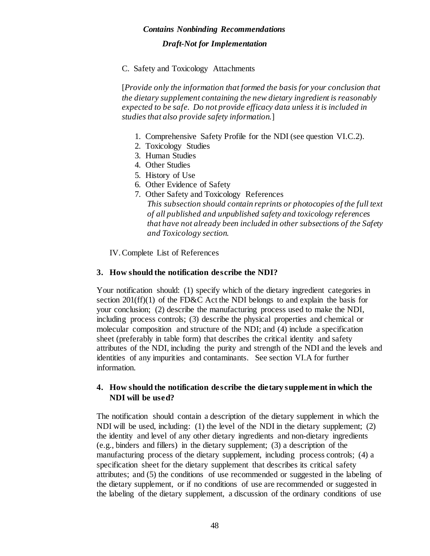# *Contains Nonbinding Recommendations*

#### *Draft-Not for Implementation*

C. Safety and Toxicology Attachments

[*Provide only the information that formed the basis for your conclusion that the dietary supplement containing the new dietary ingredient is reasonably expected to be safe. Do not provide efficacy data unless it is included in studies that also provide safety information.*]

- 1. Comprehensive Safety Profile for the NDI (see question [VI.C.2\)](#page-87-0).
- 2. Toxicology Studies
- 3. Human Studies
- 4. Other Studies
- 5. History of Use
- 6. Other Evidence of Safety
- 7. Other Safety and Toxicology References *This subsection should contain reprints or photocopies of the full text of all published and unpublished safety and toxicology references that have not already been included in other subsections of the Safety and Toxicology section.*

IV.Complete List of References

#### <span id="page-47-0"></span>**3. How should the notification describe the NDI?**

Your notification should: (1) specify which of the dietary ingredient categories in section  $201(ff)(1)$  of the FD&C Act the NDI belongs to and explain the basis for your conclusion; (2) describe the manufacturing process used to make the NDI, including process controls; (3) describe the physical properties and chemical or molecular composition and structure of the NDI; and (4) include a specification sheet (preferably in table form) that describes the critical identity and safety attributes of the NDI, including the purity and strength of the NDI and the levels and identities of any impurities and contaminants. See section [VI.A](#page-54-0) for further information.

#### <span id="page-47-1"></span>**4. How should the notification describe the dietary supplement in which the NDI will be used?**

The notification should contain a description of the dietary supplement in which the NDI will be used, including: (1) the level of the NDI in the dietary supplement; (2) the identity and level of any other dietary ingredients and non-dietary ingredients (e.g., binders and fillers) in the dietary supplement; (3) a description of the manufacturing process of the dietary supplement, including process controls; (4) a specification sheet for the dietary supplement that describes its critical safety attributes; and (5) the conditions of use recommended or suggested in the labeling of the dietary supplement, or if no conditions of use are recommended or suggested in the labeling of the dietary supplement, a discussion of the ordinary conditions of use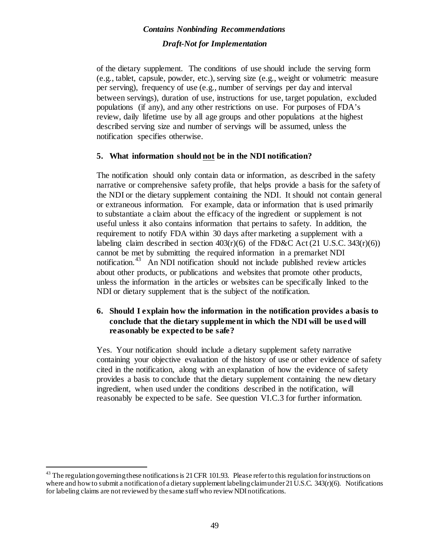of the dietary supplement. The conditions of use should include the serving form (e.g., tablet, capsule, powder, etc.), serving size (e.g., weight or volumetric measure per serving), frequency of use (e.g., number of servings per day and interval between servings), duration of use, instructions for use, target population, excluded populations (if any), and any other restrictions on use. For purposes of FDA's review, daily lifetime use by all age groups and other populations at the highest described serving size and number of servings will be assumed, unless the notification specifies otherwise.

#### **5. What information should not be in the NDI notification?**

The notification should only contain data or information, as described in the safety narrative or comprehensive safety profile, that helps provide a basis for the safety of the NDI or the dietary supplement containing the NDI. It should not contain general or extraneous information. For example, data or information that is used primarily to substantiate a claim about the efficacy of the ingredient or supplement is not useful unless it also contains information that pertains to safety. In addition, the requirement to notify FDA within 30 days after marketing a supplement with a labeling claim described in section  $403(r)(6)$  of the FD&C Act (21 U.S.C. 343(r)(6)) cannot be met by submitting the required information in a premarket NDI notification. [43](#page-48-0) An NDI notification should not include published review articles about other products, or publications and websites that promote other products, unless the information in the articles or websites can be specifically linked to the NDI or dietary supplement that is the subject of the notification.

#### **6. Should I explain how the information in the notification provides a basis to conclude that the dietary supplement in which the NDI will be used will reasonably be expected to be safe?**

Yes. Your notification should include a dietary supplement safety narrative containing your objective evaluation of the history of use or other evidence of safety cited in the notification, along with an explanation of how the evidence of safety provides a basis to conclude that the dietary supplement containing the new dietary ingredient, when used under the conditions described in the notification, will reasonably be expected to be safe. See question [VI.C.3](#page-88-0) for further information.

<span id="page-48-0"></span><sup>&</sup>lt;sup>43</sup> The regulation governing these notifications is 21 CFR 101.93. Please refer to this regulation for instructions on where and how to submit a notification of a dietary supplement labeling claim under 21 U.S.C. 343(r)(6). Notifications for labeling claims are not reviewed by the same staff who review NDI notifications.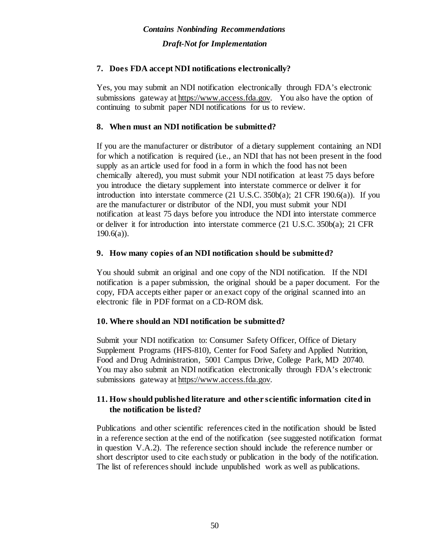#### **7. Does FDA accept NDI notifications electronically?**

Yes, you may submit an NDI notification electronically through FDA's electronic submissions gateway at [https://www.access.fda.gov.](https://www.access.fda.gov/) You also have the option of continuing to submit paper NDI notifications for us to review.

#### **8. When must an NDI notification be submitted?**

If you are the manufacturer or distributor of a dietary supplement containing an NDI for which a notification is required (i.e., an NDI that has not been present in the food supply as an article used for food in a form in which the food has not been chemically altered), you must submit your NDI notification at least 75 days before you introduce the dietary supplement into interstate commerce or deliver it for introduction into interstate commerce (21 U.S.C. 350b(a); 21 CFR 190.6(a)). If you are the manufacturer or distributor of the NDI, you must submit your NDI notification at least 75 days before you introduce the NDI into interstate commerce or deliver it for introduction into interstate commerce (21 U.S.C. 350b(a); 21 CFR  $190.6(a)$ ).

#### **9. How many copies of an NDI notification should be submitted?**

You should submit an original and one copy of the NDI notification. If the NDI notification is a paper submission, the original should be a paper document. For the copy, FDA accepts either paper or an exact copy of the original scanned into an electronic file in PDF format on a CD-ROM disk.

#### **10. Where should an NDI notification be submitted?**

Submit your NDI notification to: Consumer Safety Officer, Office of Dietary Supplement Programs (HFS-810), Center for Food Safety and Applied Nutrition, Food and Drug Administration, 5001 Campus Drive, College Park, MD 20740. You may also submit an NDI notification electronically through FDA's electronic submissions gateway at [https://www.access.fda.gov.](https://www.access.fda.gov/)

#### **11. How should published literature and other scientific information cited in the notification be listed?**

Publications and other scientific references cited in the notification should be listed in a reference section at the end of the notification (see suggested notification format in question [V.A.2\)](#page-44-0). The reference section should include the reference number or short descriptor used to cite each study or publication in the body of the notification. The list of references should include unpublished work as well as publications.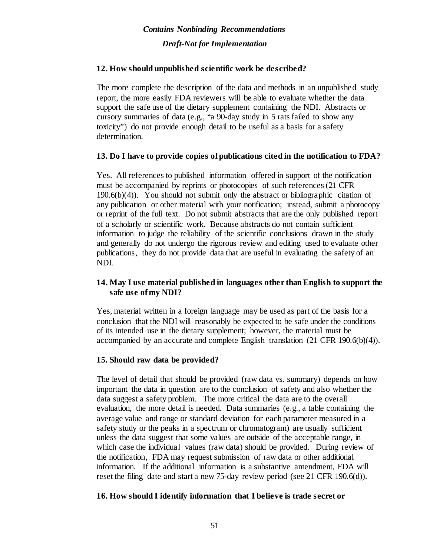#### **12. How should unpublished scientific work be described?**

The more complete the description of the data and methods in an unpublished study report, the more easily FDA reviewers will be able to evaluate whether the data support the safe use of the dietary supplement containing the NDI. Abstracts or cursory summaries of data (e.g., "a 90-day study in 5 rats failed to show any toxicity") do not provide enough detail to be useful as a basis for a safety determination.

#### **13. Do I have to provide copies of publications cited in the notification to FDA?**

Yes. All references to published information offered in support of the notification must be accompanied by reprints or photocopies of such references (21 CFR 190.6(b)(4)). You should not submit only the abstract or bibliographic citation of any publication or other material with your notification; instead, submit a photocopy or reprint of the full text. Do not submit abstracts that are the only published report of a scholarly or scientific work. Because abstracts do not contain sufficient information to judge the reliability of the scientific conclusions drawn in the study and generally do not undergo the rigorous review and editing used to evaluate other publications, they do not provide data that are useful in evaluating the safety of an NDI.

#### **14. May I use material published in languages other than English to support the safe use of my NDI?**

Yes, material written in a foreign language may be used as part of the basis for a conclusion that the NDI will reasonably be expected to be safe under the conditions of its intended use in the dietary supplement; however, the material must be accompanied by an accurate and complete English translation (21 CFR 190.6(b)(4)).

#### **15. Should raw data be provided?**

The level of detail that should be provided (raw data vs. summary) depends on how important the data in question are to the conclusion of safety and also whether the data suggest a safety problem. The more critical the data are to the overall evaluation, the more detail is needed. Data summaries (e.g., a table containing the average value and range or standard deviation for each parameter measured in a safety study or the peaks in a spectrum or chromatogram) are usually sufficient unless the data suggest that some values are outside of the acceptable range, in which case the individual values (raw data) should be provided. During review of the notification, FDA may request submission of raw data or other additional information. If the additional information is a substantive amendment, FDA will reset the filing date and start a new 75-day review period (see 21 CFR 190.6(d)).

#### <span id="page-50-0"></span>**16. How should I identify information that I believe is trade secret or**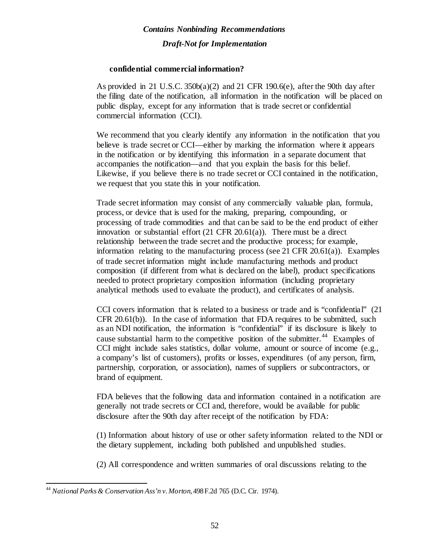#### **confidential commercial information?**

As provided in 21 U.S.C.  $350b(a)(2)$  and 21 CFR 190.6(e), after the 90th day after the filing date of the notification, all information in the notification will be placed on public display, except for any information that is trade secret or confidential commercial information (CCI).

We recommend that you clearly identify any information in the notification that you believe is trade secret or CCI—either by marking the information where it appears in the notification or by identifying this information in a separate document that accompanies the notification—and that you explain the basis for this belief. Likewise, if you believe there is no trade secret or CCI contained in the notification, we request that you state this in your notification.

Trade secret information may consist of any commercially valuable plan, formula, process, or device that is used for the making, preparing, compounding, or processing of trade commodities and that can be said to be the end product of either innovation or substantial effort  $(21 \text{ CFR } 20.61(a))$ . There must be a direct relationship between the trade secret and the productive process; for example, information relating to the manufacturing process (see 21 CFR 20.61(a)). Examples of trade secret information might include manufacturing methods and product composition (if different from what is declared on the label), product specifications needed to protect proprietary composition information (including proprietary analytical methods used to evaluate the product), and certificates of analysis.

CCI covers information that is related to a business or trade and is "confidential" (21 CFR 20.61(b)). In the case of information that FDA requires to be submitted, such as an NDI notification, the information is "confidential" if its disclosure is likely to cause substantial harm to the competitive position of the submitter.<sup>[44](#page-51-0)</sup> Examples of CCI might include sales statistics, dollar volume, amount or source of income (e.g., a company's list of customers), profits or losses, expenditures (of any person, firm, partnership, corporation, or association), names of suppliers or subcontractors, or brand of equipment.

FDA believes that the following data and information contained in a notification are generally not trade secrets or CCI and, therefore, would be available for public disclosure after the 90th day after receipt of the notification by FDA:

(1) Information about history of use or other safety information related to the NDI or the dietary supplement, including both published and unpublished studies.

(2) All correspondence and written summaries of oral discussions relating to the

<span id="page-51-0"></span> <sup>44</sup> *National Parks & Conservation Ass'n v. Morton*, 498 F.2d 765 (D.C. Cir. 1974).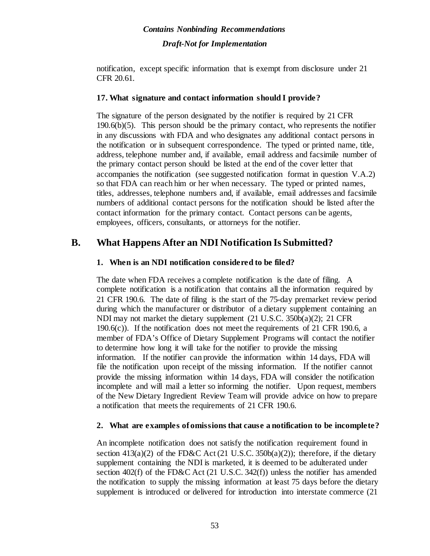notification, except specific information that is exempt from disclosure under 21 CFR 20.61.

#### **17. What signature and contact information should I provide?**

The signature of the person designated by the notifier is required by 21 CFR 190.6(b)(5). This person should be the primary contact, who represents the notifier in any discussions with FDA and who designates any additional contact persons in the notification or in subsequent correspondence. The typed or printed name, title, address, telephone number and, if available, email address and facsimile number of the primary contact person should be listed at the end of the cover letter that accompanies the notification (see suggested notification format in question [V.A.2\)](#page-44-0) so that FDA can reach him or her when necessary. The typed or printed names, titles, addresses, telephone numbers and, if available, email addresses and facsimile numbers of additional contact persons for the notification should be listed after the contact information for the primary contact. Contact persons can be agents, employees, officers, consultants, or attorneys for the notifier.

## **B. What Happens After an NDI Notification Is Submitted?**

#### **1. When is an NDI notification considered to be filed?**

The date when FDA receives a complete notification is the date of filing. A complete notification is a notification that contains all the information required by 21 CFR 190.6. The date of filing is the start of the 75-day premarket review period during which the manufacturer or distributor of a dietary supplement containing an NDI may not market the dietary supplement (21 U.S.C. 350b(a)(2); 21 CFR 190.6(c)). If the notification does not meet the requirements of 21 CFR 190.6, a member of FDA's Office of Dietary Supplement Programs will contact the notifier to determine how long it will take for the notifier to provide the missing information. If the notifier can provide the information within 14 days, FDA will file the notification upon receipt of the missing information. If the notifier cannot provide the missing information within 14 days, FDA will consider the notification incomplete and will mail a letter so informing the notifier. Upon request, members of the New Dietary Ingredient Review Team will provide advice on how to prepare a notification that meets the requirements of 21 CFR 190.6.

#### **2. What are examples of omissions that cause a notification to be incomplete?**

An incomplete notification does not satisfy the notification requirement found in section  $413(a)(2)$  of the FD&C Act (21 U.S.C. 350b(a)(2)); therefore, if the dietary supplement containing the NDI is marketed, it is deemed to be adulterated under section  $402(f)$  of the FD&C Act (21 U.S.C. 342(f)) unless the notifier has amended the notification to supply the missing information at least 75 days before the dietary supplement is introduced or delivered for introduction into interstate commerce (21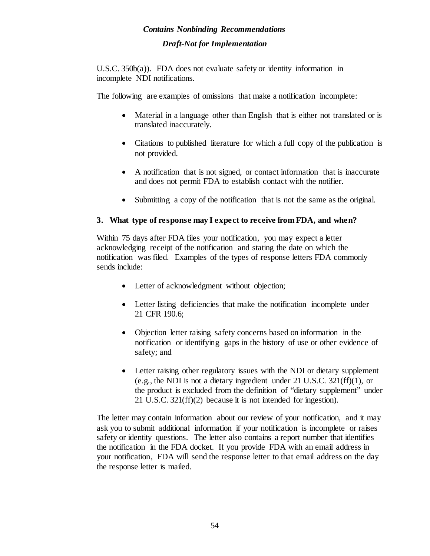U.S.C. 350b(a)). FDA does not evaluate safety or identity information in incomplete NDI notifications.

The following are examples of omissions that make a notification incomplete:

- Material in a language other than English that is either not translated or is translated inaccurately.
- Citations to published literature for which a full copy of the publication is not provided.
- A notification that is not signed, or contact information that is inaccurate and does not permit FDA to establish contact with the notifier.
- Submitting a copy of the notification that is not the same as the original.

#### **3. What type of response may I expect to receive from FDA, and when?**

Within 75 days after FDA files your notification, you may expect a letter acknowledging receipt of the notification and stating the date on which the notification was filed. Examples of the types of response letters FDA commonly sends include:

- Letter of acknowledgment without objection;
- Letter listing deficiencies that make the notification incomplete under 21 CFR 190.6;
- Objection letter raising safety concerns based on information in the notification or identifying gaps in the history of use or other evidence of safety; and
- Letter raising other regulatory issues with the NDI or dietary supplement (e.g., the NDI is not a dietary ingredient under 21 U.S.C. 321(ff)(1), or the product is excluded from the definition of "dietary supplement" under 21 U.S.C. 321(ff)(2) because it is not intended for ingestion).

The letter may contain information about our review of your notification, and it may ask you to submit additional information if your notification is incomplete or raises safety or identity questions. The letter also contains a report number that identifies the notification in the FDA docket. If you provide FDA with an email address in your notification, FDA will send the response letter to that email address on the day the response letter is mailed.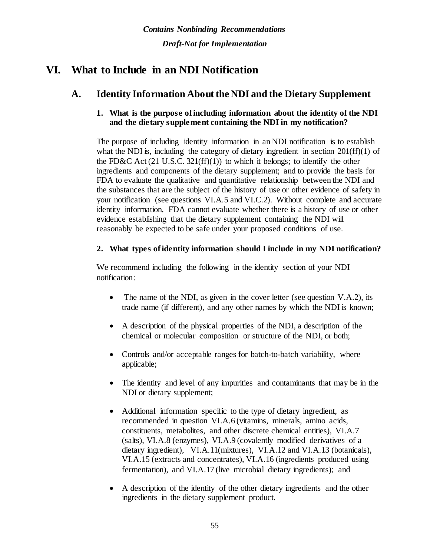# <span id="page-54-0"></span>**VI. What to Include in an NDI Notification**

# **A. Identity Information About the NDI and the Dietary Supplement**

#### **1. What is the purpose of including information about the identity of the NDI and the dietary supplement containing the NDI in my notification?**

The purpose of including identity information in an NDI notification is to establish what the NDI is, including the category of dietary ingredient in section  $201(ff)(1)$  of the FD&C Act (21 U.S.C. 321(ff)(1)) to which it belongs; to identify the other ingredients and components of the dietary supplement; and to provide the basis for FDA to evaluate the qualitative and quantitative relationship between the NDI and the substances that are the subject of the history of use or other evidence of safety in your notification (see questions [VI.A.5](#page-56-0) and [VI.C.2\)](#page-87-0). Without complete and accurate identity information, FDA cannot evaluate whether there is a history of use or other evidence establishing that the dietary supplement containing the NDI will reasonably be expected to be safe under your proposed conditions of use.

### **2. What types of identity information should I include in my NDI notification?**

We recommend including the following in the identity section of your NDI notification:

- The name of the NDI, as given in the cover letter (see question [V.A.2\)](#page-44-0), its trade name (if different), and any other names by which the NDI is known;
- A description of the physical properties of the NDI, a description of the chemical or molecular composition or structure of the NDI, or both;
- Controls and/or acceptable ranges for batch-to-batch variability, where applicable;
- The identity and level of any impurities and contaminants that may be in the NDI or dietary supplement;
- Additional information specific to the type of dietary ingredient, as recommended in question [VI.A.6](#page-57-0) (vitamins, minerals, amino acids, constituents, metabolites, and other discrete chemical entities), [VI.A.7](#page-58-0) (salts), [VI.A.8](#page-59-0) (enzymes), [VI.A.9](#page-59-1) (covalently modified derivatives of a dietary ingredient), [VI.A.11\(](#page-60-0)mixtures), [VI.A.12](#page-60-1) and [VI.A.13](#page-61-0) (botanicals), [VI.A.15](#page-62-0) (extracts and concentrates), [VI.A.16](#page-63-0) (ingredients produced using fermentation), and [VI.A.17](#page-64-0) (live microbial dietary ingredients); and
- A description of the identity of the other dietary ingredients and the other ingredients in the dietary supplement product.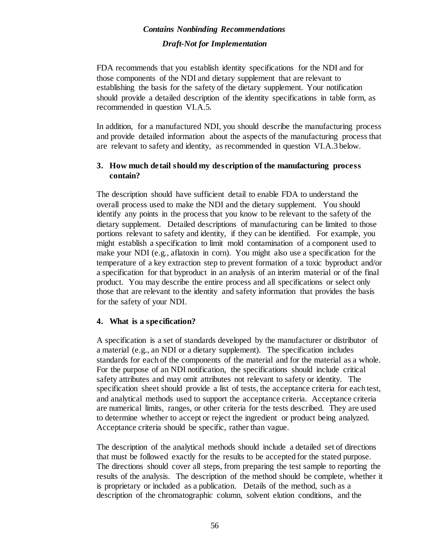FDA recommends that you establish identity specifications for the NDI and for those components of the NDI and dietary supplement that are relevant to establishing the basis for the safety of the dietary supplement. Your notification should provide a detailed description of the identity specifications in table form, as recommended in question [VI.A.5.](#page-56-0)

In addition, for a manufactured NDI, you should describe the manufacturing process and provide detailed information about the aspects of the manufacturing process that are relevant to safety and identity, as recommended in question [VI.A.3](#page-4-0) below.

#### <span id="page-55-0"></span>**3. How much detail should my description of the manufacturing process contain?**

The description should have sufficient detail to enable FDA to understand the overall process used to make the NDI and the dietary supplement. You should identify any points in the process that you know to be relevant to the safety of the dietary supplement. Detailed descriptions of manufacturing can be limited to those portions relevant to safety and identity, if they can be identified. For example, you might establish a specification to limit mold contamination of a component used to make your NDI (e.g., aflatoxin in corn). You might also use a specification for the temperature of a key extraction step to prevent formation of a toxic byproduct and/or a specification for that byproduct in an analysis of an interim material or of the final product. You may describe the entire process and all specifications or select only those that are relevant to the identity and safety information that provides the basis for the safety of your NDI.

#### **4. What is a specification?**

A specification is a set of standards developed by the manufacturer or distributor of a material (e.g., an NDI or a dietary supplement). The specification includes standards for each of the components of the material and for the material as a whole. For the purpose of an NDI notification, the specifications should include critical safety attributes and may omit attributes not relevant to safety or identity. The specification sheet should provide a list of tests, the acceptance criteria for each test, and analytical methods used to support the acceptance criteria. Acceptance criteria are numerical limits, ranges, or other criteria for the tests described. They are used to determine whether to accept or reject the ingredient or product being analyzed. Acceptance criteria should be specific, rather than vague.

The description of the analytical methods should include a detailed set of directions that must be followed exactly for the results to be accepted for the stated purpose. The directions should cover all steps, from preparing the test sample to reporting the results of the analysis. The description of the method should be complete, whether it is proprietary or included as a publication. Details of the method, such as a description of the chromatographic column, solvent elution conditions, and the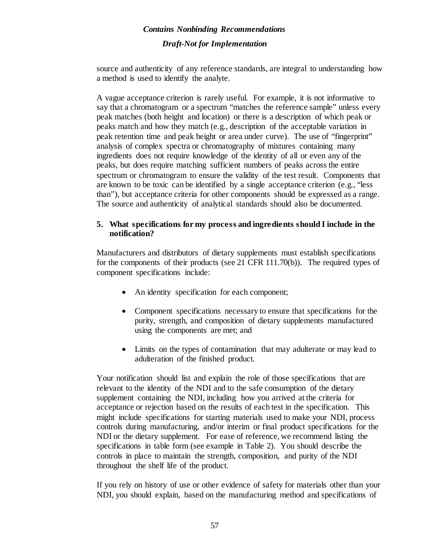source and authenticity of any reference standards, are integral to understanding how a method is used to identify the analyte.

A vague acceptance criterion is rarely useful. For example, it is not informative to say that a chromatogram or a spectrum "matches the reference sample" unless every peak matches (both height and location) or there is a description of which peak or peaks match and how they match (e.g., description of the acceptable variation in peak retention time and peak height or area under curve). The use of "fingerprint" analysis of complex spectra or chromatography of mixtures containing many ingredients does not require knowledge of the identity of all or even any of the peaks, but does require matching sufficient numbers of peaks across the entire spectrum or chromatogram to ensure the validity of the test result. Components that are known to be toxic can be identified by a single acceptance criterion (e.g., "less than"), but acceptance criteria for other components should be expressed as a range. The source and authenticity of analytical standards should also be documented.

#### <span id="page-56-0"></span>**5. What specifications for my process and ingredients should I include in the notification?**

Manufacturers and distributors of dietary supplements must establish specifications for the components of their products (see 21 CFR 111.70(b)). The required types of component specifications include:

- An identity specification for each component;
- Component specifications necessary to ensure that specifications for the purity, strength, and composition of dietary supplements manufactured using the components are met; and
- Limits on the types of contamination that may adulterate or may lead to adulteration of the finished product.

Your notification should list and explain the role of those specifications that are relevant to the identity of the NDI and to the safe consumption of the dietary supplement containing the NDI, including how you arrived at the criteria for acceptance or rejection based on the results of each test in the specification. This might include specifications for starting materials used to make your NDI, process controls during manufacturing, and/or interim or final product specifications for the NDI or the dietary supplement. For ease of reference, we recommend listing the specifications in table form (see example in Table 2). You should describe the controls in place to maintain the strength, composition, and purity of the NDI throughout the shelf life of the product.

If you rely on history of use or other evidence of safety for materials other than your NDI, you should explain, based on the manufacturing method and specifications of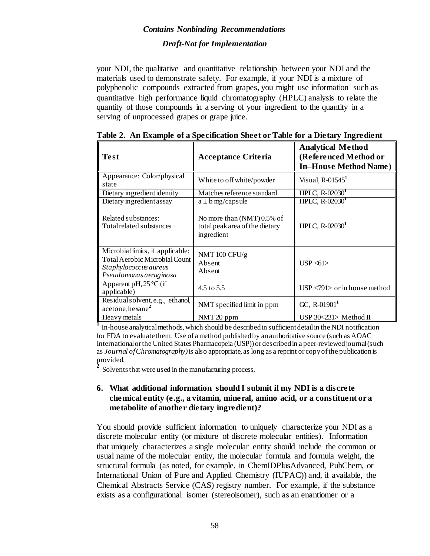#### *Contains Nonbinding Recommendations*

#### *Draft-Not for Implementation*

your NDI, the qualitative and quantitative relationship between your NDI and the materials used to demonstrate safety. For example, if your NDI is a mixture of polyphenolic compounds extracted from grapes, you might use information such as quantitative high performance liquid chromatography (HPLC) analysis to relate the quantity of those compounds in a serving of your ingredient to the quantity in a serving of unprocessed grapes or grape juice.

| <b>Test</b>                                                                                                          | <b>Acceptance Criteria</b>                                                 | <b>Analytical Method</b><br>(Referenced Method or<br><b>In-House Method Name)</b> |
|----------------------------------------------------------------------------------------------------------------------|----------------------------------------------------------------------------|-----------------------------------------------------------------------------------|
| Appearance: Color/physical<br>state                                                                                  | White to off white/powder                                                  | Visual, $R-01545^1$                                                               |
| Dietary ingredient identity                                                                                          | Matches reference standard                                                 | HPLC, $R$ -02030 <sup>1</sup>                                                     |
| Dietary ingredient as say                                                                                            | $a \pm b$ mg/capsule                                                       | HPLC, $R$ -02030 <sup>1</sup>                                                     |
| Related substances:<br>Total related substances                                                                      | No more than (NMT) 0.5% of<br>total peak area of the dietary<br>ingredient | HPLC, $R$ -02030 <sup>1</sup>                                                     |
| Microbial limits, if applicable:<br>Total Aerobic Microbial Count<br>Staphylococcus aureus<br>Pseudomonas aeruginosa | NMT 100 CFU/g<br>Absent<br>Absent                                          | USP < 61                                                                          |
| Apparent pH, $25^{\circ}$ C (if<br>applicable)                                                                       | 4.5 to 5.5                                                                 | $USP < 791$ or in house method                                                    |
| Residual solvent, e.g., ethanol,<br>acetone, hexane <sup>2</sup>                                                     | NMT specified limit in ppm                                                 | GC, $R-01901^1$                                                                   |
| Heavy metals                                                                                                         | NMT <sub>20</sub> ppm                                                      | USP 30<231> Method II                                                             |

| Table 2. An Example of a Specification Sheet or Table for a Dietary Ingredient |  |  |  |  |  |  |  |  |
|--------------------------------------------------------------------------------|--|--|--|--|--|--|--|--|
|--------------------------------------------------------------------------------|--|--|--|--|--|--|--|--|

**<sup>1</sup>** In-house analytical methods, which should be described in sufficient detail in the NDI notification for FDA to evaluate them. Use of a method published by an authoritative source (such as AOAC International or the United States Pharmacopeia (USP)) or described in a peer-reviewed journal (such as *Journal of Chromatography)*is also appropriate, as long as a reprint or copy of the publication is

<span id="page-57-0"></span><sup>2</sup> Solvents that were used in the manufacturing process.

#### **6. What additional information should I submit if my NDI is a discrete chemical entity (e.g., a vitamin, mineral, amino acid, or a constituent or a metabolite of another dietary ingredient)?**

You should provide sufficient information to uniquely characterize your NDI as a discrete molecular entity (or mixture of discrete molecular entities). Information that uniquely characterizes a single molecular entity should include the common or usual name of the molecular entity, the molecular formula and formula weight, the structural formula (as noted, for example, in ChemIDPlusAdvanced, PubChem, or International Union of Pure and Applied Chemistry (IUPAC)) and, if available, the Chemical Abstracts Service (CAS) registry number. For example, if the substance exists as a configurational isomer (stereoisomer), such as an enantiomer or a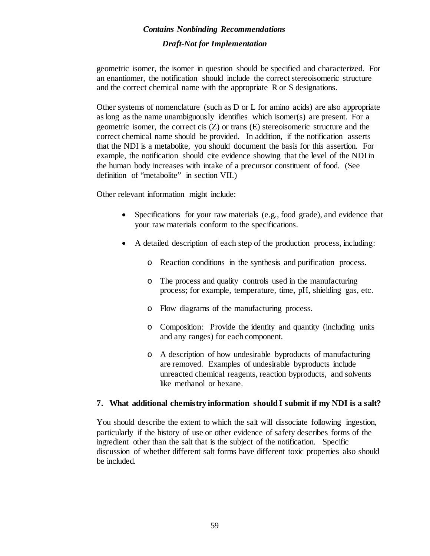geometric isomer, the isomer in question should be specified and characterized. For an enantiomer, the notification should include the correct stereoisomeric structure and the correct chemical name with the appropriate R or S designations.

Other systems of nomenclature (such as D or L for amino acids) are also appropriate as long as the name unambiguously identifies which isomer(s) are present. For a geometric isomer, the correct cis  $(Z)$  or trans  $(E)$  stereoisomeric structure and the correct chemical name should be provided. In addition, if the notification asserts that the NDI is a metabolite, you should document the basis for this assertion. For example, the notification should cite evidence showing that the level of the NDI in the human body increases with intake of a precursor constituent of food. (See definition of "metabolite" in section [VII.](#page-94-0))

Other relevant information might include:

- Specifications for your raw materials (e.g., food grade), and evidence that your raw materials conform to the specifications.
- A detailed description of each step of the production process, including:
	- o Reaction conditions in the synthesis and purification process.
	- o The process and quality controls used in the manufacturing process; for example, temperature, time, pH, shielding gas, etc.
	- o Flow diagrams of the manufacturing process.
	- o Composition: Provide the identity and quantity (including units and any ranges) for each component.
	- o A description of how undesirable byproducts of manufacturing are removed. Examples of undesirable byproducts include unreacted chemical reagents, reaction byproducts, and solvents like methanol or hexane.

#### <span id="page-58-0"></span>**7. What additional chemistry information should I submit if my NDI is a salt?**

You should describe the extent to which the salt will dissociate following ingestion, particularly if the history of use or other evidence of safety describes forms of the ingredient other than the salt that is the subject of the notification. Specific discussion of whether different salt forms have different toxic properties also should be included.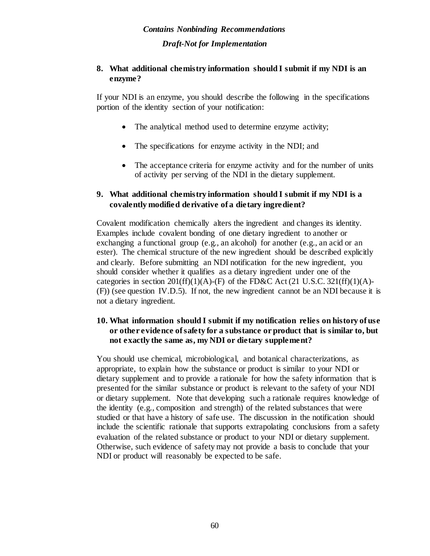#### <span id="page-59-0"></span>**8. What additional chemistry information should I submit if my NDI is an enzyme?**

If your NDI is an enzyme, you should describe the following in the specifications portion of the identity section of your notification:

- The analytical method used to determine enzyme activity;
- The specifications for enzyme activity in the NDI; and
- The acceptance criteria for enzyme activity and for the number of units of activity per serving of the NDI in the dietary supplement.

#### <span id="page-59-1"></span>**9. What additional chemistry information should I submit if my NDI is a covalently modified derivative of a dietary ingredient?**

Covalent modification chemically alters the ingredient and changes its identity. Examples include covalent bonding of one dietary ingredient to another or exchanging a functional group (e.g., an alcohol) for another (e.g., an acid or an ester). The chemical structure of the new ingredient should be described explicitly and clearly. Before submitting an NDI notification for the new ingredient, you should consider whether it qualifies as a dietary ingredient under one of the categories in section  $201(ff)(1)(A)$ -(F) of the FD&C Act (21 U.S.C. 321(ff)(1)(A)-(F)) (see question [IV.D.5\)](#page-40-1). If not, the new ingredient cannot be an NDI because it is not a dietary ingredient.

#### <span id="page-59-2"></span>**10. What information should I submit if my notification relies on history of use or other evidence of safety for a substance or product that is similar to, but not exactly the same as, my NDI or dietary supplement?**

You should use chemical, microbiological, and botanical characterizations, as appropriate, to explain how the substance or product is similar to your NDI or dietary supplement and to provide a rationale for how the safety information that is presented for the similar substance or product is relevant to the safety of your NDI or dietary supplement. Note that developing such a rationale requires knowledge of the identity (e.g., composition and strength) of the related substances that were studied or that have a history of safe use. The discussion in the notification should include the scientific rationale that supports extrapolating conclusions from a safety evaluation of the related substance or product to your NDI or dietary supplement. Otherwise, such evidence of safety may not provide a basis to conclude that your NDI or product will reasonably be expected to be safe.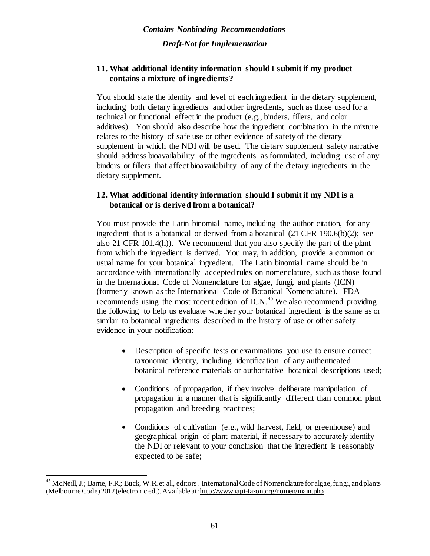#### <span id="page-60-0"></span>**11. What additional identity information should I submit if my product contains a mixture of ingredients?**

You should state the identity and level of each ingredient in the dietary supplement, including both dietary ingredients and other ingredients, such as those used for a technical or functional effect in the product (e.g., binders, fillers, and color additives). You should also describe how the ingredient combination in the mixture relates to the history of safe use or other evidence of safety of the dietary supplement in which the NDI will be used. The dietary supplement safety narrative should address bioavailability of the ingredients as formulated, including use of any binders or fillers that affect bioavailability of any of the dietary ingredients in the dietary supplement.

#### <span id="page-60-1"></span>**12. What additional identity information should I submit if my NDI is a botanical or is derived from a botanical?**

You must provide the Latin binomial name, including the author citation, for any ingredient that is a botanical or derived from a botanical  $(21 \text{ CFR } 190.6(b)(2))$ ; see also 21 CFR 101.4(h)). We recommend that you also specify the part of the plant from which the ingredient is derived. You may, in addition, provide a common or usual name for your botanical ingredient. The Latin binomial name should be in accordance with internationally accepted rules on nomenclature, such as those found in the International Code of Nomenclature for algae, fungi, and plants (ICN) (formerly known as the International Code of Botanical Nomenclature). FDA recommends using the most recent edition of ICN.<sup>[45](#page-60-2)</sup> We also recommend providing the following to help us evaluate whether your botanical ingredient is the same as or similar to botanical ingredients described in the history of use or other safety evidence in your notification:

- Description of specific tests or examinations you use to ensure correct taxonomic identity, including identification of any authenticated botanical reference materials or authoritative botanical descriptions used;
- Conditions of propagation, if they involve deliberate manipulation of propagation in a manner that is significantly different than common plant propagation and breeding practices;
- Conditions of cultivation (e.g., wild harvest, field, or greenhouse) and geographical origin of plant material, if necessary to accurately identify the NDI or relevant to your conclusion that the ingredient is reasonably expected to be safe;

<span id="page-60-2"></span><sup>&</sup>lt;sup>45</sup> McNeill, J.; Barrie, F.R.; Buck, W.R. et al., editors. International Code of Nomenclature for algae, fungi, and plants (Melbourne Code) 2012 (electronic ed.). Available at[:http://www.iapt-taxon.org/nomen/main.php](http://www.iapt-taxon.org/nomen/main.php)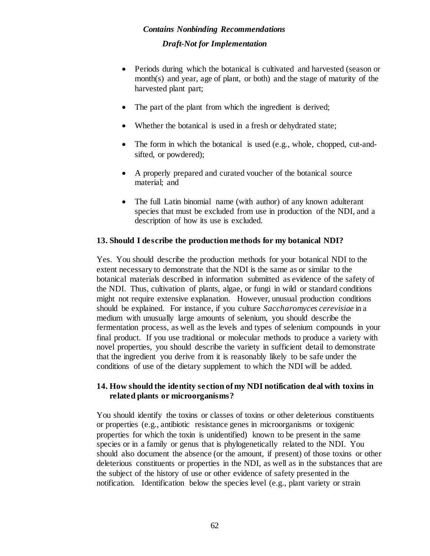- Periods during which the botanical is cultivated and harvested (season or month(s) and year, age of plant, or both) and the stage of maturity of the harvested plant part;
- The part of the plant from which the ingredient is derived;
- Whether the botanical is used in a fresh or dehydrated state;
- The form in which the botanical is used (e.g., whole, chopped, cut-andsifted, or powdered);
- A properly prepared and curated voucher of the botanical source material; and
- The full Latin binomial name (with author) of any known adulterant species that must be excluded from use in production of the NDI, and a description of how its use is excluded.

#### <span id="page-61-0"></span>**13. Should I describe the production methods for my botanical NDI?**

Yes. You should describe the production methods for your botanical NDI to the extent necessary to demonstrate that the NDI is the same as or similar to the botanical materials described in information submitted as evidence of the safety of the NDI. Thus, cultivation of plants, algae, or fungi in wild or standard conditions might not require extensive explanation. However, unusual production conditions should be explained. For instance, if you culture *Saccharomyces cerevisiae* in a medium with unusually large amounts of selenium, you should describe the fermentation process, as well as the levels and types of selenium compounds in your final product. If you use traditional or molecular methods to produce a variety with novel properties, you should describe the variety in sufficient detail to demonstrate that the ingredient you derive from it is reasonably likely to be safe under the conditions of use of the dietary supplement to which the NDI will be added.

#### **14. How should the identity section of my NDI notification deal with toxins in related plants or microorganisms?**

You should identify the toxins or classes of toxins or other deleterious constituents or properties (e.g., antibiotic resistance genes in microorganisms or toxigenic properties for which the toxin is unidentified) known to be present in the same species or in a family or genus that is phylogenetically related to the NDI. You should also document the absence (or the amount, if present) of those toxins or other deleterious constituents or properties in the NDI, as well as in the substances that are the subject of the history of use or other evidence of safety presented in the notification. Identification below the species level (e.g., plant variety or strain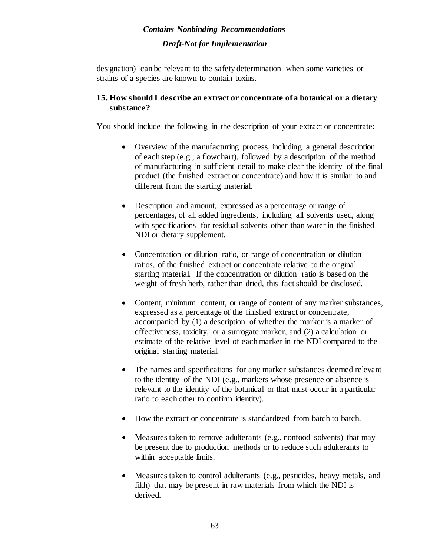designation) can be relevant to the safety determination when some varieties or strains of a species are known to contain toxins.

#### <span id="page-62-0"></span>**15. How should I describe an extract or concentrate of a botanical or a dietary substance?**

You should include the following in the description of your extract or concentrate:

- Overview of the manufacturing process, including a general description of each step (e.g., a flowchart), followed by a description of the method of manufacturing in sufficient detail to make clear the identity of the final product (the finished extract or concentrate) and how it is similar to and different from the starting material.
- Description and amount, expressed as a percentage or range of percentages, of all added ingredients, including all solvents used, along with specifications for residual solvents other than water in the finished NDI or dietary supplement.
- Concentration or dilution ratio, or range of concentration or dilution ratios, of the finished extract or concentrate relative to the original starting material. If the concentration or dilution ratio is based on the weight of fresh herb, rather than dried, this fact should be disclosed.
- Content, minimum content, or range of content of any marker substances, expressed as a percentage of the finished extract or concentrate, accompanied by (1) a description of whether the marker is a marker of effectiveness, toxicity, or a surrogate marker, and (2) a calculation or estimate of the relative level of each marker in the NDI compared to the original starting material.
- The names and specifications for any marker substances deemed relevant to the identity of the NDI (e.g., markers whose presence or absence is relevant to the identity of the botanical or that must occur in a particular ratio to each other to confirm identity).
- How the extract or concentrate is standardized from batch to batch.
- Measures taken to remove adulterants (e.g., nonfood solvents) that may be present due to production methods or to reduce such adulterants to within acceptable limits.
- Measures taken to control adulterants (e.g., pesticides, heavy metals, and filth) that may be present in raw materials from which the NDI is derived.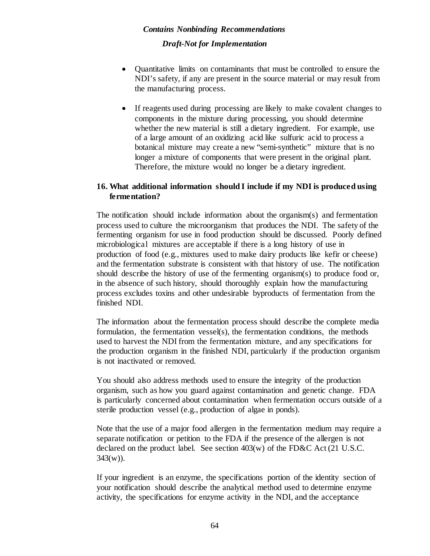- Quantitative limits on contaminants that must be controlled to ensure the NDI's safety, if any are present in the source material or may result from the manufacturing process.
- If reagents used during processing are likely to make covalent changes to components in the mixture during processing, you should determine whether the new material is still a dietary ingredient. For example, use of a large amount of an oxidizing acid like sulfuric acid to process a botanical mixture may create a new "semi-synthetic" mixture that is no longer a mixture of components that were present in the original plant. Therefore, the mixture would no longer be a dietary ingredient.

#### <span id="page-63-0"></span>**16. What additional information should I include if my NDI is produced using fermentation?**

The notification should include information about the organism(s) and fermentation process used to culture the microorganism that produces the NDI. The safety of the fermenting organism for use in food production should be discussed. Poorly defined microbiological mixtures are acceptable if there is a long history of use in production of food (e.g., mixtures used to make dairy products like kefir or cheese) and the fermentation substrate is consistent with that history of use. The notification should describe the history of use of the fermenting organism(s) to produce food or, in the absence of such history, should thoroughly explain how the manufacturing process excludes toxins and other undesirable byproducts of fermentation from the finished NDI.

The information about the fermentation process should describe the complete media formulation, the fermentation vessel(s), the fermentation conditions, the methods used to harvest the NDI from the fermentation mixture, and any specifications for the production organism in the finished NDI, particularly if the production organism is not inactivated or removed.

You should also address methods used to ensure the integrity of the production organism, such as how you guard against contamination and genetic change. FDA is particularly concerned about contamination when fermentation occurs outside of a sterile production vessel (e.g., production of algae in ponds).

Note that the use of a major food allergen in the fermentation medium may require a separate notification or petition to the FDA if the presence of the allergen is not declared on the product label. See section 403(w) of the FD&C Act (21 U.S.C.  $343(w)$ ).

If your ingredient is an enzyme, the specifications portion of the identity section of your notification should describe the analytical method used to determine enzyme activity, the specifications for enzyme activity in the NDI, and the acceptance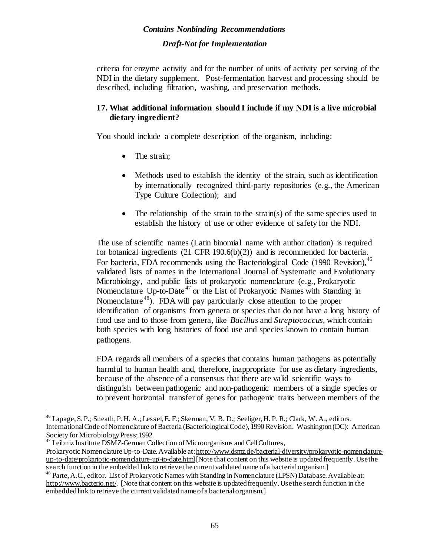criteria for enzyme activity and for the number of units of activity per serving of the NDI in the dietary supplement. Post-fermentation harvest and processing should be described, including filtration, washing, and preservation methods.

#### <span id="page-64-0"></span>**17. What additional information should I include if my NDI is a live microbial dietary ingredient?**

You should include a complete description of the organism, including:

- The strain:
- Methods used to establish the identity of the strain, such as identification by internationally recognized third-party repositories (e.g., the American Type Culture Collection); and
- The relationship of the strain to the strain(s) of the same species used to establish the history of use or other evidence of safety for the NDI.

The use of scientific names (Latin binomial name with author citation) is required for botanical ingredients (21 CFR 190.6(b)(2)) and is recommended for bacteria. For bacteria, FDA recommends using the Bacteriological Code (1990 Revision), <sup>[46](#page-64-1)</sup> validated lists of names in the International Journal of Systematic and Evolutionary Microbiology, and public lists of prokaryotic nomenclature (e.g., Prokaryotic Nomenclature Up-to-Date<sup>[47](#page-64-2)</sup> or the List of Prokaryotic Names with Standing in Nomenclature<sup>48</sup>). FDA will pay particularly close attention to the proper identification of organisms from genera or species that do not have a long history of food use and to those from genera, like *Bacillus* and *Streptococcus,* which contain both species with long histories of food use and species known to contain human pathogens.

FDA regards all members of a species that contains human pathogens as potentially harmful to human health and, therefore, inappropriate for use as dietary ingredients, because of the absence of a consensus that there are valid scientific ways to distinguish between pathogenic and non-pathogenic members of a single species or to prevent horizontal transfer of genes for pathogenic traits between members of the

<span id="page-64-1"></span><sup>&</sup>lt;sup>46</sup> Lapage, S. P.; Sneath, P. H. A.; Lessel, E. F.; Skerman, V. B. D.; Seeliger, H. P. R.; Clark, W. A., editors. International Code of Nomenclature of Bacteria (Bacteriological Code), 1990 Revision. Washington (DC): American Society for Microbiology Press; 1992.

<span id="page-64-2"></span>Leibniz Institute DSMZ-German Collection of Microorganisms and Cell Cultures,

Prokaryotic [Nomenclature Up-to-Date.](http://www.dsmz.de/microorganisms/bacterial_nomenclature.php) A vailable at: http://www.dsmz.de/bacterial-diversity/prokaryotic-nomenclature[up-to-date/prokariotic-nomenclature-up-to-date.html](http://www.dsmz.de/bacterial-diversity/prokaryotic-nomenclature-up-to-date/prokariotic-nomenclature-up-to-date.html)[Note that content on this website is updated frequently. Use the search function in the embedded link to retrieve the current validated name of a bacterial organism.]

<span id="page-64-3"></span><sup>&</sup>lt;sup>48</sup> Parte, A.C., editor. [List of Prokaryotic Names with Standing in Nomenclature \(LPSN\) Database.](http://www.bacterio.cict.fr/) Available at: [http://www.bacterio.net/.](http://www.bacterio.net/) [Note that content on this website is updated frequently. Use the search function in the embedded link to retrieve the current validated name of a bacterial organism.]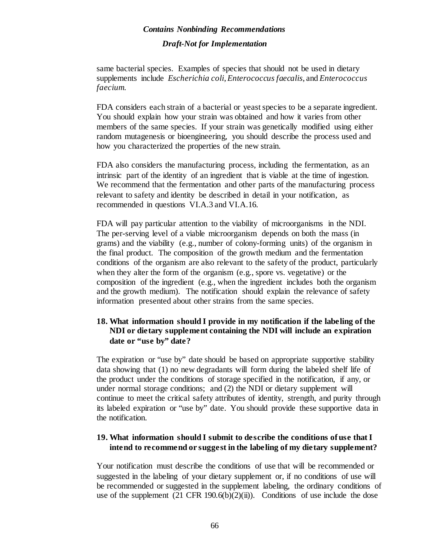same bacterial species. Examples of species that should not be used in dietary supplements include *Escherichia coli*, *Enterococcus faecalis*, and *Enterococcus faecium*.

FDA considers each strain of a bacterial or yeast species to be a separate ingredient. You should explain how your strain was obtained and how it varies from other members of the same species. If your strain was genetically modified using either random mutagenesis or bioengineering, you should describe the process used and how you characterized the properties of the new strain.

FDA also considers the manufacturing process, including the fermentation, as an intrinsic part of the identity of an ingredient that is viable at the time of ingestion. We recommend that the fermentation and other parts of the manufacturing process relevant to safety and identity be described in detail in your notification, as recommended in questions [VI.A.3](#page-55-0) and [VI.A.16.](#page-63-0)

FDA will pay particular attention to the viability of microorganisms in the NDI. The per-serving level of a viable microorganism depends on both the mass (in grams) and the viability (e.g., number of colony-forming units) of the organism in the final product. The composition of the growth medium and the fermentation conditions of the organism are also relevant to the safety of the product, particularly when they alter the form of the organism (e.g., spore vs. vegetative) or the composition of the ingredient (e.g., when the ingredient includes both the organism and the growth medium). The notification should explain the relevance of safety information presented about other strains from the same species.

#### **18. What information should I provide in my notification if the labeling of the NDI or dietary supplement containing the NDI will include an expiration date or "use by" date?**

The expiration or "use by" date should be based on appropriate supportive stability data showing that (1) no new degradants will form during the labeled shelf life of the product under the conditions of storage specified in the notification, if any, or under normal storage conditions; and (2) the NDI or dietary supplement will continue to meet the critical safety attributes of identity, strength, and purity through its labeled expiration or "use by" date. You should provide these supportive data in the notification.

#### <span id="page-65-0"></span>**19. What information should I submit to describe the conditions of use that I intend to recommend or suggest in the labeling of my dietary supplement?**

Your notification must describe the conditions of use that will be recommended or suggested in the labeling of your dietary supplement or, if no conditions of use will be recommended or suggested in the supplement labeling, the ordinary conditions of use of the supplement  $(21 \text{ CFR } 190.6(b)(2)(ii))$ . Conditions of use include the dose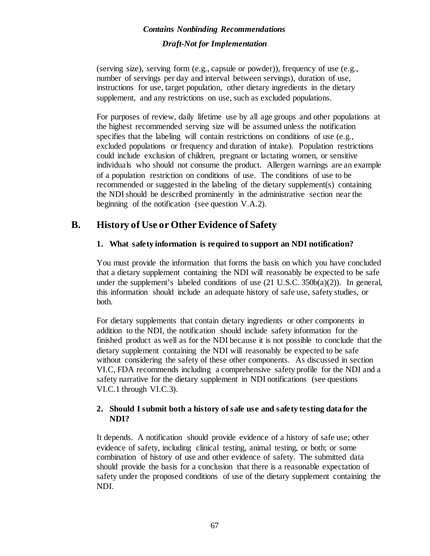(serving size), serving form (e.g., capsule or powder)), frequency of use (e.g., number of servings per day and interval between servings), duration of use, instructions for use, target population, other dietary ingredients in the dietary supplement, and any restrictions on use, such as excluded populations.

For purposes of review, daily lifetime use by all age groups and other populations at the highest recommended serving size will be assumed unless the notification specifies that the labeling will contain restrictions on conditions of use (e.g., excluded populations or frequency and duration of intake). Population restrictions could include exclusion of children, pregnant or lactating women, or sensitive individuals who should not consume the product. Allergen warnings are an example of a population restriction on conditions of use. The conditions of use to be recommended or suggested in the labeling of the dietary supplement(s) containing the NDI should be described prominently in the administrative section near the beginning of the notification (see question [V.A.2\)](#page-44-0).

## **B. History of Use or Other Evidence of Safety**

#### **1. What safety information is required to support an NDI notification?**

You must provide the information that forms the basis on which you have concluded that a dietary supplement containing the NDI will reasonably be expected to be safe under the supplement's labeled conditions of use  $(21 \text{ U.S.C. } 350b(a)(2))$ . In general, this information should include an adequate history of safe use, safety studies, or both.

For dietary supplements that contain dietary ingredients or other components in addition to the NDI, the notification should include safety information for the finished product as well as for the NDI because it is not possible to conclude that the dietary supplement containing the NDI will reasonably be expected to be safe without considering the safety of these other components. As discussed in section VI.C, FDA recommends including a comprehensive safety profile for the NDI and a safety narrative for the dietary supplement in NDI notifications (see questions [VI.C.1](#page-87-1) through [VI.C.3\)](#page-88-0).

#### **2. Should I submit both a history of safe use and safety testing data for the NDI?**

It depends. A notification should provide evidence of a history of safe use; other evidence of safety, including clinical testing, animal testing, or both; or some combination of history of use and other evidence of safety. The submitted data should provide the basis for a conclusion that there is a reasonable expectation of safety under the proposed conditions of use of the dietary supplement containing the NDI.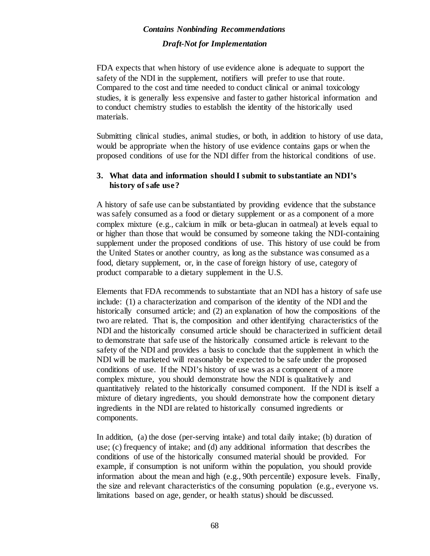FDA expects that when history of use evidence alone is adequate to support the safety of the NDI in the supplement, notifiers will prefer to use that route. Compared to the cost and time needed to conduct clinical or animal toxicology studies, it is generally less expensive and faster to gather historical information and to conduct chemistry studies to establish the identity of the historically used materials.

Submitting clinical studies, animal studies, or both, in addition to history of use data, would be appropriate when the history of use evidence contains gaps or when the proposed conditions of use for the NDI differ from the historical conditions of use.

#### <span id="page-67-0"></span>**3. What data and information should I submit to substantiate an NDI's history of safe use?**

A history of safe use can be substantiated by providing evidence that the substance was safely consumed as a food or dietary supplement or as a component of a more complex mixture (e.g., calcium in milk or beta-glucan in oatmeal) at levels equal to or higher than those that would be consumed by someone taking the NDI-containing supplement under the proposed conditions of use. This history of use could be from the United States or another country, as long as the substance was consumed as a food, dietary supplement, or, in the case of foreign history of use, category of product comparable to a dietary supplement in the U.S.

Elements that FDA recommends to substantiate that an NDI has a history of safe use include: (1) a characterization and comparison of the identity of the NDI and the historically consumed article; and (2) an explanation of how the compositions of the two are related. That is, the composition and other identifying characteristics of the NDI and the historically consumed article should be characterized in sufficient detail to demonstrate that safe use of the historically consumed article is relevant to the safety of the NDI and provides a basis to conclude that the supplement in which the NDI will be marketed will reasonably be expected to be safe under the proposed conditions of use. If the NDI's history of use was as a component of a more complex mixture, you should demonstrate how the NDI is qualitatively and quantitatively related to the historically consumed component. If the NDI is itself a mixture of dietary ingredients, you should demonstrate how the component dietary ingredients in the NDI are related to historically consumed ingredients or components.

In addition, (a) the dose (per-serving intake) and total daily intake; (b) duration of use; (c) frequency of intake; and (d) any additional information that describes the conditions of use of the historically consumed material should be provided. For example, if consumption is not uniform within the population, you should provide information about the mean and high (e.g., 90th percentile) exposure levels. Finally, the size and relevant characteristics of the consuming population (e.g., everyone vs. limitations based on age, gender, or health status) should be discussed.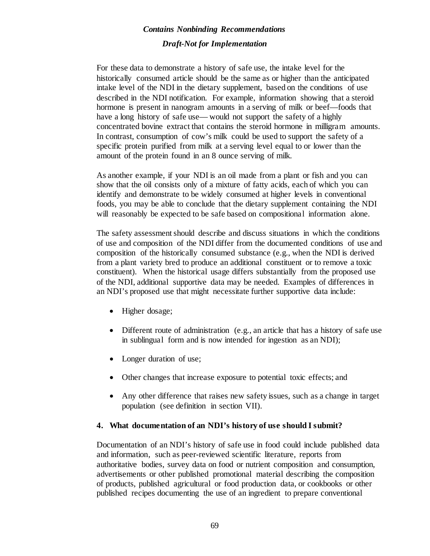For these data to demonstrate a history of safe use, the intake level for the historically consumed article should be the same as or higher than the anticipated intake level of the NDI in the dietary supplement, based on the conditions of use described in the NDI notification. For example, information showing that a steroid hormone is present in nanogram amounts in a serving of milk or beef—foods that have a long history of safe use— would not support the safety of a highly concentrated bovine extract that contains the steroid hormone in milligram amounts. In contrast, consumption of cow's milk could be used to support the safety of a specific protein purified from milk at a serving level equal to or lower than the amount of the protein found in an 8 ounce serving of milk.

As another example, if your NDI is an oil made from a plant or fish and you can show that the oil consists only of a mixture of fatty acids, each of which you can identify and demonstrate to be widely consumed at higher levels in conventional foods, you may be able to conclude that the dietary supplement containing the NDI will reasonably be expected to be safe based on compositional information alone.

The safety assessment should describe and discuss situations in which the conditions of use and composition of the NDI differ from the documented conditions of use and composition of the historically consumed substance (e.g., when the NDI is derived from a plant variety bred to produce an additional constituent or to remove a toxic constituent). When the historical usage differs substantially from the proposed use of the NDI, additional supportive data may be needed. Examples of differences in an NDI's proposed use that might necessitate further supportive data include:

- Higher dosage;
- Different route of administration (e.g., an article that has a history of safe use in sublingual form and is now intended for ingestion as an NDI);
- Longer duration of use;
- Other changes that increase exposure to potential toxic effects; and
- Any other difference that raises new safety issues, such as a change in target population (see definition in section [VII\)](#page-94-0).

#### **4. What documentation of an NDI's history of use should I submit?**

Documentation of an NDI's history of safe use in food could include published data and information, such as peer-reviewed scientific literature, reports from authoritative bodies, survey data on food or nutrient composition and consumption, advertisements or other published promotional material describing the composition of products, published agricultural or food production data, or cookbooks or other published recipes documenting the use of an ingredient to prepare conventional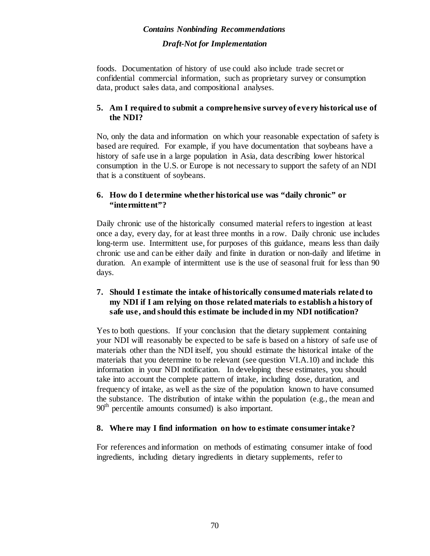foods. Documentation of history of use could also include trade secret or confidential commercial information, such as proprietary survey or consumption data, product sales data, and compositional analyses.

#### **5. Am I required to submit a comprehensive survey of every historical use of the NDI?**

No, only the data and information on which your reasonable expectation of safety is based are required. For example, if you have documentation that soybeans have a history of safe use in a large population in Asia, data describing lower historical consumption in the U.S. or Europe is not necessary to support the safety of an NDI that is a constituent of soybeans.

#### **6. How do I determine whether historical use was "daily chronic" or "intermittent"?**

Daily chronic use of the historically consumed material refers to ingestion at least once a day, every day, for at least three months in a row. Daily chronic use includes long-term use. Intermittent use, for purposes of this guidance, means less than daily chronic use and can be either daily and finite in duration or non-daily and lifetime in duration. An example of intermittent use is the use of seasonal fruit for less than 90 days.

#### <span id="page-69-0"></span>**7. Should I estimate the intake of historically consumed materials related to my NDI if I am relying on those related materials to establish a history of safe use, and should this estimate be included in my NDI notification?**

Yes to both questions. If your conclusion that the dietary supplement containing your NDI will reasonably be expected to be safe is based on a history of safe use of materials other than the NDI itself, you should estimate the historical intake of the materials that you determine to be relevant (see question [VI.A.10\)](#page-59-2) and include this information in your NDI notification. In developing these estimates, you should take into account the complete pattern of intake, including dose, duration, and frequency of intake, as well as the size of the population known to have consumed the substance. The distribution of intake within the population (e.g., the mean and  $90<sup>th</sup>$  percentile amounts consumed) is also important.

#### **8. Where may I find information on how to estimate consumer intake?**

For references and information on methods of estimating consumer intake of food ingredients, including dietary ingredients in dietary supplements, refer to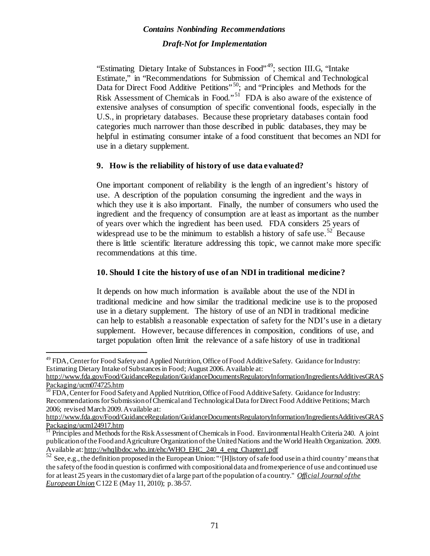# *Contains Nonbinding Recommendations*

#### *Draft-Not for Implementation*

["Estimating Dietary Intake of Substances in Food"](http://www.fda.gov/Food/GuidanceRegulation/GuidanceDocumentsRegulatoryInformation/IngredientsAdditivesGRASPackaging/ucm074725.htm) [49;](#page-70-0) [section III.G, "Intake](http://www.fda.gov/Food/GuidanceRegulation/GuidanceDocumentsRegulatoryInformation/IngredientsAdditivesGRASPackaging/ucm124917.htm)  [Estimate," in "Recommendations for Submission of Chemical and Technological](http://www.fda.gov/Food/GuidanceRegulation/GuidanceDocumentsRegulatoryInformation/IngredientsAdditivesGRASPackaging/ucm124917.htm)  [Data for Direct Food Additive Petitions"](http://www.fda.gov/Food/GuidanceRegulation/GuidanceDocumentsRegulatoryInformation/IngredientsAdditivesGRASPackaging/ucm124917.htm)<sup>[50](#page-70-1)</sup>; and "Principles and Methods for the [Risk Assessment of Chemicals in Food."](http://whqlibdoc.who.int/ehc/WHO_EHC_240_4_eng_Chapter1.pdf)<sup>[51](#page-70-2)</sup> FDA is also aware of the existence of extensive analyses of consumption of specific conventional foods, especially in the U.S., in proprietary databases. Because these proprietary databases contain food categories much narrower than those described in public databases, they may be helpful in estimating consumer intake of a food constituent that becomes an NDI for use in a dietary supplement.

#### **9. How is the reliability of history of use data evaluated?**

One important component of reliability is the length of an ingredient's history of use. A description of the population consuming the ingredient and the ways in which they use it is also important. Finally, the number of consumers who used the ingredient and the frequency of consumption are at least as important as the number of years over which the ingredient has been used. FDA considers 25 years of widespread use to be the minimum to establish a history of safe use.<sup>52</sup> Because there is little scientific literature addressing this topic, we cannot make more specific recommendations at this time.

#### **10. Should I cite the history of use of an NDI in traditional medicine?**

It depends on how much information is available about the use of the NDI in traditional medicine and how similar the traditional medicine use is to the proposed use in a dietary supplement. The history of use of an NDI in traditional medicine can help to establish a reasonable expectation of safety for the NDI's use in a dietary supplement. However, because differences in composition, conditions of use, and target population often limit the relevance of a safe history of use in traditional

<span id="page-70-0"></span><sup>&</sup>lt;sup>49</sup> FDA, Center for Food Safety and Applied Nutrition, Office of Food Additive Safety. Guidance for Industry: Estimating Dietary Intake of Substances in Food; August 2006. Available at:

[http://www.fda.gov/Food/GuidanceRegulation/GuidanceDocumentsRegulatoryInformation/IngredientsAdditivesGRAS](http://www.fda.gov/Food/GuidanceRegulation/GuidanceDocumentsRegulatoryInformation/IngredientsAdditivesGRASPackaging/ucm074725.htm) [Packaging/ucm074725.htm](http://www.fda.gov/Food/GuidanceRegulation/GuidanceDocumentsRegulatoryInformation/IngredientsAdditivesGRASPackaging/ucm074725.htm)

<span id="page-70-1"></span><sup>&</sup>lt;sup>50</sup> FDA, Center for Food Safety and Applied Nutrition, Office of Food Additive Safety. Guidance for Industry: Recommendations for Submission of Chemical and Technological Data for Direct Food Additive Petitions; March 2006; revised March 2009. Available at:

[http://www.fda.gov/Food/GuidanceRegulation/GuidanceDocumentsRegulatoryInformation/IngredientsAdditivesGRAS](http://www.fda.gov/Food/GuidanceRegulation/GuidanceDocumentsRegulatoryInformation/IngredientsAdditivesGRASPackaging/ucm124917.htm) [Packaging/ucm124917.htm](http://www.fda.gov/Food/GuidanceRegulation/GuidanceDocumentsRegulatoryInformation/IngredientsAdditivesGRASPackaging/ucm124917.htm)

<span id="page-70-2"></span><sup>51</sup> Principles and Methods for the Risk Assessment of Chemicals in Food. Environmental Health Criteria 240. A joint publication of the Food and Agriculture Organization of the UnitedNations and the World Health Organization. 2009. Available at[: http://whqlibdoc.who.int/ehc/WHO\\_EHC\\_240\\_4\\_eng\\_Chapter1.pdf](http://whqlibdoc.who.int/ehc/WHO_EHC_240_4_eng_Chapter1.pdf) 52 See, e.g., the definition proposed in the European Union: "'[H]istory of safe food use in a third country' means that

<span id="page-70-3"></span>the safety of the food in question is confirmed with compositional data and from experience of use and continued use for at least 25 years in the customary diet of a large part of the population of a country." *[Official Journal of the](http://eur-lex.europa.eu/LexUriServ/LexUriServ.do?uri=OJ:C:2010:122:0038:01:EN:HTML)  [European Union](http://eur-lex.europa.eu/LexUriServ/LexUriServ.do?uri=OJ:C:2010:122:0038:01:EN:HTML)* C 122 E (May 11, 2010); p. 38-57*.*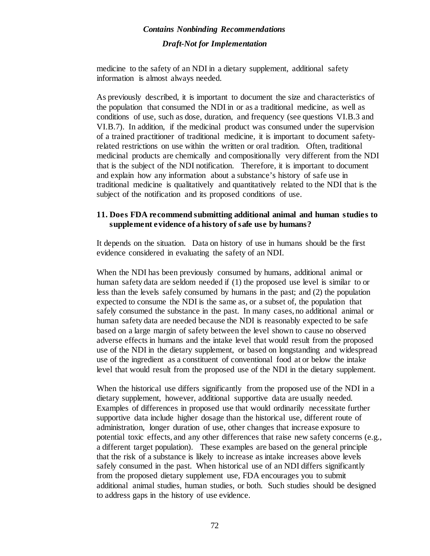medicine to the safety of an NDI in a dietary supplement, additional safety information is almost always needed.

As previously described, it is important to document the size and characteristics of the population that consumed the NDI in or as a traditional medicine, as well as conditions of use, such as dose, duration, and frequency (see questions [VI.B.3](#page-67-0) and [VI.B.7\)](#page-69-0). In addition, if the medicinal product was consumed under the supervision of a trained practitioner of traditional medicine, it is important to document safetyrelated restrictions on use within the written or oral tradition. Often, traditional medicinal products are chemically and compositionally very different from the NDI that is the subject of the NDI notification. Therefore, it is important to document and explain how any information about a substance's history of safe use in traditional medicine is qualitatively and quantitatively related to the NDI that is the subject of the notification and its proposed conditions of use.

#### **11. Does FDA recommend submitting additional animal and human studies to supplement evidence of a history of safe use by humans?**

It depends on the situation. Data on history of use in humans should be the first evidence considered in evaluating the safety of an NDI.

When the NDI has been previously consumed by humans, additional animal or human safety data are seldom needed if (1) the proposed use level is similar to or less than the levels safely consumed by humans in the past; and (2) the population expected to consume the NDI is the same as, or a subset of, the population that safely consumed the substance in the past. In many cases, no additional animal or human safety data are needed because the NDI is reasonably expected to be safe based on a large margin of safety between the level shown to cause no observed adverse effects in humans and the intake level that would result from the proposed use of the NDI in the dietary supplement, or based on longstanding and widespread use of the ingredient as a constituent of conventional food at or below the intake level that would result from the proposed use of the NDI in the dietary supplement.

When the historical use differs significantly from the proposed use of the NDI in a dietary supplement, however, additional supportive data are usually needed. Examples of differences in proposed use that would ordinarily necessitate further supportive data include higher dosage than the historical use, different route of administration, longer duration of use, other changes that increase exposure to potential toxic effects, and any other differences that raise new safety concerns (e.g., a different target population). These examples are based on the general principle that the risk of a substance is likely to increase as intake increases above levels safely consumed in the past. When historical use of an NDI differs significantly from the proposed dietary supplement use, FDA encourages you to submit additional animal studies, human studies, or both. Such studies should be designed to address gaps in the history of use evidence.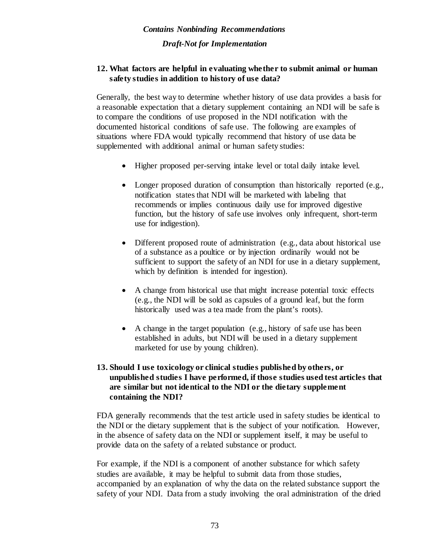#### **12. What factors are helpful in evaluating whether to submit animal or human safety studies in addition to history of use data?**

Generally, the best way to determine whether history of use data provides a basis for a reasonable expectation that a dietary supplement containing an NDI will be safe is to compare the conditions of use proposed in the NDI notification with the documented historical conditions of safe use. The following are examples of situations where FDA would typically recommend that history of use data be supplemented with additional animal or human safety studies:

- Higher proposed per-serving intake level or total daily intake level.
- Longer proposed duration of consumption than historically reported (e.g., notification states that NDI will be marketed with labeling that recommends or implies continuous daily use for improved digestive function, but the history of safe use involves only infrequent, short-term use for indigestion).
- Different proposed route of administration (e.g., data about historical use of a substance as a poultice or by injection ordinarily would not be sufficient to support the safety of an NDI for use in a dietary supplement, which by definition is intended for ingestion).
- A change from historical use that might increase potential toxic effects (e.g., the NDI will be sold as capsules of a ground leaf, but the form historically used was a tea made from the plant's roots).
- A change in the target population (e.g., history of safe use has been established in adults, but NDI will be used in a dietary supplement marketed for use by young children).

#### **13. Should I use toxicology or clinical studies published by others, or unpublished studies I have performed, if those studies used test articles that are similar but not identical to the NDI or the dietary supplement containing the NDI?**

FDA generally recommends that the test article used in safety studies be identical to the NDI or the dietary supplement that is the subject of your notification. However, in the absence of safety data on the NDI or supplement itself, it may be useful to provide data on the safety of a related substance or product.

For example, if the NDI is a component of another substance for which safety studies are available, it may be helpful to submit data from those studies, accompanied by an explanation of why the data on the related substance support the safety of your NDI. Data from a study involving the oral administration of the dried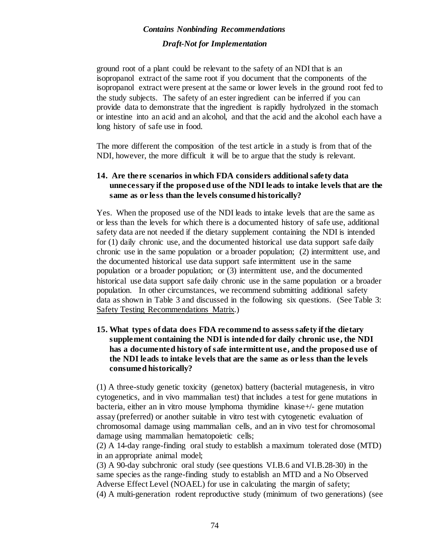ground root of a plant could be relevant to the safety of an NDI that is an isopropanol extract of the same root if you document that the components of the isopropanol extract were present at the same or lower levels in the ground root fed to the study subjects. The safety of an ester ingredient can be inferred if you can provide data to demonstrate that the ingredient is rapidly hydrolyzed in the stomach or intestine into an acid and an alcohol, and that the acid and the alcohol each have a long history of safe use in food.

The more different the composition of the test article in a study is from that of the NDI, however, the more difficult it will be to argue that the study is relevant.

#### <span id="page-73-2"></span>**14. Are there scenarios in which FDA considers additional safety data unnecessary if the proposed use of the NDI leads to intake levels that are the same as or less than the levels consumed historically?**

<span id="page-73-1"></span>Yes. When the proposed use of the NDI leads to intake levels that are the same as or less than the levels for which there is a documented history of safe use, additional safety data are not needed if the dietary supplement containing the NDI is intended for (1) daily chronic use, and the documented historical use data support safe daily chronic use in the same population or a broader population; (2) intermittent use, and the documented historical use data support safe intermittent use in the same population or a broader population; or (3) intermittent use, and the documented historical use data support safe daily chronic use in the same population or a broader population. In other circumstances, we recommend submitting additional safety data as shown in Table 3 and discussed in the following six questions. (See Table 3: Safety Testing Recommendations Matrix.)

#### <span id="page-73-0"></span>**15. What types of data does FDA recommend to assess safety if the dietary supplement containing the NDI is intended for daily chronic use, the NDI has a documented history of safe intermittent use, and the proposed use of the NDI leads to intake levels that are the same as or less than the levels consumed historically?**

(1) A three-study genetic toxicity (genetox) battery (bacterial mutagenesis, in vitro cytogenetics, and in vivo mammalian test) that includes a test for gene mutations in bacteria, either an in vitro mouse lymphoma thymidine kinase+/- gene mutation assay (preferred) or another suitable in vitro test with cytogenetic evaluation of chromosomal damage using mammalian cells, and an in vivo test for chromosomal damage using mammalian hematopoietic cells;

(2) A 14-day range-finding oral study to establish a maximum tolerated dose (MTD) in an appropriate animal model;

(3) A 90-day subchronic oral study (see questions [VI.B.6](#page-69-0) and [VI.B.28-](#page-81-0)[30\)](#page-81-1) in the same species as the range-finding study to establish an MTD and a No Observed Adverse Effect Level (NOAEL) for use in calculating the margin of safety; (4) A multi-generation rodent reproductive study (minimum of two generations) (see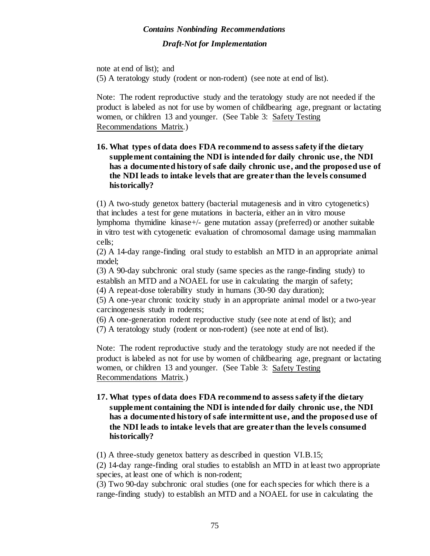#### *Draft-Not for Implementation*

<span id="page-74-1"></span>note at end of list); and

(5) A teratology study (rodent or non-rodent) (see note at end of list).

Note: The rodent reproductive study and the teratology study are not needed if the product is labeled as not for use by women of childbearing age, pregnant or lactating women, or children 13 and younger. (See Table 3: Safety Testing Recommendations Matrix.)

#### <span id="page-74-0"></span>**16. What types of data does FDA recommend to assess safety if the dietary supplement containing the NDI is intended for daily chronic use, the NDI has a documented history of safe daily chronic use, and the proposed use of the NDI leads to intake levels that are greater than the levels consumed historically?**

(1) A two-study genetox battery (bacterial mutagenesis and in vitro cytogenetics) that includes a test for gene mutations in bacteria, either an in vitro mouse lymphoma thymidine kinase+/- gene mutation assay (preferred) or another suitable in vitro test with cytogenetic evaluation of chromosomal damage using mammalian cells;

(2) A 14-day range-finding oral study to establish an MTD in an appropriate animal model;

(3) A 90-day subchronic oral study (same species as the range-finding study) to establish an MTD and a NOAEL for use in calculating the margin of safety;

(4) A repeat-dose tolerability study in humans (30-90 day duration);

(5) A one-year chronic toxicity study in an appropriate animal model or a two-year carcinogenesis study in rodents;

(6) A one-generation rodent reproductive study (see note at end of list); and

(7) A teratology study (rodent or non-rodent) (see note at end of list).

Note: The rodent reproductive study and the teratology study are not needed if the product is labeled as not for use by women of childbearing age, pregnant or lactating women, or children 13 and younger. (See Table 3: Safety Testing Recommendations Matrix.)

**17. What types of data does FDA recommend to assess safety if the dietary supplement containing the NDI is intended for daily chronic use, the NDI has a documented history of safe intermittent use, and the proposed use of the NDI leads to intake levels that are greater than the levels consumed historically?**

(1) A three-study genetox battery as described in question [VI.B.15;](#page-73-0)

(2) 14-day range-finding oral studies to establish an MTD in at least two appropriate species, at least one of which is non-rodent;

(3) Two 90-day subchronic oral studies (one for each species for which there is a range-finding study) to establish an MTD and a NOAEL for use in calculating the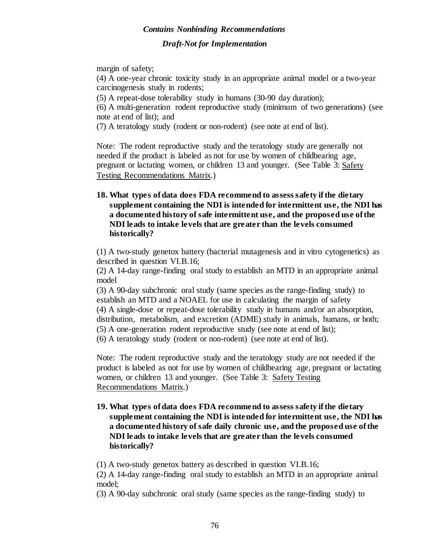#### *Draft-Not for Implementation*

margin of safety;

(4) A one-year chronic toxicity study in an appropriate animal model or a two-year carcinogenesis study in rodents;

(5) A repeat-dose tolerability study in humans (30-90 day duration);

(6) A multi-generation rodent reproductive study (minimum of two generations) (see note at end of list); and

(7) A teratology study (rodent or non-rodent) (see note at end of list).

Note: The rodent reproductive study and the teratology study are generally not needed if the product is labeled as not for use by women of childbearing age, pregnant or lactating women, or children 13 and younger. (See Table 3: Safety Testing Recommendations Matrix.)

**18. What types of data does FDA recommend to assess safety if the dietary supplement containing the NDI is intended for intermittent use, the NDI has a documented history of safe intermittent use, and the proposed use of the NDI leads to intake levels that are greater than the levels consumed historically?** 

(1) A two-study genetox battery (bacterial mutagenesis and in vitro cytogenetics) as described in question [VI.B.16;](#page-74-0)

(2) A 14-day range-finding oral study to establish an MTD in an appropriate animal model

(3) A 90-day subchronic oral study (same species as the range-finding study) to establish an MTD and a NOAEL for use in calculating the margin of safety (4) A single-dose or repeat-dose tolerability study in humans and/or an absorption, distribution, metabolism, and excretion (ADME) study in animals, humans, or both; (5) A one-generation rodent reproductive study (see note at end of list);

(6) A teratology study (rodent or non-rodent) (see note at end of list).

Note: The rodent reproductive study and the teratology study are not needed if the product is labeled as not for use by women of childbearing age, pregnant or lactating women, or children 13 and younger. (See Table 3: Safety Testing Recommendations Matrix.)

**19. What types of data does FDA recommend to assess safety if the dietary supplement containing the NDI is intended for intermittent use, the NDI has a documented history of safe daily chronic use, and the proposed use of the NDI leads to intake levels that are greater than the levels consumed historically?** 

(1) A two-study genetox battery as described in question [VI.B.16;](#page-74-0)

(2) A 14-day range-finding oral study to establish an MTD in an appropriate animal model;

(3) A 90-day subchronic oral study (same species as the range-finding study) to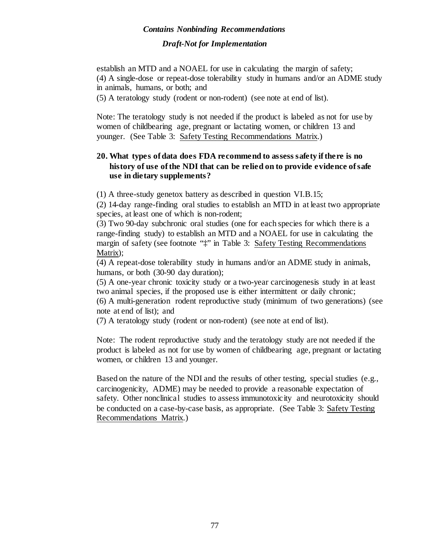#### *Draft-Not for Implementation*

establish an MTD and a NOAEL for use in calculating the margin of safety; (4) A single-dose or repeat-dose tolerability study in humans and/or an ADME study in animals, humans, or both; and

(5) A teratology study (rodent or non-rodent) (see note at end of list).

Note: The teratology study is not needed if the product is labeled as not for use by women of childbearing age, pregnant or lactating women, or children 13 and younger. (See Table 3: Safety Testing Recommendations Matrix.)

#### **20. What types of data does FDA recommend to assess safety if there is no history of use of the NDI that can be relied on to provide evidence ofsafe use in dietary supplements?**

(1) A three-study genetox battery as described in question [VI.B.15;](#page-73-0)

(2) 14-day range-finding oral studies to establish an MTD in at least two appropriate species, at least one of which is non-rodent;

(3) Two 90-day subchronic oral studies (one for each species for which there is a range-finding study) to establish an MTD and a NOAEL for use in calculating the margin of safety (see footnote "‡" in Table 3: Safety Testing Recommendations Matrix);

(4) A repeat-dose tolerability study in humans and/or an ADME study in animals, humans, or both (30-90 day duration);

(5) A one-year chronic toxicity study or a two-year carcinogenesis study in at least two animal species, if the proposed use is either intermittent or daily chronic;

(6) A multi-generation rodent reproductive study (minimum of two generations) (see note at end of list); and

(7) A teratology study (rodent or non-rodent) (see note at end of list).

Note: The rodent reproductive study and the teratology study are not needed if the product is labeled as not for use by women of childbearing age, pregnant or lactating women, or children 13 and younger.

Based on the nature of the NDI and the results of other testing, special studies (e.g., carcinogenicity, ADME) may be needed to provide a reasonable expectation of safety. Other nonclinical studies to assess immunotoxicity and neurotoxicity should be conducted on a case-by-case basis, as appropriate. (See Table 3: Safety Testing Recommendations Matrix.)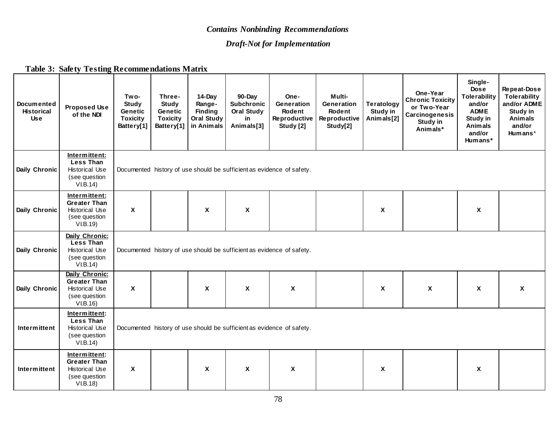#### *Draft-Not for Implementation*

**Table 3: Safety Testing Recommendations Matrix**

| <b>Documented</b><br><b>Historical</b><br><b>Use</b> | <b>Proposed Use</b><br>of the NDI                                                         | Two-<br>Study<br>Genetic<br><b>Toxicity</b><br>Battery[1]             | Three-<br>Study<br>Genetic<br><b>Toxicity</b><br>Battery[1] | 14-Day<br>Range-<br><b>Finding</b><br><b>Oral Study</b><br>in Animals | 90-Day<br>Subchronic<br>Oral Study<br>in.<br>Animals[3] | One-<br>Generation<br>Rodent<br>Reproductive<br>Study [2] | Multi-<br>Generation<br>Rodent<br>Reproductive<br>Study[2] | Teratology<br>Study in<br>Animals[2] | One-Year<br><b>Chronic Toxicity</b><br>or Two-Year<br>Carcinogenesis<br>Study in<br>Animals* | Single-<br><b>Dose</b><br><b>Tolerability</b><br>and/or<br><b>ADME</b><br>Study in<br>Animals<br>and/or<br>Humans* | Repeat-Dose<br><b>Tolerability</b><br>and/or ADME<br>Study in<br>Animals<br>and/or<br>Humans* |
|------------------------------------------------------|-------------------------------------------------------------------------------------------|-----------------------------------------------------------------------|-------------------------------------------------------------|-----------------------------------------------------------------------|---------------------------------------------------------|-----------------------------------------------------------|------------------------------------------------------------|--------------------------------------|----------------------------------------------------------------------------------------------|--------------------------------------------------------------------------------------------------------------------|-----------------------------------------------------------------------------------------------|
| Daily Chronic                                        | Intermittent:<br><b>Less Than</b><br><b>Historical Use</b><br>(see question<br>VLB.14)    | Documented history of use should be sufficient as evidence of safety. |                                                             |                                                                       |                                                         |                                                           |                                                            |                                      |                                                                                              |                                                                                                                    |                                                                                               |
| Daily Chronic                                        | Intermittent:<br><b>Greater Than</b><br><b>Historical Use</b><br>(see question<br>VLB.19  | $\boldsymbol{\mathsf{X}}$                                             |                                                             | X                                                                     | X                                                       |                                                           |                                                            | X                                    |                                                                                              | $\boldsymbol{\mathsf{X}}$                                                                                          |                                                                                               |
| Daily Chronic                                        | Daily Chronic:<br>Less Than<br><b>Historical Use</b><br>(see question<br>VLB.14)          | Documented history of use should be sufficient as evidence of safety. |                                                             |                                                                       |                                                         |                                                           |                                                            |                                      |                                                                                              |                                                                                                                    |                                                                                               |
| Daily Chronic                                        | Daily Chronic:<br><b>Greater Than</b><br><b>Historical Use</b><br>(see question<br>VLB.16 | $\boldsymbol{\mathsf{X}}$                                             |                                                             | X                                                                     | X                                                       | $\boldsymbol{\mathsf{X}}$                                 |                                                            | X                                    | X                                                                                            | $\boldsymbol{\mathsf{X}}$                                                                                          | X                                                                                             |
| Intermittent                                         | Intermittent:<br><b>Less Than</b><br><b>Historical Use</b><br>(see question<br>VLB.14)    | Documented history of use should be sufficient as evidence of safety. |                                                             |                                                                       |                                                         |                                                           |                                                            |                                      |                                                                                              |                                                                                                                    |                                                                                               |
| Intermittent                                         | Intermittent:<br><b>Greater Than</b><br><b>Historical Use</b><br>(see question<br>VLB.18  | $\boldsymbol{\mathsf{X}}$                                             |                                                             | X                                                                     | $\boldsymbol{\mathsf{X}}$                               | $\boldsymbol{\mathsf{X}}$                                 |                                                            | X                                    |                                                                                              | $\boldsymbol{\mathsf{X}}$                                                                                          |                                                                                               |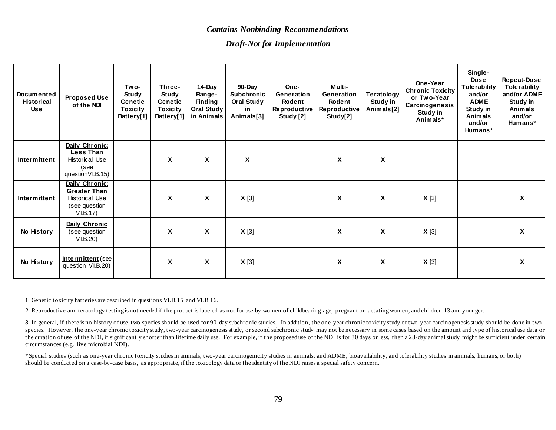#### *Draft-Not for Implementation*

| <b>Documented</b><br><b>Historical</b><br><b>Use</b> | <b>Proposed Use</b><br>of the NDI                                                          | Two-<br>Study<br>Genetic<br><b>Toxicity</b><br>Battery[1] | Three-<br>Study<br>Genetic<br><b>Toxicity</b><br>Battery[1] | 14-Day<br>Range-<br><b>Finding</b><br>Oral Study<br>in Animals | 90-Day<br><b>Subchronic</b><br><b>Oral Study</b><br>in<br>Animals[3] | One-<br>Generation<br>Rodent<br><b>Reproductive</b><br>Study [2] | Multi-<br>Generation<br>Rodent<br>Reproductive<br>Study[2] | Teratology<br>Study in<br>Animals[2] | One-Year<br><b>Chronic Toxicity</b><br>or Two-Year<br>Carcinogenesis<br>Study in<br>Animals* | Single-<br>Dose<br><b>Tolerability</b><br>and/or<br><b>ADME</b><br>Study in<br>Animals<br>and/or<br>Humans* | <b>Repeat-Dose</b><br>Tolerability<br>and/or ADME<br>Study in<br>Animals<br>and/or<br>Humans* |
|------------------------------------------------------|--------------------------------------------------------------------------------------------|-----------------------------------------------------------|-------------------------------------------------------------|----------------------------------------------------------------|----------------------------------------------------------------------|------------------------------------------------------------------|------------------------------------------------------------|--------------------------------------|----------------------------------------------------------------------------------------------|-------------------------------------------------------------------------------------------------------------|-----------------------------------------------------------------------------------------------|
| Intermittent                                         | Daily Chronic:<br><b>Less Than</b><br><b>Historical Use</b><br>(see<br>question VI.B.15)   |                                                           | X                                                           | X                                                              | X                                                                    |                                                                  | X                                                          | $\boldsymbol{\mathsf{x}}$            |                                                                                              |                                                                                                             |                                                                                               |
| Intermittent                                         | Daily Chronic:<br><b>Greater Than</b><br><b>Historical Use</b><br>(see question<br>VLB.17) |                                                           | X                                                           | X                                                              | X[3]                                                                 |                                                                  | X                                                          | X                                    | X[3]                                                                                         |                                                                                                             | X                                                                                             |
| No History                                           | Daily Chronic<br>(see question<br>VLB.20                                                   |                                                           | X                                                           | $\pmb{\mathsf{X}}$                                             | X[3]                                                                 |                                                                  | $\boldsymbol{\mathsf{X}}$                                  | $\boldsymbol{\mathsf{x}}$            | X[3]                                                                                         |                                                                                                             | $\boldsymbol{\mathsf{X}}$                                                                     |
| No History                                           | Intermittent (see<br>question VI.B.20)                                                     |                                                           | X                                                           | X                                                              | X[3]                                                                 |                                                                  | X                                                          | X                                    | X[3]                                                                                         |                                                                                                             | X                                                                                             |

**1** Genetic toxicity batteries are described in questions [VI.B.15](#page-73-1) an[d VI.B.16.](#page-74-1)

**2** Reproductive and teratology testing is not needed if the product is labeled as not for use by women of childbearing age, pregnant or lactating women, and children 13 and younger.

**3** In general, if there is no history of use, two species should be used for 90-day subchronic studies. In addition, the one-year chronic toxicity study or two-year carcinogenesis study should be done in two species. However, the one-year chronic toxicity study, two-year carcinogenesis study, or second subchronic study may not be necessary in some cases based on the amount and type of historical use data or the duration of use of the NDI, if significantly shorter than lifetime daily use. For example, if the proposed use of the NDI is for 30 days or less, then a 28-day animal study might be sufficient under certain circumstances (e.g., live microbial NDI).

\*Special studies (such as one-year chronic toxicity studies in animals; two-year carcinogenicity studies in animals; and ADME, bioavailability, and tolerability studies in animals, humans, or both) should be conducted on a case-by-case basis, as appropriate, if the toxicology data or the identity of the NDI raises a special safety concern.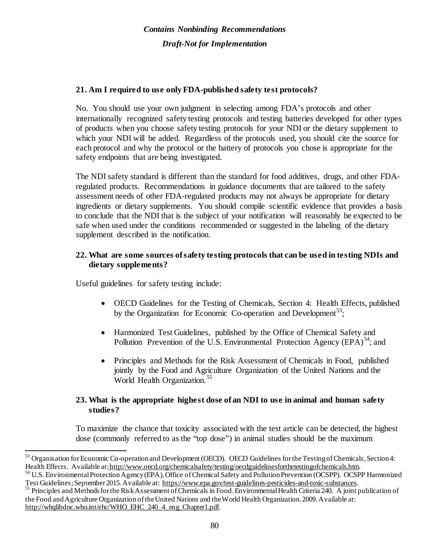#### **21. Am I required to use only FDA-published safety test protocols?**

No. You should use your own judgment in selecting among FDA's protocols and other internationally recognized safety testing protocols and testing batteries developed for other types of products when you choose safety testing protocols for your NDI or the dietary supplement to which your NDI will be added. Regardless of the protocols used, you should cite the source for each protocol and why the protocol or the battery of protocols you chose is appropriate for the safety endpoints that are being investigated.

The NDI safety standard is different than the standard for food additives, drugs, and other FDAregulated products. Recommendations in guidance documents that are tailored to the safety assessment needs of other FDA-regulated products may not always be appropriate for dietary ingredients or dietary supplements. You should compile scientific evidence that provides a basis to conclude that the NDI that is the subject of your notification will reasonably be expected to be safe when used under the conditions recommended or suggested in the labeling of the dietary supplement described in the notification.

#### <span id="page-79-3"></span>**22. What are some sources of safety testing protocols that can be used in testing NDIs and dietary supplements?**

Useful guidelines for safety testing include:

- [OECD Guidelines for the Testing of Chemicals, Section 4: Health Effects,](http://www.oecd-ilibrary.org/environment/oecd-guidelines-for-the-testing-of-chemicals-section-4-health-effects_20745788) published by the Organization for Economic Co-operation and Development<sup>[53](#page-79-0)</sup>;
- [Harmonized Test Guidelines, published by the Office of Chemical Safety and](http://www.epa.gov/ocspp/pubs/frs/home/guidelin.htm)  Pollution Prevention of the U.S. Environmental Protection Agency  $(EPA)^{54}$  $(EPA)^{54}$  $(EPA)^{54}$ ; and
- Principles and Methods for the Risk Assessment of Chemicals in Food, published jointly by the Food and Agriculture Organization of the United Nations and the World Health Organization.<sup>[55](#page-79-2)</sup>

#### **23. What is the appropriate highest dose of an NDI to use in animal and human safety studies?**

To maximize the chance that toxicity associated with the test article can be detected, the highest dose (commonly referred to as the "top dose") in animal studies should be the maximum

<span id="page-79-0"></span> $53$  Organisation for Economic Co-operation and Development (OECD). OECD Guidelines for the Testing of Chemicals, Section 4:<br>Health Effects. A vailable at: http://www.oecd.org/chemicalsafety/testing/oecdguidelinesforthete

<span id="page-79-1"></span><sup>&</sup>lt;sup>54</sup> U.S. Environmental Protection Agency (EPA), Office of Chemical Safety and Pollution Prevention (OCSPP). OCSPP Harmonized<br>Test Guidelines; September 2015. A vailable at: https://www.epa.gov/test-guidelines-pesticides-a

<span id="page-79-2"></span>Principles and Methods for the Risk Assessment of Chemicals in Food. Environmental Health Criteria 240. A joint publication of the Food and Agriculture Organization of the United Nations and the World Health Organization. 2009. Available at: [http://whqlibdoc.who.int/ehc/WHO\\_EHC\\_240\\_4\\_eng\\_Chapter1.pdf](http://whqlibdoc.who.int/ehc/WHO_EHC_240_4_eng_Chapter1.pdf).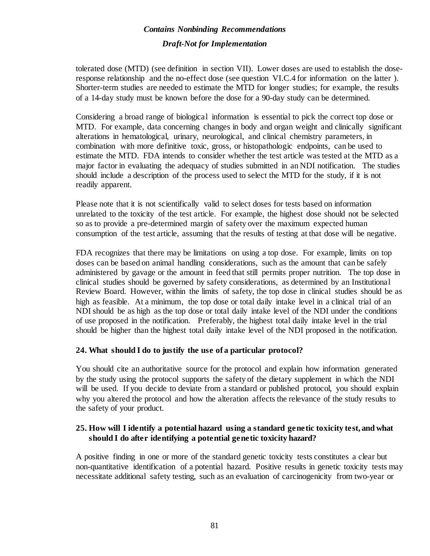tolerated dose (MTD) (see definition in section [VII\)](#page-94-0). Lower doses are used to establish the doseresponse relationship and the no-effect dose (see question [VI.C.4](#page-89-0) for information on the latter ). Shorter-term studies are needed to estimate the MTD for longer studies; for example, the results of a 14-day study must be known before the dose for a 90-day study can be determined.

Considering a broad range of biological information is essential to pick the correct top dose or MTD. For example, data concerning changes in body and organ weight and clinically significant alterations in hematological, urinary, neurological, and clinical chemistry parameters, in combination with more definitive toxic, gross, or histopathologic endpoints, can be used to estimate the MTD. FDA intends to consider whether the test article was tested at the MTD as a major factor in evaluating the adequacy of studies submitted in an NDI notification. The studies should include a description of the process used to select the MTD for the study, if it is not readily apparent.

Please note that it is not scientifically valid to select doses for tests based on information unrelated to the toxicity of the test article. For example, the highest dose should not be selected so as to provide a pre-determined margin of safety over the maximum expected human consumption of the test article, assuming that the results of testing at that dose will be negative.

FDA recognizes that there may be limitations on using a top dose. For example, limits on top doses can be based on animal handling considerations, such as the amount that can be safely administered by gavage or the amount in feed that still permits proper nutrition. The top dose in clinical studies should be governed by safety considerations, as determined by an Institutional Review Board. However, within the limits of safety, the top dose in clinical studies should be as high as feasible. At a minimum, the top dose or total daily intake level in a clinical trial of an NDI should be as high as the top dose or total daily intake level of the NDI under the conditions of use proposed in the notification. Preferably, the highest total daily intake level in the trial should be higher than the highest total daily intake level of the NDI proposed in the notification.

#### **24. What should I do to justify the use of a particular protocol?**

You should cite an authoritative source for the protocol and explain how information generated by the study using the protocol supports the safety of the dietary supplement in which the NDI will be used. If you decide to deviate from a standard or published protocol, you should explain why you altered the protocol and how the alteration affects the relevance of the study results to the safety of your product.

#### **25. How will I identify a potential hazard using a standard genetic toxicity test, and what should I do after identifying a potential genetic toxicity hazard?**

A positive finding in one or more of the standard genetic toxicity tests constitutes a clear but non-quantitative identification of a potential hazard. Positive results in genetic toxicity tests may necessitate additional safety testing, such as an evaluation of carcinogenicity from two-year or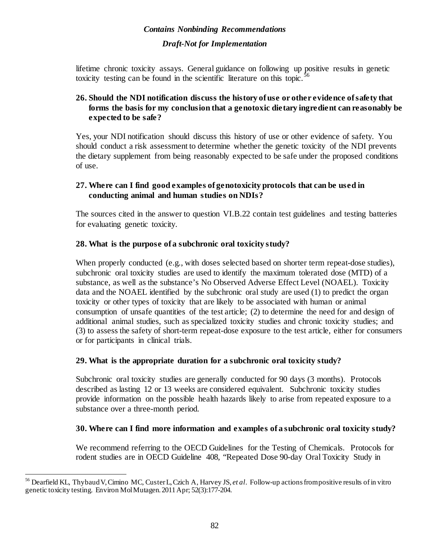lifetime chronic toxicity assays. General guidance on following up positive results in genetic toxicity testing can be found in the scientific literature on this topic. [56](#page-81-2)

#### **26. Should the NDI notification discuss the history of use or other evidence of safety that forms the basis for my conclusion that a genotoxic dietary ingredient can reasonably be expected to be safe?**

Yes, your NDI notification should discuss this history of use or other evidence of safety. You should conduct a risk assessment to determine whether the genetic toxicity of the NDI prevents the dietary supplement from being reasonably expected to be safe under the proposed conditions of use.

#### **27. Where can I find good examples of genotoxicity protocols that can be used in conducting animal and human studies on NDIs?**

The sources cited in the answer to question [VI.B.22](#page-79-3) contain test guidelines and testing batteries for evaluating genetic toxicity.

#### <span id="page-81-0"></span>**28. What is the purpose of a subchronic oral toxicity study?**

When properly conducted (e.g., with doses selected based on shorter term repeat-dose studies), subchronic oral toxicity studies are used to identify the maximum tolerated dose (MTD) of a substance, as well as the substance's No Observed Adverse Effect Level (NOAEL). Toxicity data and the NOAEL identified by the subchronic oral study are used (1) to predict the organ toxicity or other types of toxicity that are likely to be associated with human or animal consumption of unsafe quantities of the test article; (2) to determine the need for and design of additional animal studies, such as specialized toxicity studies and chronic toxicity studies; and (3) to assess the safety of short-term repeat-dose exposure to the test article, either for consumers or for participants in clinical trials.

#### **29. What is the appropriate duration for a subchronic oral toxicity study?**

Subchronic oral toxicity studies are generally conducted for 90 days (3 months). Protocols described as lasting 12 or 13 weeks are considered equivalent. Subchronic toxicity studies provide information on the possible health hazards likely to arise from repeated exposure to a substance over a three-month period.

#### <span id="page-81-1"></span>**30. Where can I find more information and examples of a subchronic oral toxicity study?**

We recommend referring to the OECD Guidelines for the Testing of Chemicals. Protocols for rodent studies are in OECD Guideline 408, "Repeated Dose 90-day Oral Toxicity Study in

<span id="page-81-2"></span> <sup>56</sup> Dearfield KL, Thybaud V, Cimino MC, Custer L, Czich A, Harvey JS, *et al*. Follow-up actions from positive results of in vitro genetic toxicity testing. Environ Mol Mutagen. 2011 Apr; 52(3):177-204.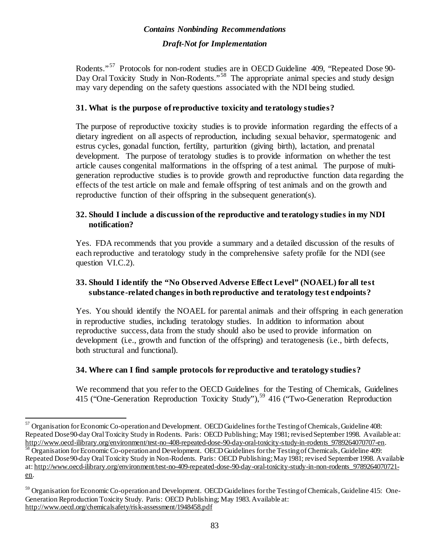Rodents."<sup>[57](#page-82-0)</sup> Protocols for non-rodent studies are in OECD Guideline 409, "Repeated Dose 90-Day Oral Toxicity Study in Non-Rodents."<sup>[58](#page-82-1)</sup> The appropriate animal species and study design may vary depending on the safety questions associated with the NDI being studied.

#### **31. What is the purpose of reproductive toxicity and teratology studies?**

The purpose of reproductive toxicity studies is to provide information regarding the effects of a dietary ingredient on all aspects of reproduction, including sexual behavior, spermatogenic and estrus cycles, gonadal function, fertility, parturition (giving birth), lactation, and prenatal development. The purpose of teratology studies is to provide information on whether the test article causes congenital malformations in the offspring of a test animal. The purpose of multigeneration reproductive studies is to provide growth and reproductive function data regarding the effects of the test article on male and female offspring of test animals and on the growth and reproductive function of their offspring in the subsequent generation(s).

#### **32. Should I include a discussion of the reproductive and teratology studies in my NDI notification?**

Yes. FDA recommends that you provide a summary and a detailed discussion of the results of each reproductive and teratology study in the comprehensive safety profile for the NDI (see question [VI.C.2\)](#page-87-0).

#### **33. Should I identify the "No Observed Adverse Effect Level" (NOAEL) for all test substance-related changes in both reproductive and teratology test endpoints?**

Yes. You should identify the NOAEL for parental animals and their offspring in each generation in reproductive studies, including teratology studies. In addition to information about reproductive success, data from the study should also be used to provide information on development (i.e., growth and function of the offspring) and teratogenesis (i.e., birth defects, both structural and functional).

#### **34. Where can I find sample protocols for reproductive and teratology studies?**

We recommend that you refer to the OECD Guidelines for the Testing of Chemicals, Guidelines 415 ("One-Generation Reproduction Toxicity Study"),<sup>[59](#page-82-2)</sup> 416 ("Two-Generation Reproduction

<span id="page-82-1"></span><span id="page-82-0"></span><sup>&</sup>lt;sup>57</sup> Organisation for Economic Co-operation and Development. OECD Guidelines for the Testing of Chemicals, Guideline 408: Repeated Dose 90-day Oral Toxicity Study in Rodents. Paris: OECD Publishing; May 1981; revised September 1998. Available at: http://www.oecd-ilibrary.org/environment/test-no-408-repeated-dose-90-day-oral-toxicity-study-in-rodents 9789264070707-en.<br><sup>58</sup> Organisation for Economic Co-operation and Development. OECD Guidelines for the Testing of Che Repeated Dose 90-day Oral Toxicity Study in Non-Rodents. Paris: OECD Publishing; May 1981; revised September 1998. Available at: [http://www.oecd-ilibrary.org/environment/test-no-409-repeated-dose-90-day-oral-toxicity-study-in-non-rodents\\_9789264070721](http://www.oecd-ilibrary.org/environment/test-no-409-repeated-dose-90-day-oral-toxicity-study-in-non-rodents_9789264070721-en) [en.](http://www.oecd-ilibrary.org/environment/test-no-409-repeated-dose-90-day-oral-toxicity-study-in-non-rodents_9789264070721-en)

<span id="page-82-2"></span><sup>&</sup>lt;sup>59</sup> Organisation for Economic Co-operation and Development. OECD Guidelines for the Testing of Chemicals, Guideline 415: One-Generation Reproduction Toxicity Study. Paris: OECD Publishing; May 1983. Available at: <http://www.oecd.org/chemicalsafety/risk-assessment/1948458.pdf>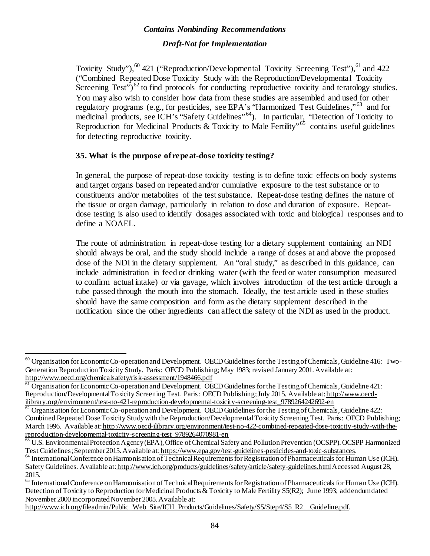#### *Draft-Not for Implementation*

Toxicity Study"),  $60$  421 ("Reproduction/Developmental Toxicity Screening Test"),  $61$  and 422 ("Combined Repeated Dose Toxicity Study with the Reproduction/Developmental Toxicity Screening Test" $)^{62}$  $)^{62}$  $)^{62}$  to find protocols for conducting reproductive toxicity and teratology studies. You may also wish to consider how data from these studies are assembled and used for other regulatory programs (e.g., for pesticides, see EPA's "Harmonized Test Guidelines,"<sup>[63](#page-83-3)</sup> and for medicinal products, see ICH's "Safety Guidelines"<sup>[64](#page-83-4)</sup>). In particular, "Detection of Toxicity to Reproduction for Medicinal Products & Toxicity to Male Fertility<sup> $5$ </sup> contains useful guidelines for detecting reproductive toxicity.

#### **35. What is the purpose of repeat**-**dose toxicity testing?**

In general, the purpose of repeat-dose toxicity testing is to define toxic effects on body systems and target organs based on repeated and/or cumulative exposure to the test substance or to constituents and/or metabolites of the test substance. Repeat-dose testing defines the nature of the tissue or organ damage, particularly in relation to dose and duration of exposure. Repeatdose testing is also used to identify dosages associated with toxic and biological responses and to define a NOAEL.

The route of administration in repeat-dose testing for a dietary supplement containing an NDI should always be oral, and the study should include a range of doses at and above the proposed dose of the NDI in the dietary supplement. An "oral study," as described in this guidance, can include administration in feed or drinking water (with the feed or water consumption measured to confirm actual intake) or via gavage, which involves introduction of the test article through a tube passed through the mouth into the stomach. Ideally, the test article used in these studies should have the same composition and form as the dietary supplement described in the notification since the other ingredients can affect the safety of the NDI as used in the product.

[http://www.ich.org/fileadmin/Public\\_Web\\_Site/ICH\\_Products/Guidelines/Safety/S5/Step4/S5\\_R2\\_\\_Guideline.pdf.](http://www.ich.org/fileadmin/Public_Web_Site/ICH_Products/Guidelines/Safety/S5/Step4/S5_R2__Guideline.pdf)

<span id="page-83-0"></span><sup>&</sup>lt;sup>60</sup> Organisation for Economic Co-operation and Development. OECD Guidelines for the Testing of Chemicals, Guideline 416: Two-Generation Reproduction Toxicity Study. Paris: OECD Publishing; May 1983; revised January 2001. Available at:<br>http://www.oecd.org/chemicalsafety/risk-assessment/1948466.pdf

<span id="page-83-1"></span> $\frac{61}{61}$  Organisation for Economic Co-operation and Development. OECD Guidelines for the Testing of Chemicals, Guideline 421: Reproduction/Developmental Toxicity Screening Test. Paris: OECD Publishing; July 2015. Available at: http://www.oecd-<br>ilibrary.org/environment/test-no-421-reproduction-developmental-toxicity-screening-test 9789264242692-en

<span id="page-83-2"></span> $\frac{62}{2}$  Organisation for Economic Co-operation and Development. OECD Guidelines for the Testing of Chemicals, Guideline 422: Combined Repeated Dose Toxicity Study with the Reproduction/Developmental Toxicity Screening Test. Paris: OECD Publishing; March 1996. Available at:http://www.oecd-ilibrary.org/environment/test-no-422-combined-repeated-dose-toxicity-study-with-the-<br>reproduction-developmental-toxicity-screening-test 9789264070981-en

<span id="page-83-3"></span><sup>&</sup>lt;sup>63</sup> U.S. Environmental Protection Agency (EPA), Office of Chemical Safety and Pollution Prevention (OCSPP). OCSPP Harmonized Test Guidelines; September 2015. A vailable at: https://www.epa.gov/test-guidelines-pesticides-

<span id="page-83-4"></span>International Conference on Harmonis ation of Technical Requirements for Registration of Pharmaceuticals for Human Use (ICH). Safety Guidelines. Available at: http://www.ich.org/products/guidelines/safety/article/safety-guidelines.html Accessed August 28, 2015.

<span id="page-83-5"></span><sup>65</sup> International Conference on Harmonisation of Technical Requirements for Registration of Pharmaceuticals for Human Use (ICH). Detection of Toxicity to Reproduction for Medicinal Products & Toxicity to Male Fertility S5(R2); June 1993; addendum dated November 2000 incorporated November 2005.Available at: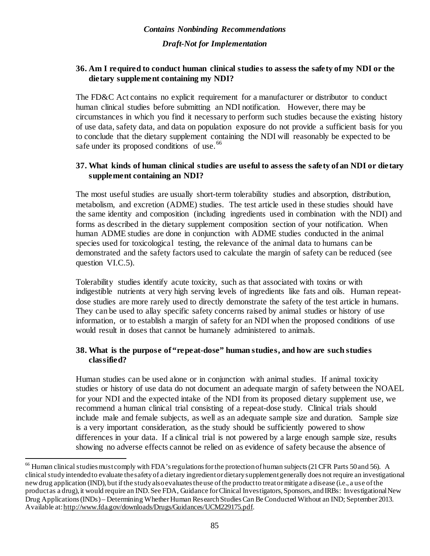#### **36. Am I required to conduct human clinical studies to assess the safety of my NDI or the dietary supplement containing my NDI?**

The FD&C Act contains no explicit requirement for a manufacturer or distributor to conduct human clinical studies before submitting an NDI notification. However, there may be circumstances in which you find it necessary to perform such studies because the existing history of use data, safety data, and data on population exposure do not provide a sufficient basis for you to conclude that the dietary supplement containing the NDI will reasonably be expected to be safe under its proposed conditions of use.<sup>[66](#page-84-0)</sup>

#### **37. What kinds of human clinical studies are useful to assess the safety of an NDI or dietary supplement containing an NDI?**

The most useful studies are usually short-term tolerability studies and absorption, distribution, metabolism, and excretion (ADME) studies. The test article used in these studies should have the same identity and composition (including ingredients used in combination with the NDI) and forms as described in the dietary supplement composition section of your notification. When human ADME studies are done in conjunction with ADME studies conducted in the animal species used for toxicological testing, the relevance of the animal data to humans can be demonstrated and the safety factors used to calculate the margin of safety can be reduced (see question [VI.C.5\)](#page-90-0).

Tolerability studies identify acute toxicity, such as that associated with toxins or with indigestible nutrients at very high serving levels of ingredients like fats and oils. Human repeatdose studies are more rarely used to directly demonstrate the safety of the test article in humans. They can be used to allay specific safety concerns raised by animal studies or history of use information, or to establish a margin of safety for an NDI when the proposed conditions of use would result in doses that cannot be humanely administered to animals.

#### **38. What is the purpose of "repeat-dose" human studies, and how are such studies classified?**

Human studies can be used alone or in conjunction with animal studies. If animal toxicity studies or history of use data do not document an adequate margin of safety between the NOAEL for your NDI and the expected intake of the NDI from its proposed dietary supplement use, we recommend a human clinical trial consisting of a repeat-dose study. Clinical trials should include male and female subjects, as well as an adequate sample size and duration. Sample size is a very important consideration, as the study should be sufficiently powered to show differences in your data. If a clinical trial is not powered by a large enough sample size, results showing no adverse effects cannot be relied on as evidence of safety because the absence of

<span id="page-84-0"></span><sup>&</sup>lt;sup>66</sup> Human clinical studies must comply with FDA's regulations for the protection of human subjects (21 CFR Parts 50 and 56). A clinical study intended to evaluate the safety of a dietary ingredient or dietary supplement generally does not require an investigational new drug application (IND), but if the study also evaluates the use of the productto treat or mitigate a disease (i.e., a use of the product as a drug), it would require an IND. See FDA, Guidance for Clinical Investigators, Sponsors, and IRBs: Investigational New Drug Applications (INDs) – Determining Whether Human Research Studies Can Be Conducted Without an IND; September 2013. Available at[: http://www.fda.gov/downloads/Drugs/Guidances/UCM229175.pdf](http://www.fda.gov/downloads/Drugs/Guidances/UCM229175.pdf).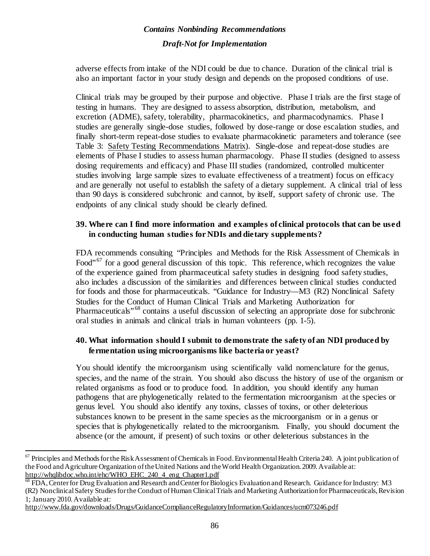adverse effects from intake of the NDI could be due to chance. Duration of the clinical trial is also an important factor in your study design and depends on the proposed conditions of use.

Clinical trials may be grouped by their purpose and objective. Phase I trials are the first stage of testing in humans. They are designed to assess absorption, distribution, metabolism, and excretion (ADME), safety, tolerability, pharmacokinetics, and pharmacodynamics. Phase I studies are generally single-dose studies, followed by dose-range or dose escalation studies, and finally short-term repeat-dose studies to evaluate pharmacokinetic parameters and tolerance (see Table 3: Safety Testing Recommendations Matrix). Single-dose and repeat-dose studies are elements of Phase I studies to assess human pharmacology. Phase II studies (designed to assess dosing requirements and efficacy) and Phase III studies (randomized, controlled multicenter studies involving large sample sizes to evaluate effectiveness of a treatment) focus on efficacy and are generally not useful to establish the safety of a dietary supplement. A clinical trial of less than 90 days is considered subchronic and cannot, by itself, support safety of chronic use. The endpoints of any clinical study should be clearly defined.

#### **39. Where can I find more information and examples of clinical protocols that can be used in conducting human studies for NDIs and dietary supplements?**

FDA recommends consulting "Principles and Methods for the Risk Assessment of Chemicals in Food"<sup>[67](#page-85-0)</sup> for a good general discussion of this topic. This reference, which recognizes the value of the experience gained from pharmaceutical safety studies in designing food safety studies, also includes a discussion of the similarities and differences between clinical studies conducted for foods and those for pharmaceuticals. "Guidance for Industry—M3 (R2) Nonclinical Safety Studies for the Conduct of Human Clinical Trials and Marketing Authorization for Pharmaceuticals<sup>" [68](#page-85-1)</sup> contains a useful discussion of selecting an appropriate dose for subchronic oral studies in animals and clinical trials in human volunteers (pp. 1-5).

#### **40. What information should I submit to demonstrate the safety of an NDI produced by fermentation using microorganisms like bacteria or yeast?**

You should identify the microorganism using scientifically valid nomenclature for the genus, species, and the name of the strain. You should also discuss the history of use of the organism or related organisms as food or to produce food. In addition, you should identify any human pathogens that are phylogenetically related to the fermentation microorganism at the species or genus level. You should also identify any toxins, classes of toxins, or other deleterious substances known to be present in the same species as the microorganism or in a genus or species that is phylogenetically related to the microorganism. Finally, you should document the absence (or the amount, if present) of such toxins or other deleterious substances in the

<span id="page-85-0"></span>Principles and Methods for the Risk Assessment of Chemicals in Food. Environmental Health Criteria 240. A joint publication of the Food and Agriculture Organization of the United Nations and the World Health Organization. 2009. Available at: [http://whqlibdoc.who.int/ehc/WHO\\_EHC\\_240\\_4\\_eng\\_Chapter1.pdf](http://whqlibdoc.who.int/ehc/WHO_EHC_240_4_eng_Chapter1.pdf)

<span id="page-85-1"></span>FDA, Center for Drug Evaluation and Research and Center for Biologics Evaluation and Research. Guidance for Industry: M3 [\(R2\) Nonclinical Safety Studies for the Conduct of Human Clinical Trials and Marketing Authorization for Pharmaceuticals](http://www.fda.gov/downloads/Drugs/GuidanceComplianceRegulatoryInformation/Guidances/ucm073246.pdf), Revision 1; January 2010. Available at:

<http://www.fda.gov/downloads/Drugs/GuidanceComplianceRegulatoryInformation/Guidances/ucm073246.pdf>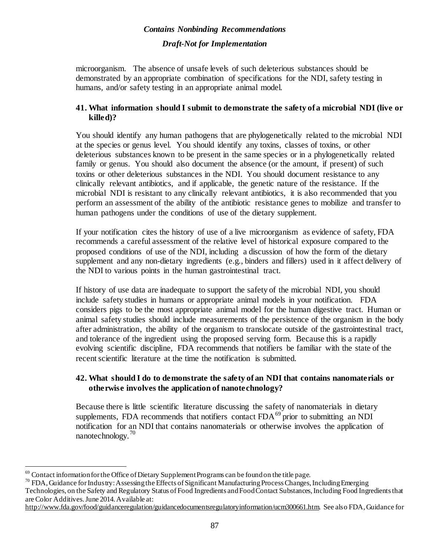#### *Draft-Not for Implementation*

microorganism. The absence of unsafe levels of such deleterious substances should be demonstrated by an appropriate combination of specifications for the NDI, safety testing in humans, and/or safety testing in an appropriate animal model.

#### **41. What information should I submit to demonstrate the safety of a microbial NDI (live or killed)?**

You should identify any human pathogens that are phylogenetically related to the microbial NDI at the species or genus level. You should identify any toxins, classes of toxins, or other deleterious substances known to be present in the same species or in a phylogenetically related family or genus. You should also document the absence (or the amount, if present) of such toxins or other deleterious substances in the NDI. You should document resistance to any clinically relevant antibiotics, and if applicable, the genetic nature of the resistance. If the microbial NDI is resistant to any clinically relevant antibiotics, it is also recommended that you perform an assessment of the ability of the antibiotic resistance genes to mobilize and transfer to human pathogens under the conditions of use of the dietary supplement.

If your notification cites the history of use of a live microorganism as evidence of safety, FDA recommends a careful assessment of the relative level of historical exposure compared to the proposed conditions of use of the NDI, including a discussion of how the form of the dietary supplement and any non-dietary ingredients (e.g., binders and fillers) used in it affect delivery of the NDI to various points in the human gastrointestinal tract.

If history of use data are inadequate to support the safety of the microbial NDI, you should include safety studies in humans or appropriate animal models in your notification. FDA considers pigs to be the most appropriate animal model for the human digestive tract. Human or animal safety studies should include measurements of the persistence of the organism in the body after administration, the ability of the organism to translocate outside of the gastrointestinal tract, and tolerance of the ingredient using the proposed serving form. Because this is a rapidly evolving scientific discipline, FDA recommends that notifiers be familiar with the state of the recent scientific literature at the time the notification is submitted.

#### **42. What should I do to demonstrate the safety of an NDI that contains nanomaterials or otherwise involves the application of nanotechnology?**

Because there is little scientific literature discussing the safety of nanomaterials in dietary supplements, FDA recommends that notifiers contact  $FDA<sup>69</sup>$  $FDA<sup>69</sup>$  $FDA<sup>69</sup>$  prior to submitting an NDI notification for an NDI that contains nanomaterials or otherwise involves the application of nanotechnology.<sup>[70](#page-86-1)</sup>

<span id="page-86-0"></span><sup>&</sup>lt;sup>69</sup> Contact information for the Office of Dietary Supplement Programs can be found on the title page.<br><sup>70</sup> FDA, Guidance for Industry: Assessing the Effects of Significant Manufacturing Process Changes, Including Emergin

<span id="page-86-1"></span>[Technologies, on the Safety and Regulatory Status of Food Ingredients and Food Contact Substances, Including Food Ingredients that](http://www.fda.gov/food/guidanceregulation/guidancedocumentsregulatoryinformation/ucm300661.htm)  [are Color Additives](http://www.fda.gov/food/guidanceregulation/guidancedocumentsregulatoryinformation/ucm300661.htm). June 2014. Available at:

[http://www.fda.gov/food/guidanceregulation/guidancedocumentsregulatoryinformation/ucm300661.htm.](http://www.fda.gov/food/guidanceregulation/guidancedocumentsregulatoryinformation/ucm300661.htm) See also FDA[, Guidance for](http://www.fda.gov/RegulatoryInformation/Guidances/ucm257698.htm)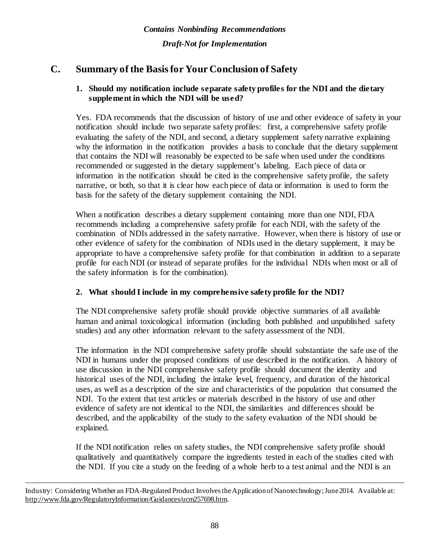## **C. Summary of the Basis for Your Conclusion of Safety**

#### **1. Should my notification include separate safety profiles for the NDI and the dietary supplement in which the NDI will be used?**

Yes. FDA recommends that the discussion of history of use and other evidence of safety in your notification should include two separate safety profiles: first, a comprehensive safety profile evaluating the safety of the NDI, and second, a dietary supplement safety narrative explaining why the information in the notification provides a basis to conclude that the dietary supplement that contains the NDI will reasonably be expected to be safe when used under the conditions recommended or suggested in the dietary supplement's labeling. Each piece of data or information in the notification should be cited in the comprehensive safety profile, the safety narrative, or both, so that it is clear how each piece of data or information is used to form the basis for the safety of the dietary supplement containing the NDI.

When a notification describes a dietary supplement containing more than one NDI, FDA recommends including a comprehensive safety profile for each NDI, with the safety of the combination of NDIs addressed in the safety narrative. However, when there is history of use or other evidence of safety for the combination of NDIs used in the dietary supplement, it may be appropriate to have a comprehensive safety profile for that combination in addition to a separate profile for each NDI (or instead of separate profiles for the individual NDIs when most or all of the safety information is for the combination).

#### <span id="page-87-0"></span>**2. What should I include in my comprehensive safety profile for the NDI?**

The NDI comprehensive safety profile should provide objective summaries of all available human and animal toxicological information (including both published and unpublished safety studies) and any other information relevant to the safety assessment of the NDI.

The information in the NDI comprehensive safety profile should substantiate the safe use of the NDI in humans under the proposed conditions of use described in the notification. A history of use discussion in the NDI comprehensive safety profile should document the identity and historical uses of the NDI, including the intake level, frequency, and duration of the historical uses, as well as a description of the size and characteristics of the population that consumed the NDI. To the extent that test articles or materials described in the history of use and other evidence of safety are not identical to the NDI, the similarities and differences should be described, and the applicability of the study to the safety evaluation of the NDI should be explained.

If the NDI notification relies on safety studies, the NDI comprehensive safety profile should qualitatively and quantitatively compare the ingredients tested in each of the studies cited with the NDI. If you cite a study on the feeding of a whole herb to a test animal and the NDI is an

[Industry: Considering Whether an FDA-Regulated Product Involves the Application of Nanotechnology](http://www.fda.gov/RegulatoryInformation/Guidances/ucm257698.htm); June 2014. Available at: [http://www.fda.gov/RegulatoryInformation/Guidances/ucm257698.htm.](http://www.fda.gov/RegulatoryInformation/Guidances/ucm257698.htm)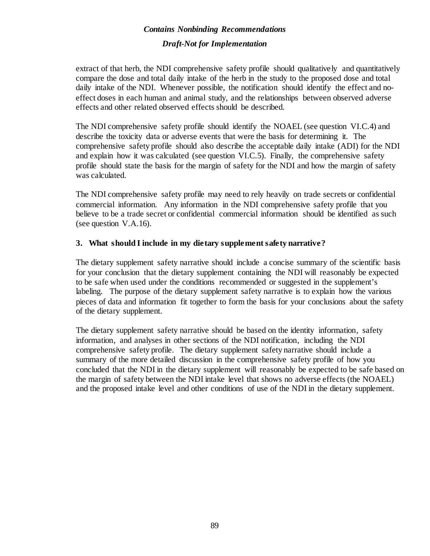#### *Draft-Not for Implementation*

extract of that herb, the NDI comprehensive safety profile should qualitatively and quantitatively compare the dose and total daily intake of the herb in the study to the proposed dose and total daily intake of the NDI. Whenever possible, the notification should identify the effect and noeffect doses in each human and animal study, and the relationships between observed adverse effects and other related observed effects should be described.

The NDI comprehensive safety profile should identify the NOAEL (see question [VI.C.4\)](#page-89-0) and describe the toxicity data or adverse events that were the basis for determining it. The comprehensive safety profile should also describe the acceptable daily intake (ADI) for the NDI and explain how it was calculated (see question [VI.C.5\)](#page-90-0). Finally, the comprehensive safety profile should state the basis for the margin of safety for the NDI and how the margin of safety was calculated.

The NDI comprehensive safety profile may need to rely heavily on trade secrets or confidential commercial information. Any information in the NDI comprehensive safety profile that you believe to be a trade secret or confidential commercial information should be identified as such (see question [V.A.16\)](#page-50-0).

#### **3. What should I include in my dietary supplement safety narrative?**

The dietary supplement safety narrative should include a concise summary of the scientific basis for your conclusion that the dietary supplement containing the NDI will reasonably be expected to be safe when used under the conditions recommended or suggested in the supplement's labeling. The purpose of the dietary supplement safety narrative is to explain how the various pieces of data and information fit together to form the basis for your conclusions about the safety of the dietary supplement.

The dietary supplement safety narrative should be based on the identity information, safety information, and analyses in other sections of the NDI notification, including the NDI comprehensive safety profile. The dietary supplement safety narrative should include a summary of the more detailed discussion in the comprehensive safety profile of how you concluded that the NDI in the dietary supplement will reasonably be expected to be safe based on the margin of safety between the NDI intake level that shows no adverse effects (the NOAEL) and the proposed intake level and other conditions of use of the NDI in the dietary supplement.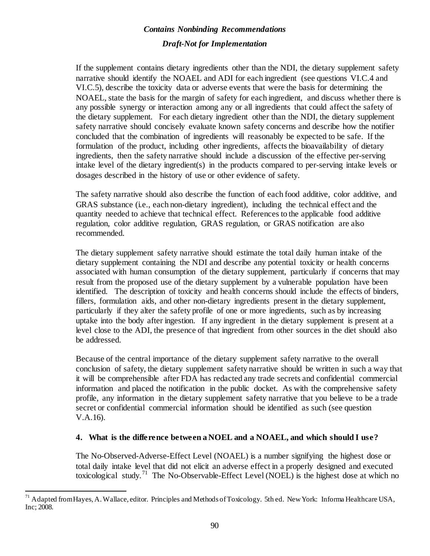If the supplement contains dietary ingredients other than the NDI, the dietary supplement safety narrative should identify the NOAEL and ADI for each ingredient (see questions [VI.C.4](#page-89-0) and [VI.C.5\)](#page-90-0), describe the toxicity data or adverse events that were the basis for determining the NOAEL, state the basis for the margin of safety for each ingredient, and discuss whether there is any possible synergy or interaction among any or all ingredients that could affect the safety of the dietary supplement. For each dietary ingredient other than the NDI, the dietary supplement safety narrative should concisely evaluate known safety concerns and describe how the notifier concluded that the combination of ingredients will reasonably be expected to be safe. If the formulation of the product, including other ingredients, affects the bioavailability of dietary ingredients, then the safety narrative should include a discussion of the effective per-serving intake level of the dietary ingredient(s) in the products compared to per-serving intake levels or dosages described in the history of use or other evidence of safety.

The safety narrative should also describe the function of each food additive, color additive, and GRAS substance (i.e., each non-dietary ingredient), including the technical effect and the quantity needed to achieve that technical effect. References to the applicable food additive regulation, color additive regulation, GRAS regulation, or GRAS notification are also recommended.

The dietary supplement safety narrative should estimate the total daily human intake of the dietary supplement containing the NDI and describe any potential toxicity or health concerns associated with human consumption of the dietary supplement, particularly if concerns that may result from the proposed use of the dietary supplement by a vulnerable population have been identified. The description of toxicity and health concerns should include the effects of binders, fillers, formulation aids, and other non-dietary ingredients present in the dietary supplement, particularly if they alter the safety profile of one or more ingredients, such as by increasing uptake into the body after ingestion. If any ingredient in the dietary supplement is present at a level close to the ADI, the presence of that ingredient from other sources in the diet should also be addressed.

Because of the central importance of the dietary supplement safety narrative to the overall conclusion of safety, the dietary supplement safety narrative should be written in such a way that it will be comprehensible after FDA has redacted any trade secrets and confidential commercial information and placed the notification in the public docket. As with the comprehensive safety profile, any information in the dietary supplement safety narrative that you believe to be a trade secret or confidential commercial information should be identified as such (see question [V.A.16\)](#page-50-0).

#### <span id="page-89-0"></span>**4. What is the difference between a NOEL and a NOAEL, and which should I use?**

The No-Observed-Adverse-Effect Level (NOAEL) is a number signifying the highest dose or total daily intake level that did not elicit an adverse effect in a properly designed and executed toxicological study.<sup>[71](#page-89-1)</sup> The No-Observable-Effect Level (NOEL) is the highest dose at which no

<span id="page-89-1"></span><sup>&</sup>lt;sup>71</sup> Adapted from Hayes, A. Wallace, editor. Principles and Methods of Toxicology. 5th ed. New York: Informa Healthcare USA, Inc; 2008.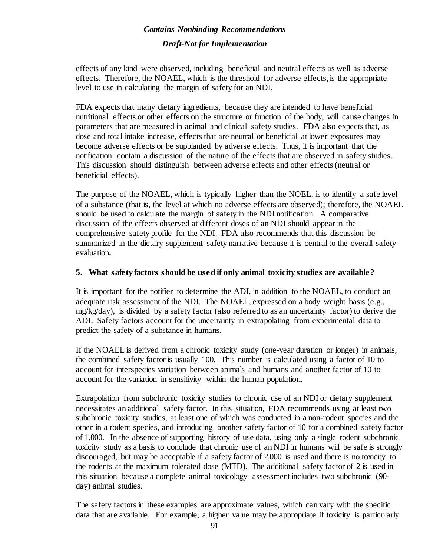#### *Draft-Not for Implementation*

effects of any kind were observed, including beneficial and neutral effects as well as adverse effects. Therefore, the NOAEL, which is the threshold for adverse effects, is the appropriate level to use in calculating the margin of safety for an NDI.

FDA expects that many dietary ingredients, because they are intended to have beneficial nutritional effects or other effects on the structure or function of the body, will cause changes in parameters that are measured in animal and clinical safety studies. FDA also expects that, as dose and total intake increase, effects that are neutral or beneficial at lower exposures may become adverse effects or be supplanted by adverse effects. Thus, it is important that the notification contain a discussion of the nature of the effects that are observed in safety studies. This discussion should distinguish between adverse effects and other effects (neutral or beneficial effects).

The purpose of the NOAEL, which is typically higher than the NOEL, is to identify a safe level of a substance (that is, the level at which no adverse effects are observed); therefore, the NOAEL should be used to calculate the margin of safety in the NDI notification. A comparative discussion of the effects observed at different doses of an NDI should appear in the comprehensive safety profile for the NDI. FDA also recommends that this discussion be summarized in the dietary supplement safety narrative because it is central to the overall safety evaluation**.**

#### <span id="page-90-0"></span>**5. What safety factors should be used if only animal toxicity studies are available?**

It is important for the notifier to determine the ADI, in addition to the NOAEL, to conduct an adequate risk assessment of the NDI. The NOAEL, expressed on a body weight basis (e.g., mg/kg/day), is divided by a safety factor (also referred to as an uncertainty factor) to derive the ADI. Safety factors account for the uncertainty in extrapolating from experimental data to predict the safety of a substance in humans.

If the NOAEL is derived from a chronic toxicity study (one-year duration or longer) in animals, the combined safety factor is usually 100. This number is calculated using a factor of 10 to account for interspecies variation between animals and humans and another factor of 10 to account for the variation in sensitivity within the human population.

Extrapolation from subchronic toxicity studies to chronic use of an NDI or dietary supplement necessitates an additional safety factor. In this situation, FDA recommends using at least two subchronic toxicity studies, at least one of which was conducted in a non-rodent species and the other in a rodent species, and introducing another safety factor of 10 for a combined safety factor of 1,000. In the absence of supporting history of use data, using only a single rodent subchronic toxicity study as a basis to conclude that chronic use of an NDI in humans will be safe is strongly discouraged, but may be acceptable if a safety factor of 2,000 is used and there is no toxicity to the rodents at the maximum tolerated dose (MTD). The additional safety factor of 2 is used in this situation because a complete animal toxicology assessment includes two subchronic (90 day) animal studies.

The safety factors in these examples are approximate values, which can vary with the specific data that are available. For example, a higher value may be appropriate if toxicity is particularly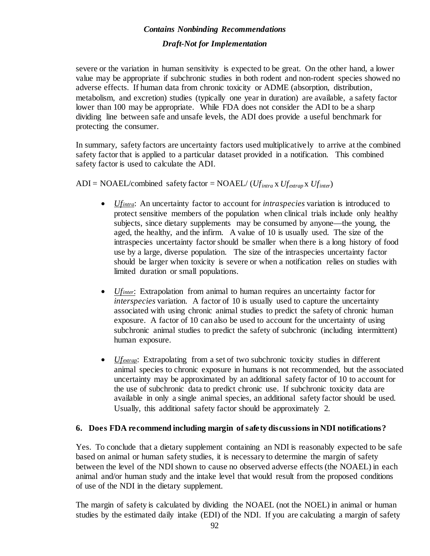#### *Draft-Not for Implementation*

severe or the variation in human sensitivity is expected to be great. On the other hand, a lower value may be appropriate if subchronic studies in both rodent and non-rodent species showed no adverse effects. If human data from chronic toxicity or ADME (absorption, distribution, metabolism, and excretion) studies (typically one year in duration) are available, a safety factor lower than 100 may be appropriate. While FDA does not consider the ADI to be a sharp dividing line between safe and unsafe levels, the ADI does provide a useful benchmark for protecting the consumer.

In summary, safety factors are uncertainty factors used multiplicatively to arrive at the combined safety factor that is applied to a particular dataset provided in a notification. This combined safety factor is used to calculate the ADI.

ADI = NOAEL/combined safety factor = NOAEL/ $(Uf_{intra} \times Uf_{extra} \times Uf_{inter})$ 

- *Ufintra*: An uncertainty factor to account for *intraspecies* variation is introduced to protect sensitive members of the population when clinical trials include only healthy subjects, since dietary supplements may be consumed by anyone—the young, the aged, the healthy, and the infirm. A value of 10 is usually used. The size of the intraspecies uncertainty factor should be smaller when there is a long history of food use by a large, diverse population. The size of the intraspecies uncertainty factor should be larger when toxicity is severe or when a notification relies on studies with limited duration or small populations.
- *Ufinter*: Extrapolation from animal to human requires an uncertainty factor for *interspecies* variation. A factor of 10 is usually used to capture the uncertainty associated with using chronic animal studies to predict the safety of chronic human exposure. A factor of 10 can also be used to account for the uncertainty of using subchronic animal studies to predict the safety of subchronic (including intermittent) human exposure.
- *Ufextrap*: Extrapolating from a set of two subchronic toxicity studies in different animal species to chronic exposure in humans is not recommended, but the associated uncertainty may be approximated by an additional safety factor of 10 to account for the use of subchronic data to predict chronic use. If subchronic toxicity data are available in only a single animal species, an additional safety factor should be used. Usually, this additional safety factor should be approximately 2.

#### **6. Does FDA recommend including margin of safety discussions in NDI notifications?**

Yes. To conclude that a dietary supplement containing an NDI is reasonably expected to be safe based on animal or human safety studies, it is necessary to determine the margin of safety between the level of the NDI shown to cause no observed adverse effects (the NOAEL) in each animal and/or human study and the intake level that would result from the proposed conditions of use of the NDI in the dietary supplement.

The margin of safety is calculated by dividing the NOAEL (not the NOEL) in animal or human studies by the estimated daily intake (EDI) of the NDI. If you are calculating a margin of safety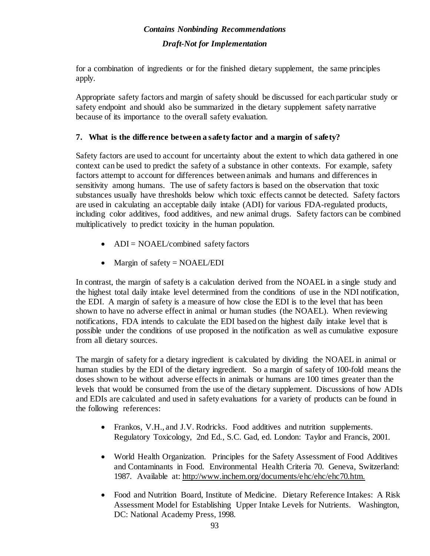for a combination of ingredients or for the finished dietary supplement, the same principles apply.

Appropriate safety factors and margin of safety should be discussed for each particular study or safety endpoint and should also be summarized in the dietary supplement safety narrative because of its importance to the overall safety evaluation.

#### <span id="page-92-0"></span>**7. What is the difference between a safety factor and a margin of safety?**

Safety factors are used to account for uncertainty about the extent to which data gathered in one context can be used to predict the safety of a substance in other contexts. For example, safety factors attempt to account for differences between animals and humans and differences in sensitivity among humans. The use of safety factors is based on the observation that toxic substances usually have thresholds below which toxic effects cannot be detected. Safety factors are used in calculating an acceptable daily intake (ADI) for various FDA-regulated products, including color additives, food additives, and new animal drugs. Safety factors can be combined multiplicatively to predict toxicity in the human population.

- ADI = NOAEL/combined safety factors
- Margin of safety = NOAEL/EDI

In contrast, the margin of safety is a calculation derived from the NOAEL in a single study and the highest total daily intake level determined from the conditions of use in the NDI notification, the EDI. A margin of safety is a measure of how close the EDI is to the level that has been shown to have no adverse effect in animal or human studies (the NOAEL). When reviewing notifications, FDA intends to calculate the EDI based on the highest daily intake level that is possible under the conditions of use proposed in the notification as well as cumulative exposure from all dietary sources.

The margin of safety for a dietary ingredient is calculated by dividing the NOAEL in animal or human studies by the EDI of the dietary ingredient. So a margin of safety of 100-fold means the doses shown to be without adverse effects in animals or humans are 100 times greater than the levels that would be consumed from the use of the dietary supplement. Discussions of how ADIs and EDIs are calculated and used in safety evaluations for a variety of products can be found in the following references:

- Frankos, V.H., and J.V. Rodricks. Food additives and nutrition supplements. Regulatory Toxicology, 2nd Ed., S.C. Gad, ed. London: Taylor and Francis, 2001.
- World Health Organization. Principles for the Safety Assessment of Food Additives and Contaminants in Food. Environmental Health Criteria 70. Geneva, Switzerland: 1987. Available at: [http://www.inchem.org/documents/ehc/ehc/ehc70.htm.](http://www.inchem.org/documents/ehc/ehc/ehc70.htm)
- Food and Nutrition Board, Institute of Medicine. Dietary Reference Intakes: A Risk Assessment Model for Establishing Upper Intake Levels for Nutrients. Washington, DC: National Academy Press, 1998.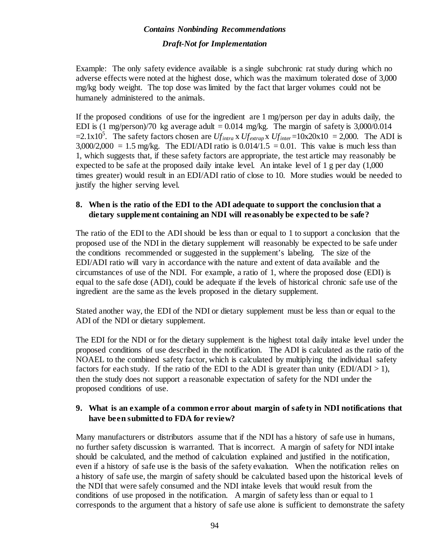Example: The only safety evidence available is a single subchronic rat study during which no adverse effects were noted at the highest dose, which was the maximum tolerated dose of 3,000 mg/kg body weight. The top dose was limited by the fact that larger volumes could not be humanely administered to the animals.

If the proposed conditions of use for the ingredient are 1 mg/person per day in adults daily, the EDI is (1 mg/person)/70 kg average adult  $= 0.014$  mg/kg. The margin of safety is 3,000/0.014  $=2.1x10^5$ . The safety factors chosen are *Uf<sub>intra</sub>* x *Uf<sub>extrap</sub>* x *Uf<sub>inter</sub>* = 10x20x10 = 2,000. The ADI is  $3,000/2,000 = 1.5$  mg/kg. The EDI/ADI ratio is  $0.014/1.5 = 0.01$ . This value is much less than 1, which suggests that, if these safety factors are appropriate, the test article may reasonably be expected to be safe at the proposed daily intake level. An intake level of 1 g per day (1,000 times greater) would result in an EDI/ADI ratio of close to 10. More studies would be needed to justify the higher serving level.

#### **8. When is the ratio of the EDI to the ADI adequate to support the conclusion that a dietary supplement containing an NDI will reasonably be expected to be safe?**

The ratio of the EDI to the ADI should be less than or equal to 1 to support a conclusion that the proposed use of the NDI in the dietary supplement will reasonably be expected to be safe under the conditions recommended or suggested in the supplement's labeling. The size of the EDI/ADI ratio will vary in accordance with the nature and extent of data available and the circumstances of use of the NDI. For example, a ratio of 1, where the proposed dose (EDI) is equal to the safe dose (ADI), could be adequate if the levels of historical chronic safe use of the ingredient are the same as the levels proposed in the dietary supplement.

Stated another way, the EDI of the NDI or dietary supplement must be less than or equal to the ADI of the NDI or dietary supplement.

The EDI for the NDI or for the dietary supplement is the highest total daily intake level under the proposed conditions of use described in the notification. The ADI is calculated as the ratio of the NOAEL to the combined safety factor, which is calculated by multiplying the individual safety factors for each study. If the ratio of the EDI to the ADI is greater than unity (EDI/ADI  $> 1$ ), then the study does not support a reasonable expectation of safety for the NDI under the proposed conditions of use.

#### **9. What is an example of a common error about margin of safety in NDI notifications that have been submitted to FDA for review?**

Many manufacturers or distributors assume that if the NDI has a history of safe use in humans, no further safety discussion is warranted. That is incorrect. A margin of safety for NDI intake should be calculated, and the method of calculation explained and justified in the notification, even if a history of safe use is the basis of the safety evaluation. When the notification relies on a history of safe use, the margin of safety should be calculated based upon the historical levels of the NDI that were safely consumed and the NDI intake levels that would result from the conditions of use proposed in the notification. A margin of safety less than or equal to 1 corresponds to the argument that a history of safe use alone is sufficient to demonstrate the safety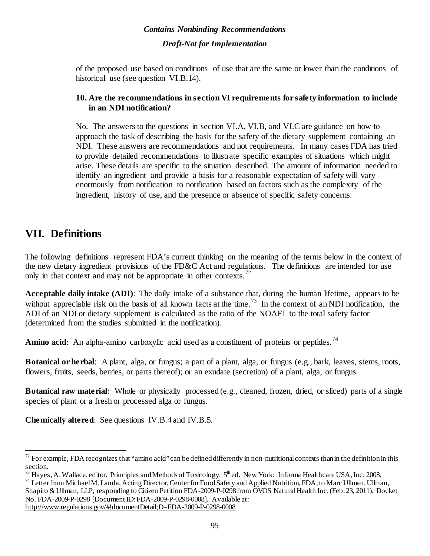of the proposed use based on conditions of use that are the same or lower than the conditions of historical use (see question [VI.B.14\)](#page-73-2).

#### **10. Are the recommendations in section VI requirements for safety information to include in an NDI notification?**

No. The answers to the questions in section VI.A, VI.B, and VI.C are guidance on how to approach the task of describing the basis for the safety of the dietary supplement containing an NDI. These answers are recommendations and not requirements. In many cases FDA has tried to provide detailed recommendations to illustrate specific examples of situations which might arise. These details are specific to the situation described. The amount of information needed to identify an ingredient and provide a basis for a reasonable expectation of safety will vary enormously from notification to notification based on factors such as the complexity of the ingredient, history of use, and the presence or absence of specific safety concerns.

## <span id="page-94-0"></span>**VII. Definitions**

The following definitions represent FDA's current thinking on the meaning of the terms below in the context of the new dietary ingredient provisions of the FD&C Act and regulations. The definitions are intended for use only in that context and may not be appropriate in other contexts.<sup>72</sup>

**Acceptable daily intake (ADI)**: The daily intake of a substance that, during the human lifetime, appears to be without appreciable risk on the basis of all known facts at the time.<sup>73</sup> In the context of an NDI notification, the ADI of an NDI or dietary supplement is calculated as the ratio of the NOAEL to the total safety factor (determined from the studies submitted in the notification).

Amino acid: An alpha-amino carboxylic acid used as a constituent of proteins or peptides.<sup>74</sup>

**Botanical or herbal**: A plant, alga, or fungus; a part of a plant, alga, or fungus (e.g., bark, leaves, stems, roots, flowers, fruits, seeds, berries, or parts thereof); or an exudate (secretion) of a plant, alga, or fungus.

**Botanical raw material**: Whole or physically processed (e.g., cleaned, frozen, dried, or sliced) parts of a single species of plant or a fresh or processed alga or fungus.

**Chemically altered**: See questions [IV.B.4](#page-24-0) and [IV.B.5.](#page-25-0)

<span id="page-94-3"></span><span id="page-94-2"></span><sup>74</sup> Letter from Michael M. Landa, Acting Director, Center for Food Safety and Applied Nutrition, FDA, to Marc Ullman, Ullman, Shapiro & Ullman, LLP, responding to Citizen Petition FDA-2009-P-0298 from OVOS Natural Health Inc. (Feb. 23, 2011). Docket No. FDA-2009-P-0298 [Document ID: FDA-2009-P-0298-0008]. Available at: http://www.regulations.gov/#!documentDetail;D=FDA-2009-P-0298-0008

<span id="page-94-1"></span> $72$  For example, FDA recognizes that "amino acid" can be defined differently in non-nutritional contexts than in the definition in this

section.<br><sup>73</sup> Hayes, A. Wallace, editor. Principles and Methods of Toxicology. 5<sup>th</sup> ed. New York: Informa Healthcare USA, Inc; 2008.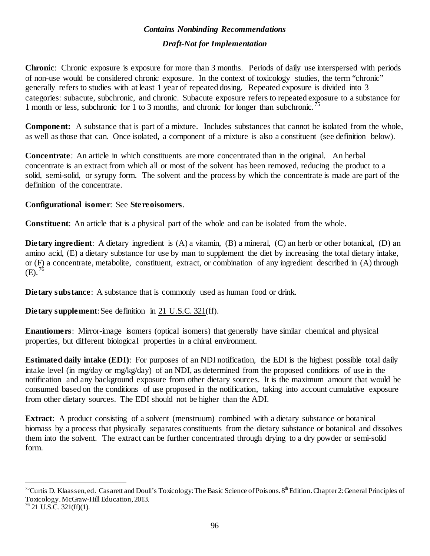**Chronic**: Chronic exposure is exposure for more than 3 months. Periods of daily use interspersed with periods of non-use would be considered chronic exposure. In the context of toxicology studies, the term "chronic" generally refers to studies with at least 1 year of repeated dosing. Repeated exposure is divided into 3 categories: subacute, subchronic, and chronic. Subacute exposure refers to repeated exposure to a substance for 1 month or less, subchronic for 1 to 3 months, and chronic for longer than subchronic.<sup>[75](#page-95-0)</sup>

**Component:** A substance that is part of a mixture. Includes substances that cannot be isolated from the whole, as well as those that can. Once isolated, a component of a mixture is also a constituent (see definition below).

**Concentrate:** An article in which constituents are more concentrated than in the original. An herbal concentrate is an extract from which all or most of the solvent has been removed, reducing the product to a solid, semi-solid, or syrupy form. The solvent and the process by which the concentrate is made are part of the definition of the concentrate.

#### **Configurational isomer**: See **Stereoisomers**.

**Constituent**: An article that is a physical part of the whole and can be isolated from the whole.

**Dietary ingredient**: A dietary ingredient is (A) a vitamin, (B) a mineral, (C) an herb or other botanical, (D) an amino acid, (E) a dietary substance for use by man to supplement the diet by increasing the total dietary intake, or (F) a concentrate, metabolite, constituent, extract, or combination of any ingredient described in (A) through  $(E).^{76}$  $(E).^{76}$  $(E).^{76}$ 

**Dietary substance**: A substance that is commonly used as human food or drink.

**Dietary supplement**: See definition in [21 U.S.C. 321\(](https://www.gpo.gov/fdsys/pkg/USCODE-2014-title21/pdf/USCODE-2014-title21-chap9-subchapII-sec321.pdf)ff).

**Enantiomers**: Mirror-image isomers (optical isomers) that generally have similar chemical and physical properties, but different biological properties in a chiral environment.

**Estimated daily intake (EDI)**: For purposes of an NDI notification, the EDI is the highest possible total daily intake level (in mg/day or mg/kg/day) of an NDI, as determined from the proposed conditions of use in the notification and any background exposure from other dietary sources. It is the maximum amount that would be consumed based on the conditions of use proposed in the notification, taking into account cumulative exposure from other dietary sources. The EDI should not be higher than the ADI.

**Extract**: A product consisting of a solvent (menstruum) combined with a dietary substance or botanical biomass by a process that physically separates constituents from the dietary substance or botanical and dissolves them into the solvent. The extract can be further concentrated through drying to a dry powder or semi-solid form.

<span id="page-95-0"></span><sup>&</sup>lt;sup>75</sup>Curtis D. Klaassen, ed. Casarett and Doull's Toxicology: The Basic Science of Poisons. 8<sup>th</sup> Edition. Chapter 2: General Principles of Toxicology. McGraw-Hill Education, 2013. 76 21 U.S.C. 321(ff)(1).

<span id="page-95-1"></span>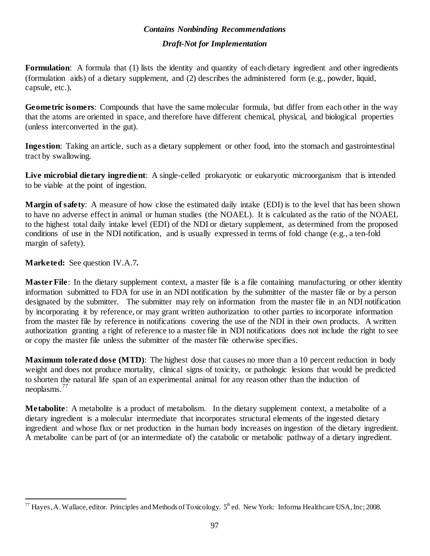**Formulation**: A formula that (1) lists the identity and quantity of each dietary ingredient and other ingredients (formulation aids) of a dietary supplement, and (2) describes the administered form (e.g., powder, liquid, capsule, etc.).

**Geometric isomers**: Compounds that have the same molecular formula, but differ from each other in the way that the atoms are oriented in space, and therefore have different chemical, physical, and biological properties (unless interconverted in the gut).

**Ingestion**: Taking an article, such as a dietary supplement or other food, into the stomach and gastrointestinal tract by swallowing.

Live microbial dietary ingredient: A single-celled prokaryotic or eukaryotic microorganism that is intended to be viable at the point of ingestion.

**Margin of safety**: A measure of how close the estimated daily intake (EDI) is to the level that has been shown to have no adverse effect in animal or human studies (the NOAEL). It is calculated as the ratio of the NOAEL to the highest total daily intake level (EDI) of the NDI or dietary supplement, as determined from the proposed conditions of use in the NDI notification, and is usually expressed in terms of fold change (e.g., a ten-fold margin of safety).

**Marketed:** See question [IV.A.7](#page-16-0)**.** 

**Master File**: In the dietary supplement context, a master file is a file containing manufacturing or other identity information submitted to FDA for use in an NDI notification by the submitter of the master file or by a person designated by the submitter. The submitter may rely on information from the master file in an NDI notification by incorporating it by reference, or may grant written authorization to other parties to incorporate information from the master file by reference in notifications covering the use of the NDI in their own products. A written authorization granting a right of reference to a master file in NDI notifications does not include the right to see or copy the master file unless the submitter of the master file otherwise specifies.

**Maximum tolerated dose (MTD)**: The highest dose that causes no more than a 10 percent reduction in body weight and does not produce mortality, clinical signs of toxicity, or pathologic lesions that would be predicted to shorten the natural life span of an experimental animal for any reason other than the induction of neoplasms.[77](#page-96-0)

**Metabolite**: A metabolite is a product of metabolism. In the dietary supplement context, a metabolite of a dietary ingredient is a molecular intermediate that incorporates structural elements of the ingested dietary ingredient and whose flux or net production in the human body increases on ingestion of the dietary ingredient. A metabolite can be part of (or an intermediate of) the catabolic or metabolic pathway of a dietary ingredient.

<span id="page-96-0"></span> $^{77}$  Hayes, A. Wallace, editor. Principles and Methods of Toxicology.  $5^{\text{th}}$  ed. New York: Informa Healthcare USA, Inc; 2008.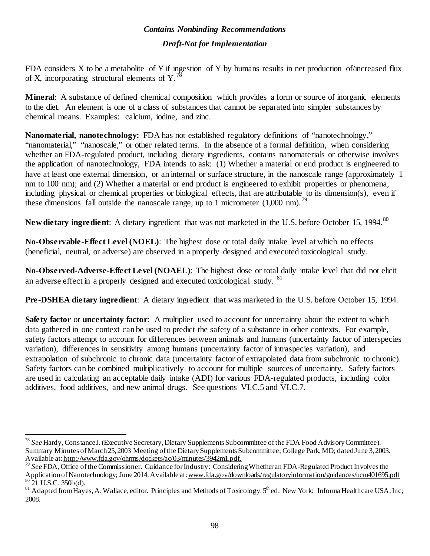FDA considers X to be a metabolite of Y if ingestion of Y by humans results in net production of/increased flux of X, incorporating structural elements of Y.<sup>[78](#page-97-0)</sup>

**Mineral:** A substance of defined chemical composition which provides a form or source of inorganic elements to the diet. An element is one of a class of substances that cannot be separated into simpler substances by chemical means. Examples: calcium, iodine, and zinc.

**Nanomaterial, nanotechnology:** FDA has not established regulatory definitions of "nanotechnology," "nanomaterial," "nanoscale," or other related terms. In the absence of a formal definition, when considering whether an FDA-regulated product, including dietary ingredients, contains nanomaterials or otherwise involves the application of nanotechnology, FDA intends to ask: (1) Whether a material or end product is engineered to have at least one external dimension, or an internal or surface structure, in the nanoscale range (approximately 1 nm to 100 nm); and (2) Whether a material or end product is engineered to exhibit properties or phenomena, including physical or chemical properties or biological effects, that are attributable to its dimension(s), even if these dimensions fall outside the nanoscale range, up to 1 micrometer  $(1,000 \text{ nm})$ .<sup>[79](#page-97-1)</sup>

New dietary ingredient: A dietary ingredient that was not marketed in the U.S. before October 15, 1994.<sup>80</sup>

**No-Observable-Effect Level (NOEL)**: The highest dose or total daily intake level at which no effects (beneficial, neutral, or adverse) are observed in a properly designed and executed toxicological study.

**No-Observed-Adverse-Effect Level (NOAEL)**: The highest dose or total daily intake level that did not elicit an adverse effect in a properly designed and executed toxicological study. <sup>[81](#page-97-3)</sup>

**Pre-DSHEA dietary ingredient**: A dietary ingredient that was marketed in the U.S. before October 15, 1994.

**Safety factor** or **uncertainty factor**: A multiplier used to account for uncertainty about the extent to which data gathered in one context can be used to predict the safety of a substance in other contexts. For example, safety factors attempt to account for differences between animals and humans (uncertainty factor of interspecies variation), differences in sensitivity among humans (uncertainty factor of intraspecies variation), and extrapolation of subchronic to chronic data (uncertainty factor of extrapolated data from subchronic to chronic). Safety factors can be combined multiplicatively to account for multiple sources of uncertainty. Safety factors are used in calculating an acceptable daily intake (ADI) for various FDA-regulated products, including color additives, food additives, and new animal drugs. See questions [VI.C.5](#page-90-0) and [VI.C.7.](#page-92-0)

<span id="page-97-0"></span> <sup>78</sup> *See* Hardy, Constance J. (Executive Secretary, Dietary Supplements Subcommittee of the FDA Food Advisory Committee). [Summary Minutes of March 25, 2003 Meeting of the Dietary Supplements Subcommittee;](http://www.fda.gov/ohrms/dockets/ac/03/minutes/3942m1.pdf) College Park, MD; dated June 3, 2003.<br>Available at: http://www.fda.gov/ohrms/dockets/ac/03/minutes/3942m1.pdf.<br><sup>79</sup> See EDA. Office of the

<span id="page-97-1"></span>See FDA, Office of the Commissioner. Guidance for Industry: Considering Whether an FDA-Regulated Product Involves the Application of Nanotechnology; June 2014. A vailable at[: www.fda.gov/downloads/regulatoryinformation/guidances/ucm401695.pdf](http://www.fda.gov/downloads/regulatoryinformation/guidances/ucm401695.pdf)<br><sup>80</sup> 21 U.S.C. 350b(d).<br><sup>81</sup> Adapted from Hayes, A. Wallace, editor. Principles and Methods of To

<span id="page-97-3"></span><span id="page-97-2"></span><sup>2008.</sup>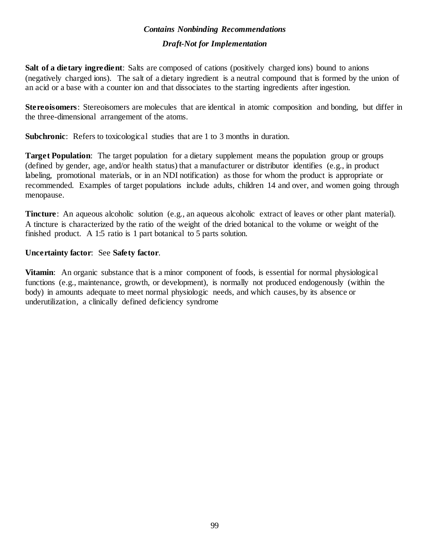**Salt of a dietary ingredient**: Salts are composed of cations (positively charged ions) bound to anions (negatively charged ions). The salt of a dietary ingredient is a neutral compound that is formed by the union of an acid or a base with a counter ion and that dissociates to the starting ingredients after ingestion.

**Stereoisomers**: Stereoisomers are molecules that are identical in atomic composition and bonding, but differ in the three-dimensional arrangement of the atoms.

**Subchronic**: Refers to toxicological studies that are 1 to 3 months in duration.

**Target Population:** The target population for a dietary supplement means the population group or groups (defined by gender, age, and/or health status) that a manufacturer or distributor identifies (e.g., in product labeling, promotional materials, or in an NDI notification) as those for whom the product is appropriate or recommended. Examples of target populations include adults, children 14 and over, and women going through menopause.

**Tincture**: An aqueous alcoholic solution (e.g., an aqueous alcoholic extract of leaves or other plant material). A tincture is characterized by the ratio of the weight of the dried botanical to the volume or weight of the finished product. A 1:5 ratio is 1 part botanical to 5 parts solution.

#### **Uncertainty factor**: See **Safety factor**.

**Vitamin**: An organic substance that is a minor component of foods, is essential for normal physiological functions (e.g., maintenance, growth, or development), is normally not produced endogenously (within the body) in amounts adequate to meet normal physiologic needs, and which causes, by its absence or underutilization, a clinically defined deficiency syndrome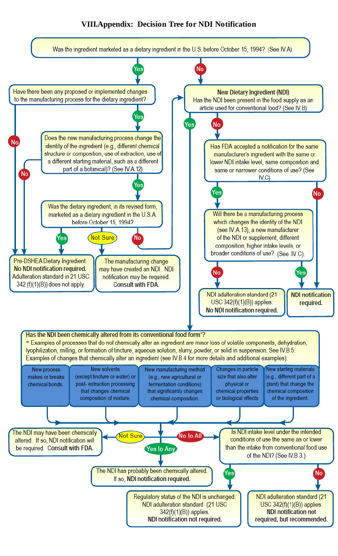### **VIII.Appendix: Decision Tree for NDI Notification**

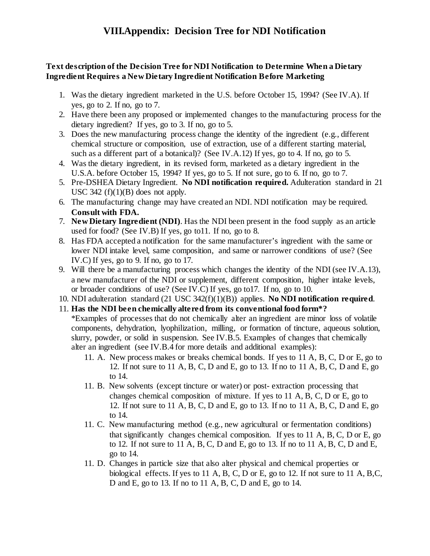#### **Text description of the Decision Tree for NDI Notification to Determine When a Dietary Ingredient Requires a New Dietary Ingredient Notification Before Marketing**

- 1. Was the dietary ingredient marketed in the U.S. before October 15, 1994? (See [IV.A\)](#page-12-0). If yes, go to 2. If no, go to 7.
- 2. Have there been any proposed or implemented changes to the manufacturing process for the dietary ingredient? If yes, go to 3. If no, go to 5.
- 3. Does the new manufacturing process change the identity of the ingredient (e.g., different chemical structure or composition, use of extraction, use of a different starting material, such as a different part of a botanical)? (See [IV.A.12\)](#page-19-0) If yes, go to 4. If no, go to 5.
- 4. Was the dietary ingredient, in its revised form, marketed as a dietary ingredient in the U.S.A. before October 15, 1994? If yes, go to 5. If not sure, go to 6. If no, go to 7.
- 5. Pre-DSHEA Dietary Ingredient. **No NDI notification required.** Adulteration standard in 21 USC 342  $(f)(1)(B)$  does not apply.
- 6. The manufacturing change may have created an NDI. NDI notification may be required. **Consult with FDA.**
- 7. **New Dietary Ingredient (NDI)**. Has the NDI been present in the food supply as an article used for food? (See [IV.B\)](#page-22-0) If yes, go to11. If no, go to 8.
- 8. Has FDA accepted a notification for the same manufacturer's ingredient with the same or lower NDI intake level, same composition, and same or narrower conditions of use? (See [IV.C\)](#page-27-0) If yes, go to 9. If no, go to 17.
- 9. Will there be a manufacturing process which changes the identity of the NDI (see [IV.A.13\)](#page-21-0), a new manufacturer of the NDI or supplement, different composition, higher intake levels, or broader conditions of use? (See [IV.C\)](#page-27-0) If yes, go to17. If no, go to 10.
- 10. NDI adulteration standard (21 USC 342(f)(1)(B)) applies. **No NDI notification required**.
- 11. **Has the NDI been chemically altered from its conventional food form\*?** \*Examples of processes that do not chemically alter an ingredient are minor loss of volatile components, dehydration, lyophilization, milling, or formation of tincture, aqueous solution, slurry, powder, or solid in suspension. See [IV.B.5.](#page-25-0) Examples of changes that chemically alter an ingredient (see [IV.B.4](#page-24-0) for more details and additional examples):
	- 11. A. New process makes or breaks chemical bonds. If yes to 11 A, B, C, D or E, go to 12. If not sure to 11 A, B, C, D and E, go to 13. If no to 11 A, B, C, D and E, go to 14.
	- 11. B. New solvents (except tincture or water) or post- extraction processing that changes chemical composition of mixture. If yes to 11 A, B, C, D or E, go to 12. If not sure to 11 A, B, C, D and E, go to 13. If no to 11 A, B, C, D and E, go to 14.
	- 11. C. New manufacturing method (e.g., new agricultural or fermentation conditions) that significantly changes chemical composition. If yes to 11 A, B, C, D or E, go to 12. If not sure to 11 A, B, C, D and E, go to 13. If no to 11 A, B, C, D and E, go to 14.
	- 11. D. Changes in particle size that also alter physical and chemical properties or biological effects. If yes to 11 A, B, C, D or E, go to 12. If not sure to 11 A, B,C, D and E, go to 13. If no to 11 A, B, C, D and E, go to 14.